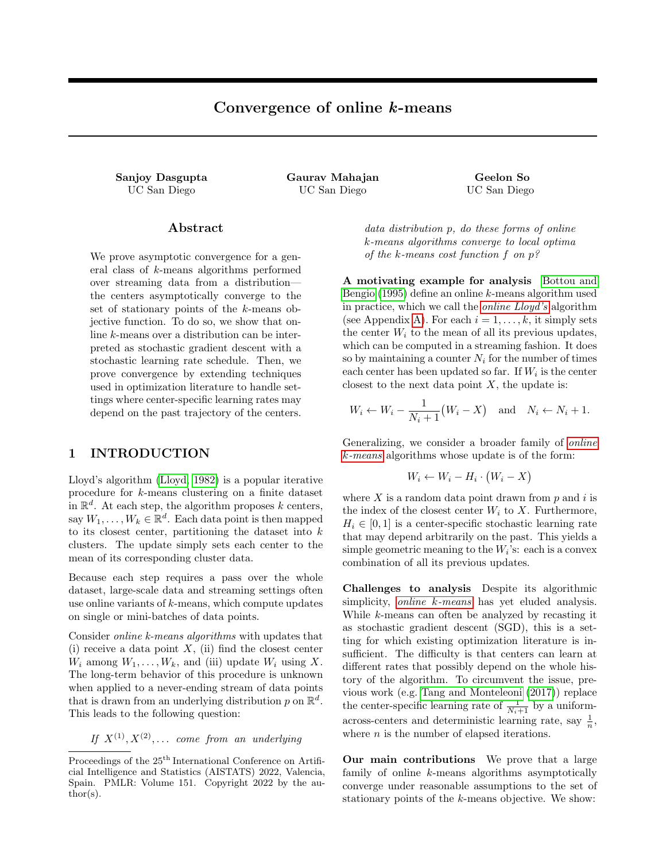# Convergence of online k-means

Sanjoy Dasgupta Gaurav Mahajan Geelon So

UC San Diego UC San Diego UC San Diego

# Abstract

We prove asymptotic convergence for a general class of k-means algorithms performed over streaming data from a distribution the centers asymptotically converge to the set of stationary points of the k-means objective function. To do so, we show that online k-means over a distribution can be interpreted as stochastic gradient descent with a stochastic learning rate schedule. Then, we prove convergence by extending techniques used in optimization literature to handle settings where center-specific learning rates may depend on the past trajectory of the centers.

# <span id="page-0-0"></span>1 INTRODUCTION

Lloyd's algorithm [\(Lloyd, 1982\)](#page-9-0) is a popular iterative procedure for k-means clustering on a finite dataset in  $\mathbb{R}^d$ . At each step, the algorithm proposes k centers, say  $W_1, \ldots, W_k \in \mathbb{R}^d$ . Each data point is then mapped to its closest center, partitioning the dataset into  $k$ clusters. The update simply sets each center to the mean of its corresponding cluster data.

Because each step requires a pass over the whole dataset, large-scale data and streaming settings often use online variants of  $k$ -means, which compute updates on single or mini-batches of data points.

Consider online k-means algorithms with updates that (i) receive a data point  $X$ , (ii) find the closest center  $W_i$  among  $W_1, \ldots, W_k$ , and (iii) update  $W_i$  using X. The long-term behavior of this procedure is unknown when applied to a never-ending stream of data points that is drawn from an underlying distribution p on  $\mathbb{R}^d$ . This leads to the following question:

If  $X^{(1)}, X^{(2)}, \ldots$  come from an underlying

data distribution p, do these forms of online k-means algorithms converge to local optima of the k-means cost function f on p?

A motivating example for analysis [Bottou and](#page-9-1) [Bengio](#page-9-1) [\(1995\)](#page-9-1) define an online k-means algorithm used in practice, which we call the [online Lloyd's](#page-11-0) algorithm (see Appendix [A\)](#page-11-1). For each  $i = 1, \ldots, k$ , it simply sets the center  $W_i$  to the mean of all its previous updates, which can be computed in a streaming fashion. It does so by maintaining a counter  $N_i$  for the number of times each center has been updated so far. If  $W_i$  is the center closest to the next data point  $X$ , the update is:

$$
W_i \leftarrow W_i - \frac{1}{N_i + 1}(W_i - X) \quad \text{and} \quad N_i \leftarrow N_i + 1.
$$

Generalizing, we consider a broader family of [online](#page-1-0) k[-means](#page-1-0) algorithms whose update is of the form:

$$
W_i \leftarrow W_i - H_i \cdot \left(W_i - X\right)
$$

where  $X$  is a random data point drawn from  $p$  and  $i$  is the index of the closest center  $W_i$  to X. Furthermore,  $H_i \in [0, 1]$  is a center-specific stochastic learning rate that may depend arbitrarily on the past. This yields a simple geometric meaning to the  $W_i$ 's: each is a convex combination of all its previous updates.

Challenges to analysis Despite its algorithmic simplicity, *online k[-means](#page-1-0)* has yet eluded analysis. While k-means can often be analyzed by recasting it as stochastic gradient descent (SGD), this is a setting for which existing optimization literature is insufficient. The difficulty is that centers can learn at different rates that possibly depend on the whole history of the algorithm. To circumvent the issue, previous work (e.g. [Tang and Monteleoni](#page-9-2) [\(2017\)](#page-9-2)) replace the center-specific learning rate of  $\frac{1}{N_i+1}$  by a uniformacross-centers and deterministic learning rate, say  $\frac{1}{n}$ , where  $n$  is the number of elapsed iterations.

Our main contributions We prove that a large family of online k-means algorithms asymptotically converge under reasonable assumptions to the set of stationary points of the  $k$ -means objective. We show:

Proceedings of the  $25<sup>th</sup>$  International Conference on Artificial Intelligence and Statistics (AISTATS) 2022, Valencia, Spain. PMLR: Volume 151. Copyright 2022 by the author(s).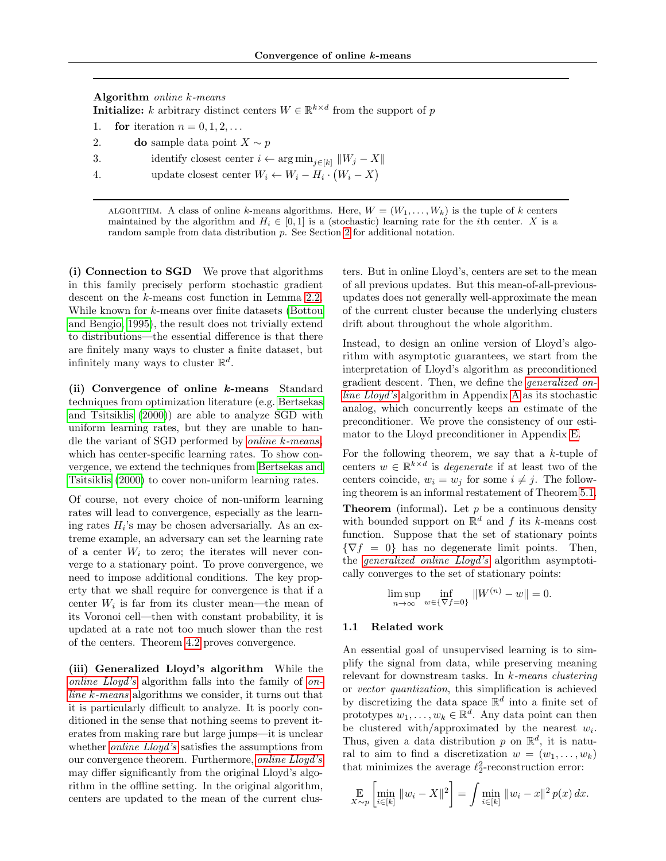### <span id="page-1-0"></span>Algorithm online k-means

**Initialize:** k arbitrary distinct centers  $W \in \mathbb{R}^{k \times d}$  from the support of p

- 1. **for** iteration  $n = 0, 1, 2, \ldots$
- 2. do sample data point  $X \sim p$
- 3. identify closest center  $i \leftarrow \arg \min_{j \in [k]} ||W_j X||$
- 4. update closest center  $W_i \leftarrow W_i H_i \cdot (W_i X)$

ALGORITHM. A class of online k-means algorithms. Here,  $W = (W_1, \ldots, W_k)$  is the tuple of k centers maintained by the algorithm and  $H_i \in [0, 1]$  is a (stochastic) learning rate for the *i*th center. X is a random sample from data distribution p. See Section [2](#page-2-0) for additional notation.

(i) Connection to SGD We prove that algorithms in this family precisely perform stochastic gradient descent on the k-means cost function in Lemma [2.2.](#page-3-0) While known for k-means over finite datasets [\(Bottou](#page-9-1) [and Bengio, 1995\)](#page-9-1), the result does not trivially extend to distributions—the essential difference is that there are finitely many ways to cluster a finite dataset, but infinitely many ways to cluster  $\mathbb{R}^d$ .

(ii) Convergence of online k-means Standard techniques from optimization literature (e.g. [Bertsekas](#page-9-3) [and Tsitsiklis](#page-9-3) [\(2000\)](#page-9-3)) are able to analyze SGD with uniform learning rates, but they are unable to handle the variant of SGD performed by online k[-means](#page-1-0), which has center-specific learning rates. To show convergence, we extend the techniques from [Bertsekas and](#page-9-3) [Tsitsiklis](#page-9-3) [\(2000\)](#page-9-3) to cover non-uniform learning rates.

Of course, not every choice of non-uniform learning rates will lead to convergence, especially as the learning rates  $H_i$ 's may be chosen adversarially. As an extreme example, an adversary can set the learning rate of a center  $W_i$  to zero; the iterates will never converge to a stationary point. To prove convergence, we need to impose additional conditions. The key property that we shall require for convergence is that if a center  $W_i$  is far from its cluster mean—the mean of its Voronoi cell—then with constant probability, it is updated at a rate not too much slower than the rest of the centers. Theorem [4.2](#page-6-0) proves convergence.

(iii) Generalized Lloyd's algorithm While the [online Lloyd's](#page-11-0) algorithm falls into the family of [on](#page-1-0)line k[-means](#page-1-0) algorithms we consider, it turns out that it is particularly difficult to analyze. It is poorly conditioned in the sense that nothing seems to prevent iterates from making rare but large jumps—it is unclear whether *[online Lloyd's](#page-11-0)* satisfies the assumptions from our convergence theorem. Furthermore, [online Lloyd's](#page-11-0) may differ significantly from the original Lloyd's algorithm in the offline setting. In the original algorithm, centers are updated to the mean of the current clusters. But in online Lloyd's, centers are set to the mean of all previous updates. But this mean-of-all-previousupdates does not generally well-approximate the mean of the current cluster because the underlying clusters drift about throughout the whole algorithm.

Instead, to design an online version of Lloyd's algorithm with asymptotic guarantees, we start from the interpretation of Lloyd's algorithm as preconditioned gradient descent. Then, we define the [generalized on](#page-11-2)[line Lloyd's](#page-11-2) algorithm in Appendix [A](#page-11-1) as its stochastic analog, which concurrently keeps an estimate of the preconditioner. We prove the consistency of our estimator to the Lloyd preconditioner in Appendix [E.](#page-24-0)

For the following theorem, we say that a  $k$ -tuple of centers  $w \in \mathbb{R}^{k \times d}$  is *degenerate* if at least two of the centers coincide,  $w_i = w_j$  for some  $i \neq j$ . The following theorem is an informal restatement of Theorem [5.1.](#page-7-0) **Theorem** (informal). Let  $p$  be a continuous density with bounded support on  $\mathbb{R}^d$  and f its k-means cost function. Suppose that the set of stationary points  $\{\nabla f = 0\}$  has no degenerate limit points. Then, the [generalized online Lloyd's](#page-11-2) algorithm asymptotically converges to the set of stationary points:

$$
\limsup_{n \to \infty} \inf_{w \in {\{\nabla f = 0\}}} ||W^{(n)} - w|| = 0.
$$

### 1.1 Related work

An essential goal of unsupervised learning is to simplify the signal from data, while preserving meaning relevant for downstream tasks. In k-means clustering or vector quantization, this simplification is achieved by discretizing the data space  $\mathbb{R}^d$  into a finite set of prototypes  $w_1, \ldots, w_k \in \mathbb{R}^d$ . Any data point can then be clustered with/approximated by the nearest  $w_i$ . Thus, given a data distribution p on  $\mathbb{R}^d$ , it is natural to aim to find a discretization  $w = (w_1, \ldots, w_k)$ that minimizes the average  $\ell_2^2$ -reconstruction error:

$$
\mathop{\mathbb{E}}_{X \sim p} \left[ \min_{i \in [k]} \|w_i - X\|^2 \right] = \int \min_{i \in [k]} \|w_i - x\|^2 p(x) \, dx.
$$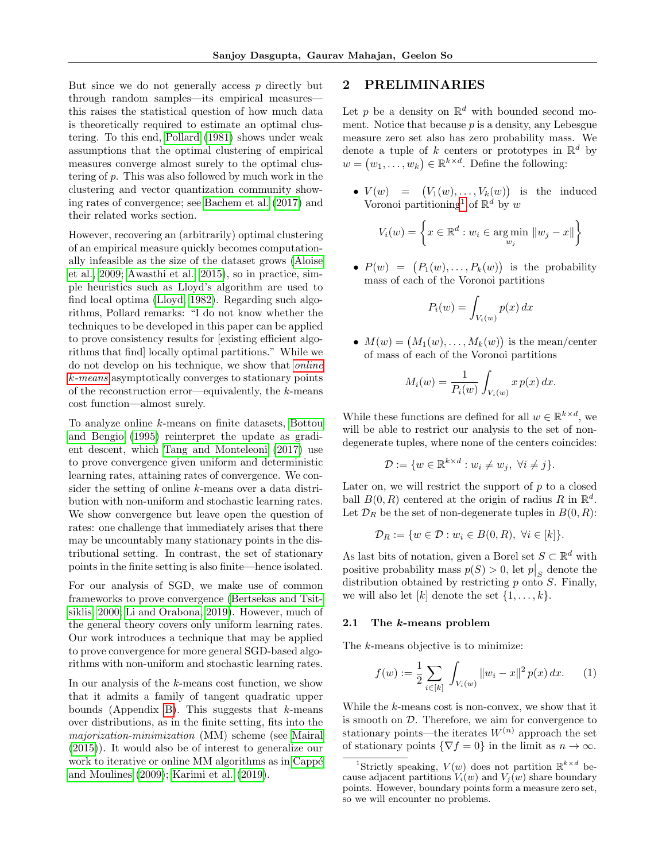But since we do not generally access  $p$  directly but through random samples—its empirical measures this raises the statistical question of how much data is theoretically required to estimate an optimal clustering. To this end, [Pollard](#page-9-4) [\(1981\)](#page-9-4) shows under weak assumptions that the optimal clustering of empirical measures converge almost surely to the optimal clustering of p. This was also followed by much work in the clustering and vector quantization community showing rates of convergence; see [Bachem et al.](#page-8-0) [\(2017\)](#page-8-0) and their related works section.

However, recovering an (arbitrarily) optimal clustering of an empirical measure quickly becomes computationally infeasible as the size of the dataset grows [\(Aloise](#page-8-1) [et al., 2009;](#page-8-1) [Awasthi et al., 2015\)](#page-8-2), so in practice, simple heuristics such as Lloyd's algorithm are used to find local optima [\(Lloyd, 1982\)](#page-9-0). Regarding such algorithms, Pollard remarks: "I do not know whether the techniques to be developed in this paper can be applied to prove consistency results for [existing efficient algorithms that find] locally optimal partitions." While we do not develop on his technique, we show that [online](#page-1-0) k[-means](#page-1-0) asymptotically converges to stationary points of the reconstruction error—equivalently, the  $k$ -means cost function—almost surely.

To analyze online k-means on finite datasets, [Bottou](#page-9-1) [and Bengio](#page-9-1) [\(1995\)](#page-9-1) reinterpret the update as gradient descent, which [Tang and Monteleoni](#page-9-2) [\(2017\)](#page-9-2) use to prove convergence given uniform and deterministic learning rates, attaining rates of convergence. We consider the setting of online k-means over a data distribution with non-uniform and stochastic learning rates. We show convergence but leave open the question of rates: one challenge that immediately arises that there may be uncountably many stationary points in the distributional setting. In contrast, the set of stationary points in the finite setting is also finite—hence isolated.

For our analysis of SGD, we make use of common frameworks to prove convergence [\(Bertsekas and Tsit](#page-9-3)[siklis, 2000;](#page-9-3) [Li and Orabona, 2019\)](#page-9-5). However, much of the general theory covers only uniform learning rates. Our work introduces a technique that may be applied to prove convergence for more general SGD-based algorithms with non-uniform and stochastic learning rates.

In our analysis of the k-means cost function, we show that it admits a family of tangent quadratic upper bounds (Appendix [B\)](#page-13-0). This suggests that  $k$ -means over distributions, as in the finite setting, fits into the majorization-minimization (MM) scheme (see [Mairal](#page-9-6) [\(2015\)](#page-9-6)). It would also be of interest to generalize our work to iterative or online MM algorithms as in Cappé [and Moulines](#page-9-7) [\(2009\)](#page-9-7); [Karimi et al.](#page-9-8) [\(2019\)](#page-9-8).

# <span id="page-2-0"></span>2 PRELIMINARIES

Let p be a density on  $\mathbb{R}^d$  with bounded second moment. Notice that because  $p$  is a density, any Lebesgue measure zero set also has zero probability mass. We denote a tuple of k centers or prototypes in  $\mathbb{R}^d$  by  $w = (w_1, \ldots, w_k) \in \mathbb{R}^{k \times d}$ . Define the following:

•  $V(w) = (V_1(w), \ldots, V_k(w))$  is the induced Voronoi partitioning<sup>[1](#page-2-1)</sup> of  $\mathbb{R}^d$  by w

$$
V_i(w) = \left\{ x \in \mathbb{R}^d : w_i \in \operatorname*{arg\,min}_{w_j} \|w_j - x\| \right\}
$$

•  $P(w) = (P_1(w), \ldots, P_k(w))$  is the probability mass of each of the Voronoi partitions

$$
P_i(w) = \int_{V_i(w)} p(x) \, dx
$$

•  $M(w) = (M_1(w), \ldots, M_k(w))$  is the mean/center of mass of each of the Voronoi partitions

$$
M_i(w) = \frac{1}{P_i(w)} \int_{V_i(w)} x p(x) dx.
$$

While these functions are defined for all  $w \in \mathbb{R}^{k \times d}$ , we will be able to restrict our analysis to the set of nondegenerate tuples, where none of the centers coincides:

$$
\mathcal{D} := \{ w \in \mathbb{R}^{k \times d} : w_i \neq w_j, \ \forall i \neq j \}.
$$

Later on, we will restrict the support of  $p$  to a closed ball  $B(0, R)$  centered at the origin of radius R in  $\mathbb{R}^d$ . Let  $\mathcal{D}_R$  be the set of non-degenerate tuples in  $B(0, R)$ :

$$
\mathcal{D}_R := \{ w \in \mathcal{D} : w_i \in B(0, R), \ \forall i \in [k] \}.
$$

As last bits of notation, given a Borel set  $S \subset \mathbb{R}^d$  with positive probability mass  $p(S) > 0$ , let  $p|_S$  denote the distribution obtained by restricting  $p$  onto  $S$ . Finally, we will also let  $[k]$  denote the set  $\{1, \ldots, k\}$ .

### 2.1 The k-means problem

The k-means objective is to minimize:

<span id="page-2-2"></span>
$$
f(w) := \frac{1}{2} \sum_{i \in [k]} \int_{V_i(w)} ||w_i - x||^2 p(x) dx.
$$
 (1)

While the k-means cost is non-convex, we show that it is smooth on D. Therefore, we aim for convergence to stationary points—the iterates  $W^{(n)}$  approach the set of stationary points  $\{\nabla f = 0\}$  in the limit as  $n \to \infty$ .

<span id="page-2-1"></span><sup>&</sup>lt;sup>1</sup>Strictly speaking,  $V(w)$  does not partition  $\mathbb{R}^{k \times d}$  because adjacent partitions  $V_i(w)$  and  $V_j(w)$  share boundary points. However, boundary points form a measure zero set, so we will encounter no problems.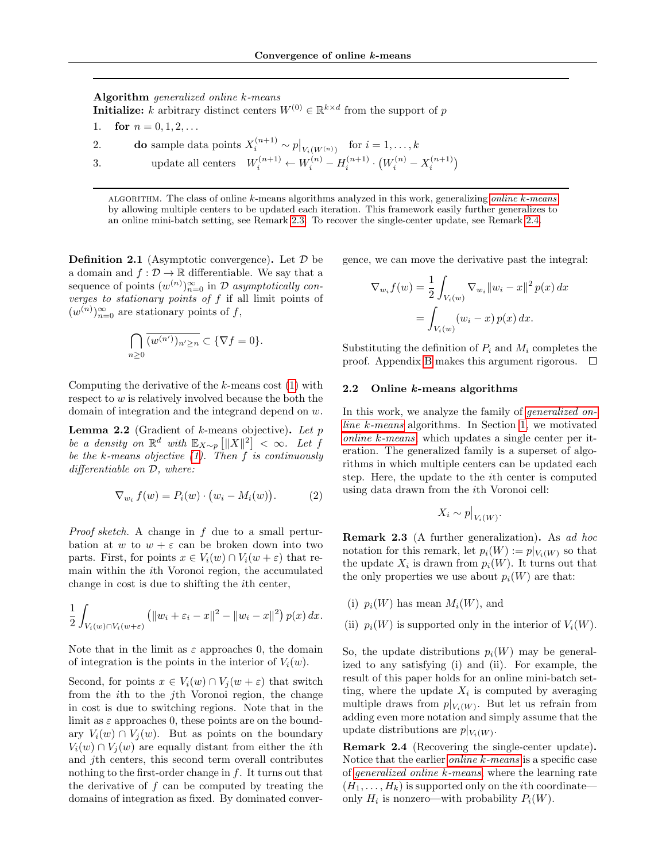<span id="page-3-3"></span>Algorithm generalized online k-means **Initialize:** k arbitrary distinct centers  $W^{(0)} \in \mathbb{R}^{k \times d}$  from the support of p

1. for  $n = 0, 1, 2, \ldots$ 2. do sample data points  $X_i^{(n+1)} \sim p|_{V_i(W^{(n)})}$  for  $i = 1, ..., k$ 3. update all centers  $W_i^{(n+1)} \leftarrow W_i^{(n)} - H_i^{(n+1)} \cdot (W_i^{(n)} - X_i^{(n+1)})$ 

ALGORITHM. The class of online  $k$ [-means](#page-1-0) algorithms analyzed in this work, generalizing *online*  $k$ -means by allowing multiple centers to be updated each iteration. This framework easily further generalizes to an online mini-batch setting, see Remark [2.3.](#page-3-1) To recover the single-center update, see Remark [2.4.](#page-3-2)

**Definition 2.1** (Asymptotic convergence). Let  $\mathcal{D}$  be a domain and  $f: \mathcal{D} \to \mathbb{R}$  differentiable. We say that a sequence of points  $(w^{(n)})_{n=0}^{\infty}$  in  $\mathcal D$  asymptotically converges to stationary points of  $f$  if all limit points of  $(w^{(n)})_{n=0}^{\infty}$  are stationary points of f,

$$
\bigcap_{n\geq 0} \overline{(w^{(n')})_{n'\geq n}} \subset \{\nabla f = 0\}.
$$

Computing the derivative of the  $k$ -means cost  $(1)$  with respect to  $w$  is relatively involved because the both the domain of integration and the integrand depend on w.

<span id="page-3-0"></span>**Lemma 2.2** (Gradient of  $k$ -means objective). Let  $p$ be a density on  $\mathbb{R}^d$  with  $\mathbb{E}_{X \sim p} \left[ \|X\|^2 \right] < \infty$ . Let f be the k-means objective  $(1)$ . Then f is continuously differentiable on D, where:

$$
\nabla_{w_i} f(w) = P_i(w) \cdot \big( w_i - M_i(w) \big). \tag{2}
$$

*Proof sketch.* A change in  $f$  due to a small perturbation at w to  $w + \varepsilon$  can be broken down into two parts. First, for points  $x \in V_i(w) \cap V_i(w + \varepsilon)$  that remain within the ith Voronoi region, the accumulated change in cost is due to shifting the ith center,

$$
\frac{1}{2} \int_{V_i(w) \cap V_i(w+\varepsilon)} \left( \|w_i + \varepsilon_i - x\|^2 - \|w_i - x\|^2 \right) p(x) \, dx.
$$

Note that in the limit as  $\varepsilon$  approaches 0, the domain of integration is the points in the interior of  $V_i(w)$ .

Second, for points  $x \in V_i(w) \cap V_j(w + \varepsilon)$  that switch from the ith to the jth Voronoi region, the change in cost is due to switching regions. Note that in the limit as  $\varepsilon$  approaches 0, these points are on the boundary  $V_i(w) \cap V_i(w)$ . But as points on the boundary  $V_i(w) \cap V_j(w)$  are equally distant from either the *i*th and jth centers, this second term overall contributes nothing to the first-order change in f. It turns out that the derivative of f can be computed by treating the domains of integration as fixed. By dominated convergence, we can move the derivative past the integral:

$$
\nabla_{w_i} f(w) = \frac{1}{2} \int_{V_i(w)} \nabla_{w_i} ||w_i - x||^2 p(x) dx
$$

$$
= \int_{V_i(w)} (w_i - x) p(x) dx.
$$

Substituting the definition of  $P_i$  and  $M_i$  completes the proof. Appendix [B](#page-13-0) makes this argument rigorous.  $\square$ 

### 2.2 Online k-means algorithms

In this work, we analyze the family of [generalized on](#page-3-3)line k[-means](#page-3-3) algorithms. In Section [1,](#page-0-0) we motivated online k[-means](#page-1-0), which updates a single center per iteration. The generalized family is a superset of algorithms in which multiple centers can be updated each step. Here, the update to the ith center is computed using data drawn from the ith Voronoi cell:

$$
X_i \sim p|_{V_i(W)}.
$$

<span id="page-3-4"></span><span id="page-3-1"></span>Remark 2.3 (A further generalization). As ad hoc notation for this remark, let  $p_i(W) := p|_{V_i(W)}$  so that the update  $X_i$  is drawn from  $p_i(W)$ . It turns out that the only properties we use about  $p_i(W)$  are that:

- (i)  $p_i(W)$  has mean  $M_i(W)$ , and
- (ii)  $p_i(W)$  is supported only in the interior of  $V_i(W)$ .

So, the update distributions  $p_i(W)$  may be generalized to any satisfying (i) and (ii). For example, the result of this paper holds for an online mini-batch setting, where the update  $X_i$  is computed by averaging multiple draws from  $p|_{V_i(W)}$ . But let us refrain from adding even more notation and simply assume that the update distributions are  $p|_{V_i(W)}$ .

<span id="page-3-2"></span>Remark 2.4 (Recovering the single-center update). Notice that the earlier online k[-means](#page-1-0) is a specific case of [generalized online](#page-3-3) k-means, where the learning rate  $(H_1, \ldots, H_k)$  is supported only on the *i*th coordinate only  $H_i$  is nonzero—with probability  $P_i(W)$ .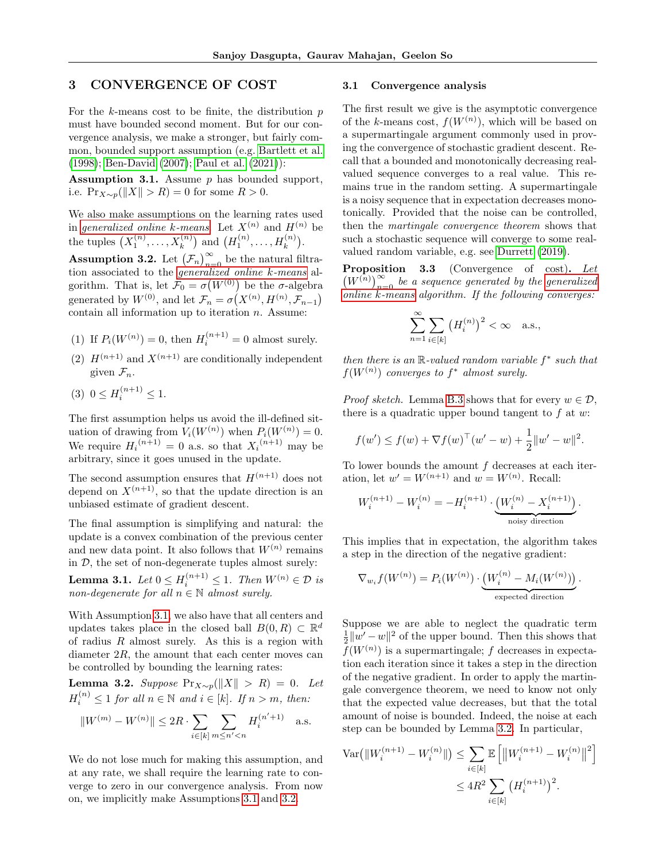# 3 CONVERGENCE OF COST

For the k-means cost to be finite, the distribution  $p$ must have bounded second moment. But for our convergence analysis, we make a stronger, but fairly common, bounded support assumption (e.g. [Bartlett et al.](#page-8-3) [\(1998\)](#page-8-3); [Ben-David](#page-8-4) [\(2007\)](#page-8-4); [Paul et al.](#page-9-9) [\(2021\)](#page-9-9)):

<span id="page-4-0"></span>**Assumption 3.1.** Assume  $p$  has bounded support, i.e.  $\Pr_{X \sim p}(\|X\| > R) = 0$  for some  $R > 0$ .

We also make assumptions on the learning rates used in [generalized online](#page-3-3) k-means. Let  $X^{(n)}$  and  $H^{(n)}$  be the tuples  $(X_1^{(n)},...,X_k^{(n)})$  and  $(H_1^{(n)},...,H_k^{(n)})$ .

<span id="page-4-1"></span>**Assumption 3.2.** Let  $(\mathcal{F}_n)_{n=0}^{\infty}$  be the natural filtration associated to the [generalized online](#page-3-3) k-means algorithm. That is, let  $\mathcal{F}_0 = \sigma(W^{(0)})$  be the  $\sigma$ -algebra generated by  $W^{(0)}$ , and let  $\mathcal{F}_n = \sigma(X^{(n)}, H^{(n)}, \mathcal{F}_{n-1})$ contain all information up to iteration  $n$ . Assume:

- (1) If  $P_i(W^{(n)}) = 0$ , then  $H_i^{(n+1)} = 0$  almost surely.
- (2)  $H^{(n+1)}$  and  $X^{(n+1)}$  are conditionally independent given  $\mathcal{F}_n$ .
- (3)  $0 \le H_i^{(n+1)} \le 1$ .

The first assumption helps us avoid the ill-defined situation of drawing from  $V_i(W^{(n)})$  when  $P_i(W^{(n)}) = 0$ . We require  $H_i^{(n+1)} = 0$  a.s. so that  $X_i^{(n+1)}$  may be arbitrary, since it goes unused in the update.

The second assumption ensures that  $H^{(n+1)}$  does not depend on  $X^{(n+1)}$ , so that the update direction is an unbiased estimate of gradient descent.

The final assumption is simplifying and natural: the update is a convex combination of the previous center and new data point. It also follows that  $W^{(n)}$  remains in  $D$ , the set of non-degenerate tuples almost surely:

<span id="page-4-3"></span>**Lemma 3.1.** Let  $0 \leq H_i^{(n+1)} \leq 1$ . Then  $W^{(n)} \in \mathcal{D}$  is non-degenerate for all  $n \in \mathbb{N}$  almost surely.

With Assumption [3.1,](#page-4-0) we also have that all centers and updates takes place in the closed ball  $B(0, R) \subset \mathbb{R}^d$ of radius  $R$  almost surely. As this is a region with diameter 2R, the amount that each center moves can be controlled by bounding the learning rates:

<span id="page-4-2"></span>Lemma 3.2. Suppose  $\Pr_{X \sim p}(\|X\| > R) = 0$ . Let  $H_i^{(n)} \leq 1$  for all  $n \in \mathbb{N}$  and  $i \in [k]$ . If  $n > m$ , then:

$$
||W^{(m)} - W^{(n)}|| \le 2R \cdot \sum_{i \in [k]} \sum_{m \le n' < n} H_i^{(n'+1)} \quad \text{a.s.}
$$

We do not lose much for making this assumption, and at any rate, we shall require the learning rate to converge to zero in our convergence analysis. From now on, we implicitly make Assumptions [3.1](#page-4-0) and [3.2.](#page-4-1)

#### 3.1 Convergence analysis

The first result we give is the asymptotic convergence of the k-means cost,  $f(W^{(n)})$ , which will be based on a supermartingale argument commonly used in proving the convergence of stochastic gradient descent. Recall that a bounded and monotonically decreasing realvalued sequence converges to a real value. This remains true in the random setting. A supermartingale is a noisy sequence that in expectation decreases monotonically. Provided that the noise can be controlled, then the martingale convergence theorem shows that such a stochastic sequence will converge to some realvalued random variable, e.g. see [Durrett](#page-9-10) [\(2019\)](#page-9-10).

<span id="page-4-4"></span>Proposition 3.3 (Convergence of cost). Let  $(W^{(n)})_{n=0}^{\infty}$  be a sequence generated by the [generalized](#page-3-3) online k[-means](#page-3-3) algorithm. If the following converges:

$$
\sum_{n=1}^{\infty} \sum_{i \in [k]} \left( H_i^{(n)} \right)^2 < \infty \quad \text{a.s.},
$$

then there is an  $\mathbb{R}\text{-}valued$  random variable  $f^*$  such that  $f(W^{(n)})$  converges to  $f^*$  almost surely.

*Proof sketch.* Lemma [B.3](#page-16-0) shows that for every  $w \in \mathcal{D}$ , there is a quadratic upper bound tangent to  $f$  at  $w$ :

$$
f(w') \le f(w) + \nabla f(w)^\top (w' - w) + \frac{1}{2} ||w' - w||^2.
$$

To lower bounds the amount f decreases at each iteration, let  $w' = W^{(n+1)}$  and  $w = W^{(n)}$ . Recall:

$$
W_i^{(n+1)} - W_i^{(n)} = -H_i^{(n+1)} \cdot \underbrace{(W_i^{(n)} - X_i^{(n+1)})}_{\text{noisy direction}}.
$$

This implies that in expectation, the algorithm takes a step in the direction of the negative gradient:

$$
\nabla_{w_i} f(W^{(n)}) = P_i(W^{(n)}) \cdot \underbrace{\left(W_i^{(n)} - M_i(W^{(n)})\right)}_{\text{expected direction}}.
$$

Suppose we are able to neglect the quadratic term  $\frac{1}{2}||w'-w||^2$  of the upper bound. Then this shows that  $f(W^{(n)})$  is a supermartingale; f decreases in expectation each iteration since it takes a step in the direction of the negative gradient. In order to apply the martingale convergence theorem, we need to know not only that the expected value decreases, but that the total amount of noise is bounded. Indeed, the noise at each step can be bounded by Lemma [3.2.](#page-4-2) In particular,

$$
\operatorname{Var}(\|W_i^{(n+1)} - W_i^{(n)}\|) \le \sum_{i \in [k]} \mathbb{E}\left[\|W_i^{(n+1)} - W_i^{(n)}\|^2\right]
$$
  

$$
\le 4R^2 \sum_{i \in [k]} \left(H_i^{(n+1)}\right)^2.
$$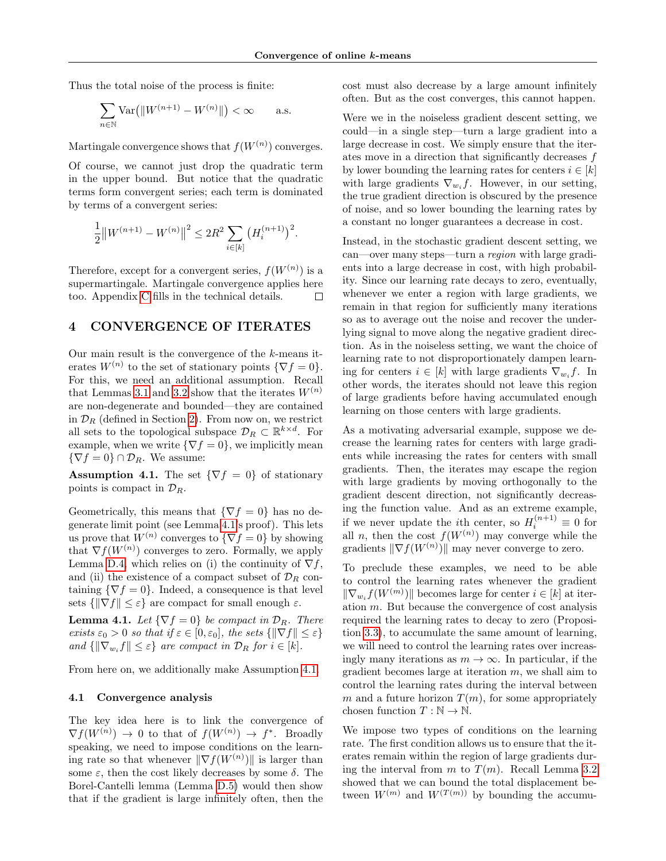Thus the total noise of the process is finite:

$$
\sum_{n \in \mathbb{N}} \text{Var}\left(\|W^{(n+1)} - W^{(n)}\|\right) < \infty \qquad \text{a.s.}
$$

Martingale convergence shows that  $f(W^{(n)})$  converges.

Of course, we cannot just drop the quadratic term in the upper bound. But notice that the quadratic terms form convergent series; each term is dominated by terms of a convergent series:

$$
\frac{1}{2}||W^{(n+1)} - W^{(n)}||^{2} \le 2R^{2} \sum_{i \in [k]} (H_{i}^{(n+1)})^{2}.
$$

Therefore, except for a convergent series,  $f(W^{(n)})$  is a supermartingale. Martingale convergence applies here too. Appendix [C](#page-18-0) fills in the technical details.  $\Box$ 

# 4 CONVERGENCE OF ITERATES

Our main result is the convergence of the  $k$ -means iterates  $W^{(n)}$  to the set of stationary points  $\{\nabla f = 0\}.$ For this, we need an additional assumption. Recall that Lemmas [3.1](#page-4-3) and [3.2](#page-4-2) show that the iterates  $W^{(n)}$ are non-degenerate and bounded—they are contained in  $\mathcal{D}_R$  (defined in Section [2\)](#page-2-0). From now on, we restrict all sets to the topological subspace  $\mathcal{D}_R \subset \mathbb{R}^{k \times d}$ . For example, when we write  $\{\nabla f = 0\}$ , we implicitly mean  $\{\nabla f = 0\} \cap \mathcal{D}_R$ . We assume:

<span id="page-5-1"></span>**Assumption 4.1.** The set  $\{\nabla f = 0\}$  of stationary points is compact in  $\mathcal{D}_R$ .

Geometrically, this means that  $\{\nabla f = 0\}$  has no degenerate limit point (see Lemma [4.1'](#page-5-0)s proof). This lets us prove that  $W^{(n)}$  converges to  $\{\nabla f = 0\}$  by showing that  $\nabla f(W^{(n)})$  converges to zero. Formally, we apply Lemma [D.4,](#page-23-0) which relies on (i) the continuity of  $\nabla f$ , and (ii) the existence of a compact subset of  $\mathcal{D}_R$  containing  $\{\nabla f = 0\}$ . Indeed, a consequence is that level sets  $\{\|\nabla f\| \leq \varepsilon\}$  are compact for small enough  $\varepsilon$ .

<span id="page-5-0"></span>**Lemma 4.1.** Let  $\{\nabla f = 0\}$  be compact in  $\mathcal{D}_R$ . There exists  $\varepsilon_0 > 0$  so that if  $\varepsilon \in [0, \varepsilon_0]$ , the sets  $\{\|\nabla f\| \le \varepsilon\}$ and  $\{\|\nabla_{w_i} f\| \leq \varepsilon\}$  are compact in  $\mathcal{D}_R$  for  $i \in [k]$ .

From here on, we additionally make Assumption [4.1.](#page-5-1)

### 4.1 Convergence analysis

The key idea here is to link the convergence of  $\nabla f(W^{(n)}) \rightarrow 0$  to that of  $f(W^{(n)}) \rightarrow f^*$ . Broadly speaking, we need to impose conditions on the learning rate so that whenever  $\|\nabla f(W^{(n)})\|$  is larger than some  $\varepsilon$ , then the cost likely decreases by some  $\delta$ . The Borel-Cantelli lemma (Lemma [D.5\)](#page-23-1) would then show that if the gradient is large infinitely often, then the cost must also decrease by a large amount infinitely often. But as the cost converges, this cannot happen.

Were we in the noiseless gradient descent setting, we could—in a single step—turn a large gradient into a large decrease in cost. We simply ensure that the iterates move in a direction that significantly decreases f by lower bounding the learning rates for centers  $i \in [k]$ with large gradients  $\nabla_{w_i} f$ . However, in our setting, the true gradient direction is obscured by the presence of noise, and so lower bounding the learning rates by a constant no longer guarantees a decrease in cost.

Instead, in the stochastic gradient descent setting, we can—over many steps—turn a region with large gradients into a large decrease in cost, with high probability. Since our learning rate decays to zero, eventually, whenever we enter a region with large gradients, we remain in that region for sufficiently many iterations so as to average out the noise and recover the underlying signal to move along the negative gradient direction. As in the noiseless setting, we want the choice of learning rate to not disproportionately dampen learning for centers  $i \in [k]$  with large gradients  $\nabla_{w_i} f$ . In other words, the iterates should not leave this region of large gradients before having accumulated enough learning on those centers with large gradients.

As a motivating adversarial example, suppose we decrease the learning rates for centers with large gradients while increasing the rates for centers with small gradients. Then, the iterates may escape the region with large gradients by moving orthogonally to the gradient descent direction, not significantly decreasing the function value. And as an extreme example, if we never update the *i*<sup>th</sup> center, so  $H_i^{(n+1)} \equiv 0$  for all *n*, then the cost  $f(W^{(n)})$  may converge while the gradients  $\|\nabla f(W^{(n)})\|$  may never converge to zero.

To preclude these examples, we need to be able to control the learning rates whenever the gradient  $\|\nabla_{w_i} f(W^{(m)})\|$  becomes large for center  $i \in [k]$  at iteration m. But because the convergence of cost analysis required the learning rates to decay to zero (Proposition [3.3\)](#page-4-4), to accumulate the same amount of learning, we will need to control the learning rates over increasingly many iterations as  $m \to \infty$ . In particular, if the gradient becomes large at iteration m, we shall aim to control the learning rates during the interval between m and a future horizon  $T(m)$ , for some appropriately chosen function  $T : \mathbb{N} \to \mathbb{N}$ .

We impose two types of conditions on the learning rate. The first condition allows us to ensure that the iterates remain within the region of large gradients during the interval from  $m$  to  $T(m)$ . Recall Lemma [3.2](#page-4-2) showed that we can bound the total displacement between  $W^{(m)}$  and  $W^{(T(m))}$  by bounding the accumu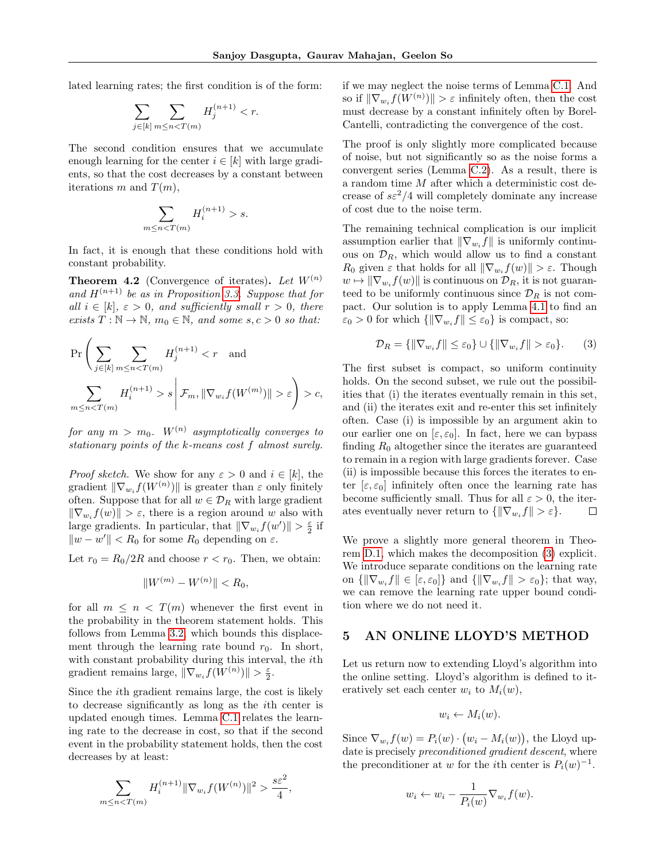lated learning rates; the first condition is of the form:

$$
\sum_{j\in[k]}\sum_{m\leq n
$$

The second condition ensures that we accumulate enough learning for the center  $i \in [k]$  with large gradients, so that the cost decreases by a constant between iterations m and  $T(m)$ ,

$$
\sum_{m \le n < T(m)} H_i^{(n+1)} > s.
$$

In fact, it is enough that these conditions hold with constant probability.

<span id="page-6-0"></span>**Theorem 4.2** (Convergence of iterates). Let  $W^{(n)}$ and  $H^{(n+1)}$  be as in Proposition [3.3.](#page-4-4) Suppose that for all  $i \in [k], \varepsilon > 0$ , and sufficiently small  $r > 0$ , there exists  $T : \mathbb{N} \to \mathbb{N}$ ,  $m_0 \in \mathbb{N}$ , and some  $s, c > 0$  so that:

$$
\Pr\left(\sum_{j\in[k]}\sum_{m\leq ns\;\bigg|\;\mathcal{f}_m,\|\nabla_{w_i}f(w^{(m)})\|>\varepsilon\right)>c,<="">
$$

for any  $m > m_0$ .  $W^{(n)}$  asymptotically converges to stationary points of the k-means cost f almost surely.

*Proof sketch.* We show for any  $\varepsilon > 0$  and  $i \in [k]$ , the gradient  $\|\nabla_{w_i} f(W^{(n)})\|$  is greater than  $\varepsilon$  only finitely often. Suppose that for all  $w \in \mathcal{D}_R$  with large gradient  $\|\nabla_{w_i} f(w)\| > \varepsilon$ , there is a region around w also with large gradients. In particular, that  $\|\nabla_{w_i} f(w')\| > \frac{\varepsilon}{2}$  if  $\|w - w'\| < R_0$  for some  $R_0$  depending on  $\varepsilon$ .

Let  $r_0 = R_0/2R$  and choose  $r < r_0$ . Then, we obtain:

$$
||W^{(m)} - W^{(n)}|| < R_0,
$$

for all  $m \leq n < T(m)$  whenever the first event in the probability in the theorem statement holds. This follows from Lemma [3.2,](#page-4-2) which bounds this displacement through the learning rate bound  $r_0$ . In short, with constant probability during this interval, the ith gradient remains large,  $\|\nabla_{w_i} f(W^{(n)})\| > \frac{\varepsilon}{2}$ .

Since the ith gradient remains large, the cost is likely to decrease significantly as long as the ith center is updated enough times. Lemma [C.1](#page-18-1) relates the learning rate to the decrease in cost, so that if the second event in the probability statement holds, then the cost decreases by at least:

$$
\sum_{m \le n < T(m)} H_i^{(n+1)} \|\nabla_{w_i} f(W^{(n)})\|^2 > \frac{s \varepsilon^2}{4},
$$

if we may neglect the noise terms of Lemma [C.1.](#page-18-1) And so if  $\|\nabla_{w_i} f(W^{(n)})\| > \varepsilon$  infinitely often, then the cost must decrease by a constant infinitely often by Borel-Cantelli, contradicting the convergence of the cost.

The proof is only slightly more complicated because of noise, but not significantly so as the noise forms a convergent series (Lemma [C.2\)](#page-18-2). As a result, there is a random time M after which a deterministic cost decrease of  $s\epsilon^2/4$  will completely dominate any increase of cost due to the noise term.

The remaining technical complication is our implicit assumption earlier that  $\|\nabla_{w_i} f\|$  is uniformly continuous on  $\mathcal{D}_R$ , which would allow us to find a constant  $R_0$  given  $\varepsilon$  that holds for all  $\|\nabla_{w_i} f(w)\| > \varepsilon$ . Though  $w \mapsto \|\nabla_{w_i} f(w)\|$  is continuous on  $\mathcal{D}_R$ , it is not guaranteed to be uniformly continuous since  $\mathcal{D}_R$  is not compact. Our solution is to apply Lemma [4.1](#page-5-0) to find an  $\varepsilon_0 > 0$  for which  $\{\|\nabla_{w_i} f\| \leq \varepsilon_0\}$  is compact, so:

<span id="page-6-1"></span>
$$
\mathcal{D}_R = \{ \|\nabla_{w_i} f\| \le \varepsilon_0 \} \cup \{ \|\nabla_{w_i} f\| > \varepsilon_0 \}.
$$
 (3)

The first subset is compact, so uniform continuity holds. On the second subset, we rule out the possibilities that (i) the iterates eventually remain in this set, and (ii) the iterates exit and re-enter this set infinitely often. Case (i) is impossible by an argument akin to our earlier one on  $[\varepsilon, \varepsilon_0]$ . In fact, here we can bypass finding  $R_0$  altogether since the iterates are guaranteed to remain in a region with large gradients forever. Case (ii) is impossible because this forces the iterates to enter  $[\varepsilon, \varepsilon_0]$  infinitely often once the learning rate has become sufficiently small. Thus for all  $\varepsilon > 0$ , the iterates eventually never return to  $\{\|\nabla_{w_i} f\| > \varepsilon\}.$  $\Box$ 

We prove a slightly more general theorem in Theorem [D.1,](#page-20-0) which makes the decomposition [\(3\)](#page-6-1) explicit. We introduce separate conditions on the learning rate on  $\{\|\nabla_{w_i} f\| \in [\varepsilon, \varepsilon_0]\}\$  and  $\{\|\nabla_{w_i} f\| > \varepsilon_0\}$ ; that way, we can remove the learning rate upper bound condition where we do not need it.

## <span id="page-6-2"></span>5 AN ONLINE LLOYD'S METHOD

Let us return now to extending Lloyd's algorithm into the online setting. Lloyd's algorithm is defined to iteratively set each center  $w_i$  to  $M_i(w)$ ,

$$
w_i \leftarrow M_i(w).
$$

Since  $\nabla_{w_i} f(w) = P_i(w) \cdot (w_i - M_i(w))$ , the Lloyd update is precisely *preconditioned gradient descent*, where the preconditioner at w for the *i*th center is  $P_i(w)^{-1}$ .

$$
w_i \leftarrow w_i - \frac{1}{P_i(w)} \nabla_{w_i} f(w).
$$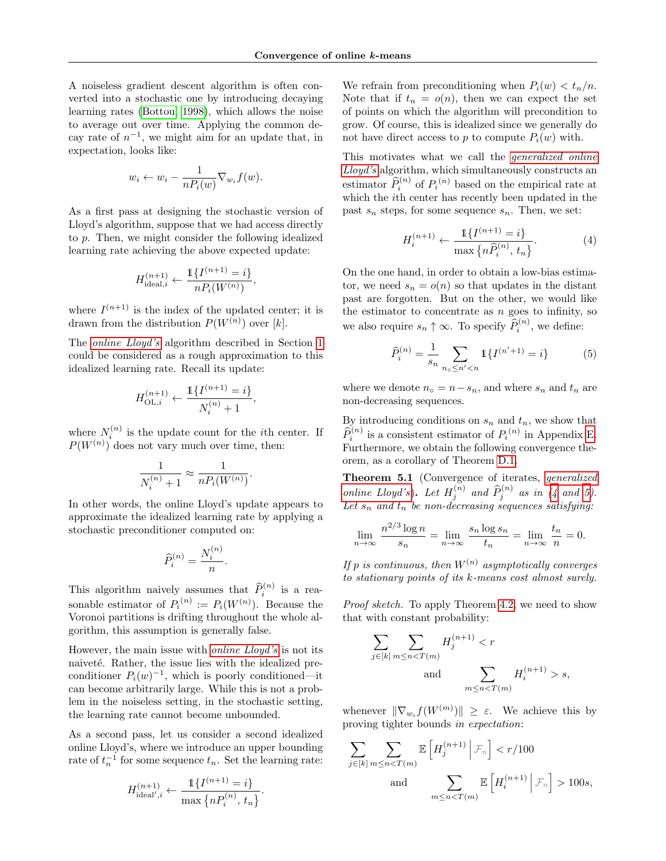A noiseless gradient descent algorithm is often converted into a stochastic one by introducing decaying learning rates [\(Bottou, 1998\)](#page-9-11), which allows the noise to average out over time. Applying the common decay rate of  $n^{-1}$ , we might aim for an update that, in expectation, looks like:

$$
w_i \leftarrow w_i - \frac{1}{n P_i(w)} \nabla_{w_i} f(w).
$$

As a first pass at designing the stochastic version of Lloyd's algorithm, suppose that we had access directly to p. Then, we might consider the following idealized learning rate achieving the above expected update:

$$
H_{\text{ideal},i}^{(n+1)} \leftarrow \frac{\mathbb{1}\{I^{(n+1)}=i\}}{nP_i(W^{(n)})},
$$

where  $I^{(n+1)}$  is the index of the updated center; it is drawn from the distribution  $P(W^{(n)})$  over [k].

The *[online Lloyd's](#page-11-0)* algorithm described in Section [1](#page-0-0) could be considered as a rough approximation to this idealized learning rate. Recall its update:

$$
H_{\text{OL},i}^{(n+1)} \leftarrow \frac{\mathbb{1}\{I^{(n+1)} = i\}}{N_i^{(n)} + 1},
$$

where  $N_i^{(n)}$  is the update count for the *i*th center. If  $P(W^{(n)})$  does not vary much over time, then:

$$
\frac{1}{N_i^{(n)}+1} \approx \frac{1}{n P_i(W^{(n)})}.
$$

In other words, the online Lloyd's update appears to approximate the idealized learning rate by applying a stochastic preconditioner computed on:

$$
\widehat{P}_i^{(n)} = \frac{N_i^{(n)}}{n}.
$$

This algorithm naively assumes that  $\widehat{P}_i^{(n)}$  is a reasonable estimator of  $P_i^{(n)} := P_i(W^{(n)})$ . Because the Voronoi partitions is drifting throughout the whole algorithm, this assumption is generally false.

However, the main issue with [online Lloyd's](#page-11-0) is not its naiveté. Rather, the issue lies with the idealized preconditioner  $P_i(w)^{-1}$ , which is poorly conditioned—it can become arbitrarily large. While this is not a problem in the noiseless setting, in the stochastic setting, the learning rate cannot become unbounded.

As a second pass, let us consider a second idealized online Lloyd's, where we introduce an upper bounding rate of  $t_n^{-1}$  for some sequence  $t_n$ . Set the learning rate:

$$
H_{\text{ideal}',i}^{(n+1)} \leftarrow \frac{\mathbb{1}\{I^{(n+1)} = i\}}{\max\left\{n P_i^{(n)}, t_n\right\}}.
$$

We refrain from preconditioning when  $P_i(w) < t_n/n$ . Note that if  $t_n = o(n)$ , then we can expect the set of points on which the algorithm will precondition to grow. Of course, this is idealized since we generally do not have direct access to p to compute  $P_i(w)$  with.

This motivates what we call the [generalized online](#page-11-2) [Lloyd's](#page-11-2) algorithm, which simultaneously constructs an estimator  $\widehat{P}_i^{(n)}$  of  $P_i^{(n)}$  based on the empirical rate at which the  $i$ <sup>th</sup> center has recently been updated in the past  $s_n$  steps, for some sequence  $s_n$ . Then, we set:

<span id="page-7-1"></span>
$$
H_i^{(n+1)} \leftarrow \frac{\mathbb{1}\{I^{(n+1)} = i\}}{\max\{n\hat{P}_i^{(n)}, t_n\}}.\tag{4}
$$

On the one hand, in order to obtain a low-bias estimator, we need  $s_n = o(n)$  so that updates in the distant past are forgotten. But on the other, we would like the estimator to concentrate as  $n$  goes to infinity, so we also require  $s_n \uparrow \infty$ . To specify  $\widehat{P}_i^{(n)}$ , we define:

<span id="page-7-2"></span>
$$
\widehat{P}_i^{(n)} = \frac{1}{s_n} \sum_{n_0 \le n' < n} \mathbb{1} \{ I^{(n'+1)} = i \} \tag{5}
$$

where we denote  $n<sub>o</sub> = n - s<sub>n</sub>$ , and where  $s<sub>n</sub>$  and  $t<sub>n</sub>$  are non-decreasing sequences.

By introducing conditions on  $s_n$  and  $t_n$ , we show that  $\widehat{P}_i^{(n)}$  is a consistent estimator of  $P_i^{(n)}$  in Appendix [E.](#page-24-0) Furthermore, we obtain the following convergence theorem, as a corollary of Theorem [D.1.](#page-20-0)

<span id="page-7-0"></span>Theorem 5.1 (Convergence of iterates, [generalized](#page-11-2) [online Lloyd's](#page-11-2)). Let  $H_j^{(n)}$  and  $\widehat{P}_j^{(n)}$  as in [\(4](#page-7-1) and [5\)](#page-7-2). Let  $s_n$  and  $t_n$  be non-decreasing sequences satisfying:

$$
\lim_{n \to \infty} \frac{n^{2/3} \log n}{s_n} = \lim_{n \to \infty} \frac{s_n \log s_n}{t_n} = \lim_{n \to \infty} \frac{t_n}{n} = 0.
$$

If p is continuous, then  $W^{(n)}$  asymptotically converges to stationary points of its k-means cost almost surely.

Proof sketch. To apply Theorem [4.2,](#page-6-0) we need to show that with constant probability:

$$
\sum_{j \in [k]} \sum_{m \le n < T(m)} H_j^{(n+1)} < r
$$
\n
$$
\text{and} \sum_{m \le n < T(m)} H_i^{(n+1)} > s,
$$

 $\hat{j}$ 

whenever  $\|\nabla_{w_i} f(W^{(m)})\| \geq \varepsilon$ . We achieve this by proving tighter bounds in expectation:

$$
\sum_{j \in [k]} \sum_{m \le n < T(m)} \mathbb{E}\left[H_j^{(n+1)} \middle| \mathcal{F}_n\right] < r/100
$$
\n
$$
\text{and} \sum_{m \le n < T(m)} \mathbb{E}\left[H_i^{(n+1)} \middle| \mathcal{F}_n\right] > 100s,
$$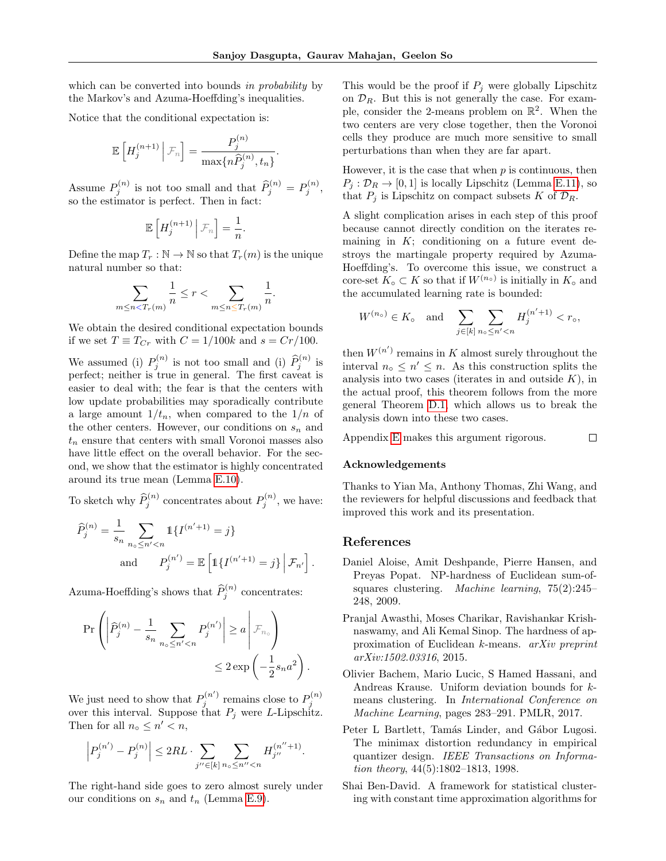which can be converted into bounds in probability by the Markov's and Azuma-Hoeffding's inequalities.

Notice that the conditional expectation is:

$$
\mathbb{E}\left[H_j^{(n+1)}\,\bigg|\,\mathcal{F}_n\right] = \frac{P_j^{(n)}}{\max\{n\widehat{P}_j^{(n)}, t_n\}}.
$$

Assume  $P_j^{(n)}$  is not too small and that  $\widehat{P}_j^{(n)} = P_j^{(n)}$ , so the estimator is perfect. Then in fact:

$$
\mathbb{E}\left[H_j^{(n+1)}\,\middle|\,\mathcal{F}_n\right] = \frac{1}{n}.
$$

Define the map  $T_r : \mathbb{N} \to \mathbb{N}$  so that  $T_r(m)$  is the unique natural number so that:

$$
\sum_{m \le n < T_r(m)} \frac{1}{n} \le r < \sum_{m \le n \le T_r(m)} \frac{1}{n}
$$

.

We obtain the desired conditional expectation bounds if we set  $T \equiv T_{Cr}$  with  $C = 1/100k$  and  $s = Cr/100$ .

We assumed (i)  $P_j^{(n)}$  is not too small and (i)  $\widehat{P}_j^{(n)}$  is perfect; neither is true in general. The first caveat is easier to deal with; the fear is that the centers with low update probabilities may sporadically contribute a large amount  $1/t_n$ , when compared to the  $1/n$  of the other centers. However, our conditions on  $s_n$  and  $t_n$  ensure that centers with small Voronoi masses also have little effect on the overall behavior. For the second, we show that the estimator is highly concentrated around its true mean (Lemma [E.10\)](#page-32-0).

To sketch why  $\widehat{P}_j^{(n)}$  concentrates about  $P_j^{(n)}$ , we have:

$$
\widehat{P}_j^{(n)} = \frac{1}{s_n} \sum_{n_0 \le n' < n} \mathbb{1}\{I^{(n'+1)} = j\}
$$
\nand\n
$$
P_j^{(n')} = \mathbb{E}\left[\mathbb{1}\{I^{(n'+1)} = j\} \middle| \mathcal{F}_{n'}\right].
$$

Azuma-Hoeffding's shows that  $\widehat{P}_j^{(n)}$  concentrates:

$$
\Pr\left(\left|\widehat{P}_{j}^{(n)} - \frac{1}{s_{n}} \sum_{n_{o} \leq n' < n} P_{j}^{(n')} \right| \geq a \middle| \mathcal{F}_{n_{o}}\right) \leq 2 \exp\left(-\frac{1}{2}s_{n}a^{2}\right).
$$

We just need to show that  $P_j^{(n')}$  remains close to  $P_j^{(n)}$ over this interval. Suppose that  $P_j$  were L-Lipschitz. Then for all  $n_{\circ} \leq n' < n$ ,

$$
\left| P_j^{(n')} - P_j^{(n)} \right| \leq 2RL \cdot \sum_{j'' \in [k]} \sum_{n_\circ \leq n'' < n} H_{j''}^{(n''+1)}.
$$

The right-hand side goes to zero almost surely under our conditions on  $s_n$  and  $t_n$  (Lemma [E.9\)](#page-31-0).

This would be the proof if  $P_j$  were globally Lipschitz on  $\mathcal{D}_R$ . But this is not generally the case. For example, consider the 2-means problem on  $\mathbb{R}^2$ . When the two centers are very close together, then the Voronoi cells they produce are much more sensitive to small perturbations than when they are far apart.

However, it is the case that when  $p$  is continuous, then  $P_j: \mathcal{D}_R \to [0,1]$  is locally Lipschitz (Lemma [E.11\)](#page-33-0), so that  $P_j$  is Lipschitz on compact subsets K of  $\mathcal{D}_R$ .

A slight complication arises in each step of this proof because cannot directly condition on the iterates remaining in  $K$ ; conditioning on a future event destroys the martingale property required by Azuma-Hoeffding's. To overcome this issue, we construct a core-set  $K_{\circ} \subset K$  so that if  $W^{(n_{\circ})}$  is initially in  $K_{\circ}$  and the accumulated learning rate is bounded:

$$
W^{(n_{\mathrm{o}})}\in K_{\mathrm{o}}\quad\text{and}\quad\sum_{j\in[k]}\sum_{n_{\mathrm{o}}\leq n'
$$

then  $W^{(n')}$  remains in K almost surely throughout the interval  $n_{\circ} \leq n' \leq n$ . As this construction splits the analysis into two cases (iterates in and outside  $K$ ), in the actual proof, this theorem follows from the more general Theorem [D.1,](#page-20-0) which allows us to break the analysis down into these two cases.

 $\Box$ Appendix [E](#page-24-0) makes this argument rigorous.

### Acknowledgements

Thanks to Yian Ma, Anthony Thomas, Zhi Wang, and the reviewers for helpful discussions and feedback that improved this work and its presentation.

## References

- <span id="page-8-1"></span>Daniel Aloise, Amit Deshpande, Pierre Hansen, and Preyas Popat. NP-hardness of Euclidean sum-ofsquares clustering. Machine learning, 75(2):245– 248, 2009.
- <span id="page-8-2"></span>Pranjal Awasthi, Moses Charikar, Ravishankar Krishnaswamy, and Ali Kemal Sinop. The hardness of approximation of Euclidean k-means. arXiv preprint arXiv:1502.03316, 2015.
- <span id="page-8-0"></span>Olivier Bachem, Mario Lucic, S Hamed Hassani, and Andreas Krause. Uniform deviation bounds for kmeans clustering. In International Conference on Machine Learning, pages 283–291. PMLR, 2017.
- <span id="page-8-3"></span>Peter L Bartlett, Tamás Linder, and Gábor Lugosi. The minimax distortion redundancy in empirical quantizer design. IEEE Transactions on Information theory, 44(5):1802–1813, 1998.
- <span id="page-8-4"></span>Shai Ben-David. A framework for statistical clustering with constant time approximation algorithms for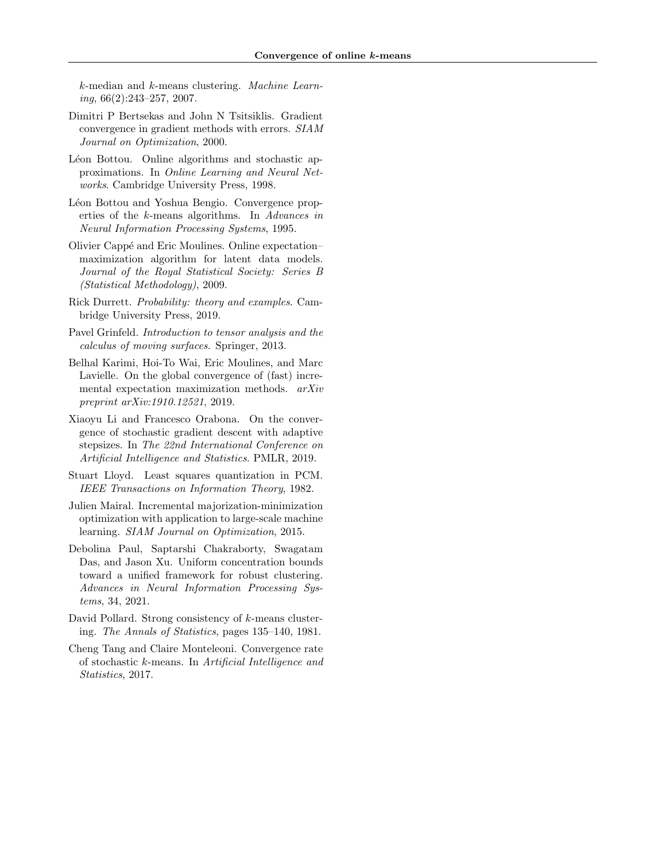k-median and k-means clustering. Machine Learning, 66(2):243–257, 2007.

- <span id="page-9-3"></span>Dimitri P Bertsekas and John N Tsitsiklis. Gradient convergence in gradient methods with errors. SIAM Journal on Optimization, 2000.
- <span id="page-9-11"></span>Léon Bottou. Online algorithms and stochastic approximations. In Online Learning and Neural Networks. Cambridge University Press, 1998.
- <span id="page-9-1"></span>Léon Bottou and Yoshua Bengio. Convergence properties of the k-means algorithms. In Advances in Neural Information Processing Systems, 1995.
- <span id="page-9-7"></span>Olivier Capp´e and Eric Moulines. Online expectation– maximization algorithm for latent data models. Journal of the Royal Statistical Society: Series B (Statistical Methodology), 2009.
- <span id="page-9-10"></span>Rick Durrett. Probability: theory and examples. Cambridge University Press, 2019.
- <span id="page-9-12"></span>Pavel Grinfeld. Introduction to tensor analysis and the calculus of moving surfaces. Springer, 2013.
- <span id="page-9-8"></span>Belhal Karimi, Hoi-To Wai, Eric Moulines, and Marc Lavielle. On the global convergence of (fast) incremental expectation maximization methods. arXiv preprint arXiv:1910.12521, 2019.
- <span id="page-9-5"></span>Xiaoyu Li and Francesco Orabona. On the convergence of stochastic gradient descent with adaptive stepsizes. In The 22nd International Conference on Artificial Intelligence and Statistics. PMLR, 2019.
- <span id="page-9-0"></span>Stuart Lloyd. Least squares quantization in PCM. IEEE Transactions on Information Theory, 1982.
- <span id="page-9-6"></span>Julien Mairal. Incremental majorization-minimization optimization with application to large-scale machine learning. SIAM Journal on Optimization, 2015.
- <span id="page-9-9"></span>Debolina Paul, Saptarshi Chakraborty, Swagatam Das, and Jason Xu. Uniform concentration bounds toward a unified framework for robust clustering. Advances in Neural Information Processing Systems, 34, 2021.
- <span id="page-9-4"></span>David Pollard. Strong consistency of k-means clustering. The Annals of Statistics, pages 135–140, 1981.
- <span id="page-9-2"></span>Cheng Tang and Claire Monteleoni. Convergence rate of stochastic k-means. In Artificial Intelligence and Statistics, 2017.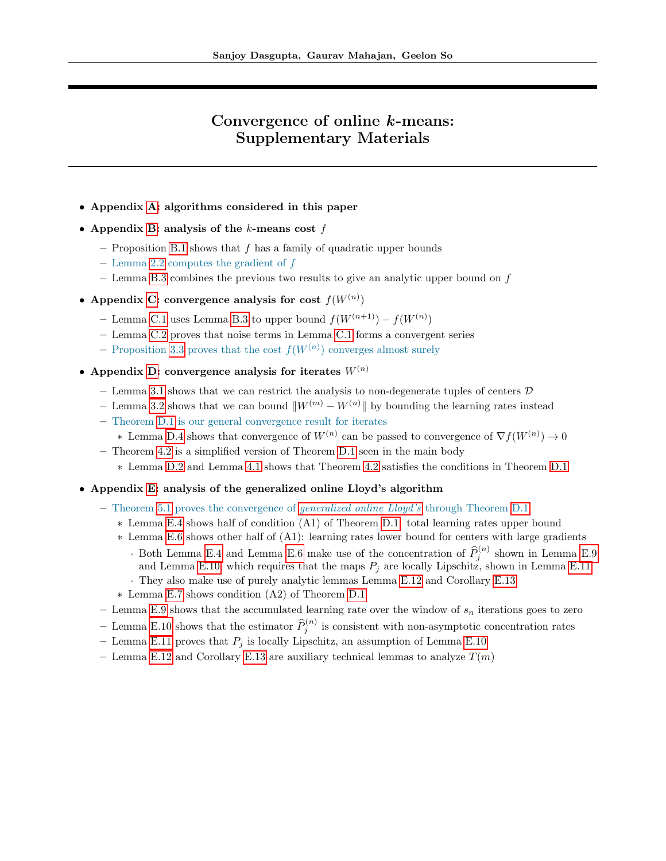# Convergence of online k-means: Supplementary Materials

- Appendix [A:](#page-11-1) algorithms considered in this paper
- Appendix [B:](#page-13-0) analysis of the  $k$ -means cost  $f$ 
	- $-$  Proposition [B.1](#page-13-1) shows that f has a family of quadratic upper bounds
	- Lemma [2.2](#page-3-0) computes the gradient of  $f$
	- Lemma [B.3](#page-16-0) combines the previous two results to give an analytic upper bound on  $f$
- Appendix [C:](#page-18-0) convergence analysis for cost  $f(W^{(n)})$ 
	- Lemma [C.1](#page-18-1) uses Lemma [B.3](#page-16-0) to upper bound  $f(W^{(n+1)}) f(W^{(n)})$
	- Lemma [C.2](#page-18-2) proves that noise terms in Lemma [C.1](#page-18-1) forms a convergent series
	- Proposition [3.3](#page-4-4) proves that the cost  $f(W^{(n)})$  converges almost surely
- Appendix [D:](#page-20-1) convergence analysis for iterates  $W^{(n)}$ 
	- Lemma [3.1](#page-4-3) shows that we can restrict the analysis to non-degenerate tuples of centers  $D$
	- Lemma [3.2](#page-4-2) shows that we can bound  $||W^{(m)} W^{(n)}||$  by bounding the learning rates instead
	- Theorem [D.1](#page-20-0) is our general convergence result for iterates
		- ∗ Lemma [D.4](#page-23-0) shows that convergence of  $W^{(n)}$  can be passed to convergence of  $\nabla f(W^{(n)}) \to 0$
	- Theorem [4.2](#page-6-0) is a simplified version of Theorem [D.1](#page-20-0) seen in the main body
		- ∗ Lemma [D.2](#page-22-0) and Lemma [4.1](#page-5-0) shows that Theorem [4.2](#page-6-0) satisfies the conditions in Theorem [D.1](#page-20-0)
- Appendix [E:](#page-24-0) analysis of the generalized online Lloyd's algorithm
	- Theorem [5.1](#page-7-0) proves the convergence of [generalized online Lloyd's](#page-11-2) through Theorem [D.1](#page-20-0)
		- ∗ Lemma [E.4](#page-26-0) shows half of condition (A1) of Theorem [D.1:](#page-20-0) total learning rates upper bound
		- ∗ Lemma [E.6](#page-28-0) shows other half of (A1): learning rates lower bound for centers with large gradients
			- · Both Lemma [E.4](#page-26-0) and Lemma [E.6](#page-28-0) make use of the concentration of  $\widehat{P}_j^{(n)}$  shown in Lemma [E.9](#page-31-0) and Lemma [E.10,](#page-32-0) which requires that the maps  $P_j$  are locally Lipschitz, shown in Lemma [E.11](#page-33-0)
			- · They also make use of purely analytic lemmas Lemma [E.12](#page-35-0) and Corollary [E.13](#page-35-1)
		- ∗ Lemma [E.7](#page-30-0) shows condition (A2) of Theorem [D.1](#page-20-0)
	- Lemma [E.9](#page-31-0) shows that the accumulated learning rate over the window of  $s_n$  iterations goes to zero
	- Lemma [E.10](#page-32-0) shows that the estimator  $\widehat{P}_j^{(n)}$  is consistent with non-asymptotic concentration rates
	- Lemma [E.11](#page-33-0) proves that  $P_i$  is locally Lipschitz, an assumption of Lemma [E.10](#page-32-0)
	- Lemma [E.12](#page-35-0) and Corollary [E.13](#page-35-1) are auxiliary technical lemmas to analyze  $T(m)$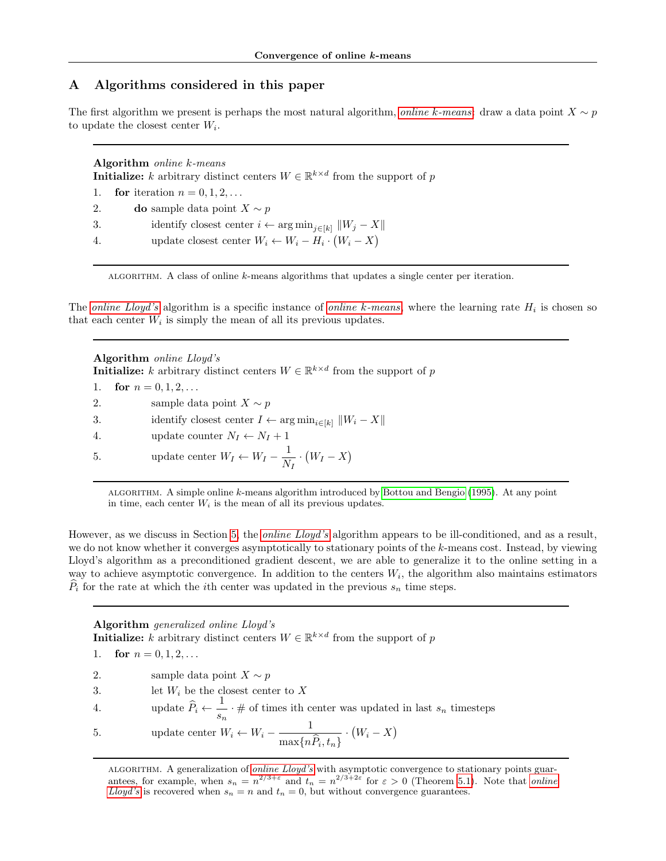# <span id="page-11-1"></span>A Algorithms considered in this paper

<span id="page-11-3"></span>The first algorithm we present is perhaps the most natural algorithm, *online k[-means](#page-11-3)*: draw a data point  $X \sim p$ to update the closest center  $W_i$ .

# Algorithm online k-means

**Initialize:** k arbitrary distinct centers  $W \in \mathbb{R}^{k \times d}$  from the support of p

- 1. for iteration  $n = 0, 1, 2, \ldots$
- 2. do sample data point  $X \sim p$
- 3. identify closest center  $i \leftarrow \arg \min_{i \in [k]} ||W_i X||$
- 4. update closest center  $W_i \leftarrow W_i H_i \cdot (W_i X)$

ALGORITHM. A class of online  $k$ -means algorithms that updates a single center per iteration.

The *[online Lloyd's](#page-11-0)* algorithm is a specific instance of *online k[-means](#page-11-3)*, where the learning rate  $H_i$  is chosen so that each center  $W_i$  is simply the mean of all its previous updates.

<span id="page-11-0"></span>Algorithm online Lloyd's **Initialize:** k arbitrary distinct centers  $W \in \mathbb{R}^{k \times d}$  from the support of p 1. for  $n = 0, 1, 2, \ldots$ 2. sample data point  $X \sim p$ 3. identify closest center  $I \leftarrow \arg \min_{i \in [k]} ||W_i - X||$ 4. update counter  $N_I \leftarrow N_I + 1$ 5. update center  $W_I \leftarrow W_I - \frac{1}{N}$  $\frac{1}{N_I} \cdot (W_I - X)$ 

algorithm. A simple online k-means algorithm introduced by [Bottou and Bengio](#page-9-1) [\(1995\)](#page-9-1). At any point in time, each center  $W_i$  is the mean of all its previous updates.

However, as we discuss in Section [5,](#page-6-2) the *[online Lloyd's](#page-11-0)* algorithm appears to be ill-conditioned, and as a result, we do not know whether it converges asymptotically to stationary points of the k-means cost. Instead, by viewing Lloyd's algorithm as a preconditioned gradient descent, we are able to generalize it to the online setting in a way to achieve asymptotic convergence. In addition to the centers  $W_i$ , the algorithm also maintains estimators  $P_i$  for the rate at which the *i*th center was updated in the previous  $s_n$  time steps.

<span id="page-11-2"></span>Algorithm generalized online Lloyd's **Initialize:** k arbitrary distinct centers  $W \in \mathbb{R}^{k \times d}$  from the support of p

- 1. for  $n = 0, 1, 2, \ldots$
- 2. sample data point  $X \sim p$
- 3. let  $W_i$  be the closest center to X
- 4. update  $\widehat{P}_i \leftarrow \frac{1}{s_s}$  $\frac{1}{s_n} \cdot \#$  of times ith center was updated in last  $s_n$  timesteps

5. update center 
$$
W_i \leftarrow W_i - \frac{1}{\max\{n\hat{P}_i, t_n\}} \cdot (W_i - X)
$$

ALGORITHM. A generalization of *[online Lloyd's](#page-11-0)* with asymptotic convergence to stationary points guarantees, for example, when  $s_n = n^{2/3+\epsilon}$  and  $t_n = n^{2/3+2\epsilon}$  for  $\epsilon > 0$  (Theorem [5.1\)](#page-7-0). Note that *[online](#page-11-0)* [Lloyd's](#page-11-0) is recovered when  $s_n = n$  and  $t_n = 0$ , but without convergence guarantees.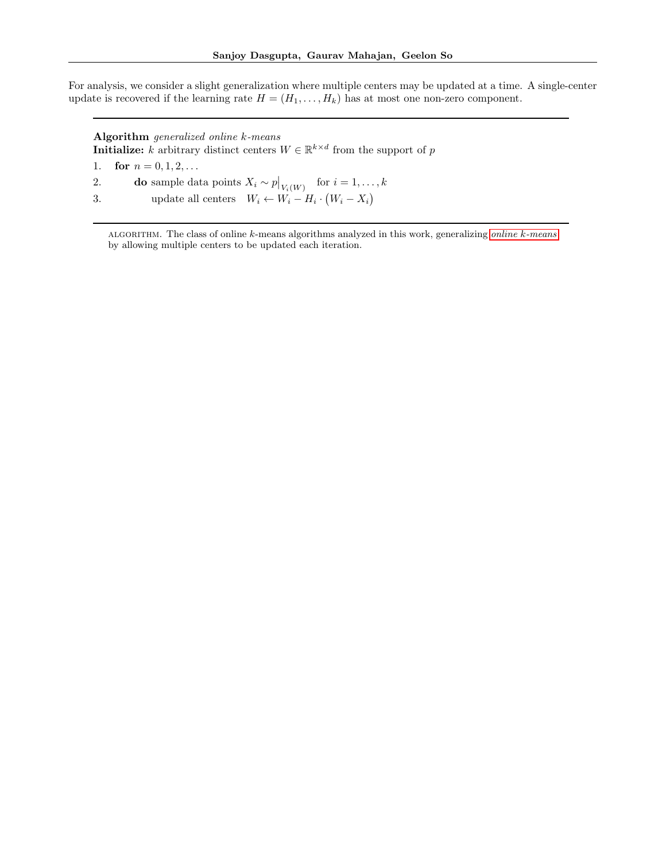For analysis, we consider a slight generalization where multiple centers may be updated at a time. A single-center update is recovered if the learning rate  $H = (H_1, \ldots, H_k)$  has at most one non-zero component.

Algorithm generalized online k-means

**Initialize:** k arbitrary distinct centers  $W \in \mathbb{R}^{k \times d}$  from the support of p

- 1. for  $n = 0, 1, 2, \ldots$
- 2. do sample data points  $X_i \sim p|_{V_i(W)}$  for  $i = 1, ..., k$
- 3. update all centers  $W_i \leftarrow W_i H_i \cdot (W_i X_i)$

algorithm. The class of online k-means algorithms analyzed in this work, generalizing online k[-means](#page-1-0) by allowing multiple centers to be updated each iteration.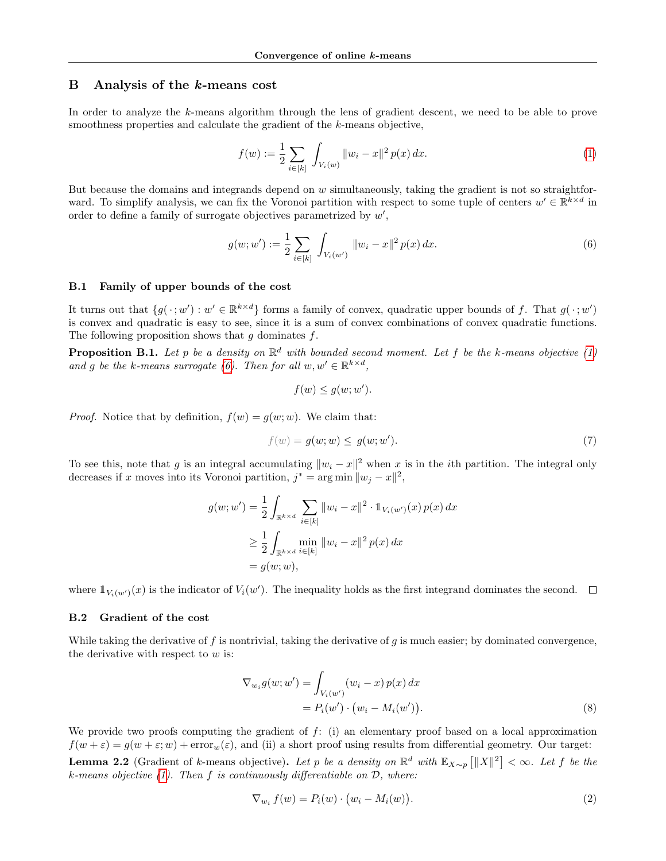# <span id="page-13-0"></span>B Analysis of the k-means cost

In order to analyze the k-means algorithm through the lens of gradient descent, we need to be able to prove smoothness properties and calculate the gradient of the k-means objective,

<span id="page-13-2"></span>
$$
f(w) := \frac{1}{2} \sum_{i \in [k]} \int_{V_i(w)} ||w_i - x||^2 p(x) dx.
$$
 (1)

But because the domains and integrands depend on  $w$  simultaneously, taking the gradient is not so straightforward. To simplify analysis, we can fix the Voronoi partition with respect to some tuple of centers  $w' \in \mathbb{R}^{k \times d}$  in order to define a family of surrogate objectives parametrized by  $w'$ ,

$$
g(w; w') := \frac{1}{2} \sum_{i \in [k]} \int_{V_i(w')} \|w_i - x\|^2 p(x) dx.
$$
 (6)

### B.1 Family of upper bounds of the cost

It turns out that  $\{g(\cdot; w'): w' \in \mathbb{R}^{k \times d}\}\)$  forms a family of convex, quadratic upper bounds of f. That  $g(\cdot; w')$ is convex and quadratic is easy to see, since it is a sum of convex combinations of convex quadratic functions. The following proposition shows that  $g$  dominates  $f$ .

<span id="page-13-1"></span>**Proposition B.1.** Let p be a density on  $\mathbb{R}^d$  with bounded second moment. Let f be the k-means objective [\(1\)](#page-2-2) and g be the k-means surrogate [\(6\)](#page-13-2). Then for all  $w, w' \in \mathbb{R}^{k \times d}$ ,

$$
f(w) \le g(w; w').
$$

*Proof.* Notice that by definition,  $f(w) = q(w; w)$ . We claim that:

$$
f(w) = g(w; w) \le g(w; w'). \tag{7}
$$

To see this, note that g is an integral accumulating  $||w_i - x||^2$  when x is in the *i*th partition. The integral only decreases if x moves into its Voronoi partition,  $j^* = \arg \min \|w_j - x\|^2$ ,

$$
g(w; w') = \frac{1}{2} \int_{\mathbb{R}^{k \times d}} \sum_{i \in [k]} \|w_i - x\|^2 \cdot \mathbb{1}_{V_i(w')}(x) p(x) dx
$$
  
\n
$$
\geq \frac{1}{2} \int_{\mathbb{R}^{k \times d}} \min_{i \in [k]} \|w_i - x\|^2 p(x) dx
$$
  
\n
$$
= g(w; w),
$$

where  $\mathbb{1}_{V_i(w')}(x)$  is the indicator of  $V_i(w')$ . The inequality holds as the first integrand dominates the second.

# B.2 Gradient of the cost

While taking the derivative of  $f$  is nontrivial, taking the derivative of  $g$  is much easier; by dominated convergence, the derivative with respect to  $w$  is:

<span id="page-13-3"></span>
$$
\nabla_{w_i} g(w; w') = \int_{V_i(w')} (w_i - x) p(x) dx \n= P_i(w') \cdot (w_i - M_i(w')).
$$
\n(8)

We provide two proofs computing the gradient of f: (i) an elementary proof based on a local approximation  $f(w+\varepsilon)=g(w+\varepsilon; w)+\text{error}_{w}(\varepsilon)$ , and (ii) a short proof using results from differential geometry. Our target: **Lemma 2.2** (Gradient of k-means objective). Let p be a density on  $\mathbb{R}^d$  with  $\mathbb{E}_{X \sim p} \left[ \|X\|^2 \right] < \infty$ . Let f be the k-means objective  $(1)$ . Then f is continuously differentiable on  $D$ , where:

$$
\nabla_{w_i} f(w) = P_i(w) \cdot \big( w_i - M_i(w) \big). \tag{2}
$$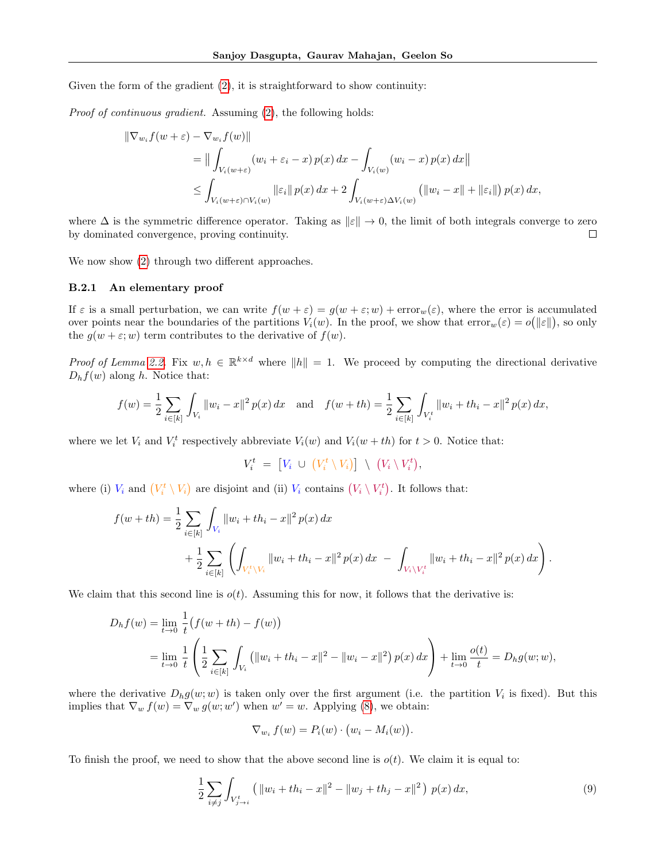Given the form of the gradient  $(2)$ , it is straightforward to show continuity:

Proof of continuous gradient. Assuming [\(2\)](#page-3-4), the following holds:

$$
\|\nabla_{w_i} f(w+\varepsilon) - \nabla_{w_i} f(w)\|
$$
  
\n
$$
= \left\|\int_{V_i(w+\varepsilon)} (w_i + \varepsilon_i - x) p(x) dx - \int_{V_i(w)} (w_i - x) p(x) dx\right\|
$$
  
\n
$$
\leq \int_{V_i(w+\varepsilon) \cap V_i(w)} \|\varepsilon_i\| p(x) dx + 2 \int_{V_i(w+\varepsilon) \Delta V_i(w)} \left( \|w_i - x\| + \|\varepsilon_i\|\right) p(x) dx,
$$

where  $\Delta$  is the symmetric difference operator. Taking as  $\|\varepsilon\| \to 0$ , the limit of both integrals converge to zero by dominated convergence, proving continuity.  $\Box$ 

We now show [\(2\)](#page-3-4) through two different approaches.

### B.2.1 An elementary proof

If  $\varepsilon$  is a small perturbation, we can write  $f(w + \varepsilon) = g(w + \varepsilon; w) + \text{error}_w(\varepsilon)$ , where the error is accumulated over points near the boundaries of the partitions  $V_i(w)$ . In the proof, we show that  $error_w(\varepsilon) = o(||\varepsilon||)$ , so only the  $g(w + \varepsilon; w)$  term contributes to the derivative of  $f(w)$ .

*Proof of Lemma [2.2.](#page-3-0)* Fix  $w, h \in \mathbb{R}^{k \times d}$  where  $||h|| = 1$ . We proceed by computing the directional derivative  $D_h f(w)$  along h. Notice that:

$$
f(w) = \frac{1}{2} \sum_{i \in [k]} \int_{V_i} ||w_i - x||^2 p(x) dx \text{ and } f(w + th) = \frac{1}{2} \sum_{i \in [k]} \int_{V_i^t} ||w_i + th_i - x||^2 p(x) dx,
$$

where we let  $V_i$  and  $V_i^t$  respectively abbreviate  $V_i(w)$  and  $V_i(w + th)$  for  $t > 0$ . Notice that:

$$
V_i^t = [V_i \cup (V_i^t \setminus V_i)] \setminus (V_i \setminus V_i^t),
$$

where (i)  $V_i$  and  $(V_i^t \setminus V_i)$  are disjoint and (ii)  $V_i$  contains  $(V_i \setminus V_i^t)$ . It follows that:

$$
f(w+th) = \frac{1}{2} \sum_{i \in [k]} \int_{V_i} ||w_i + th_i - x||^2 p(x) dx
$$
  
+ 
$$
\frac{1}{2} \sum_{i \in [k]} \left( \int_{V_i^t \backslash V_i} ||w_i + th_i - x||^2 p(x) dx - \int_{V_i \backslash V_i^t} ||w_i + th_i - x||^2 p(x) dx \right).
$$

We claim that this second line is  $o(t)$ . Assuming this for now, it follows that the derivative is:

$$
D_h f(w) = \lim_{t \to 0} \frac{1}{t} \left( f(w + th) - f(w) \right)
$$
  
= 
$$
\lim_{t \to 0} \frac{1}{t} \left( \frac{1}{2} \sum_{i \in [k]} \int_{V_i} \left( \|w_i + th_i - x\|^2 - \|w_i - x\|^2 \right) p(x) dx \right) + \lim_{t \to 0} \frac{o(t)}{t} = D_h g(w; w),
$$

where the derivative  $D_h g(w; w)$  is taken only over the first argument (i.e. the partition  $V_i$  is fixed). But this implies that  $\nabla_w f(w) = \nabla_w g(w; w')$  when  $w' = w$ . Applying [\(8\)](#page-13-3), we obtain:

$$
\nabla_{w_i} f(w) = P_i(w) \cdot \big( w_i - M_i(w) \big).
$$

To finish the proof, we need to show that the above second line is  $o(t)$ . We claim it is equal to:

<span id="page-14-0"></span>
$$
\frac{1}{2} \sum_{i \neq j} \int_{V_{j \to i}^t} \left( \|w_i + th_i - x\|^2 - \|w_j + th_j - x\|^2 \right) p(x) dx, \tag{9}
$$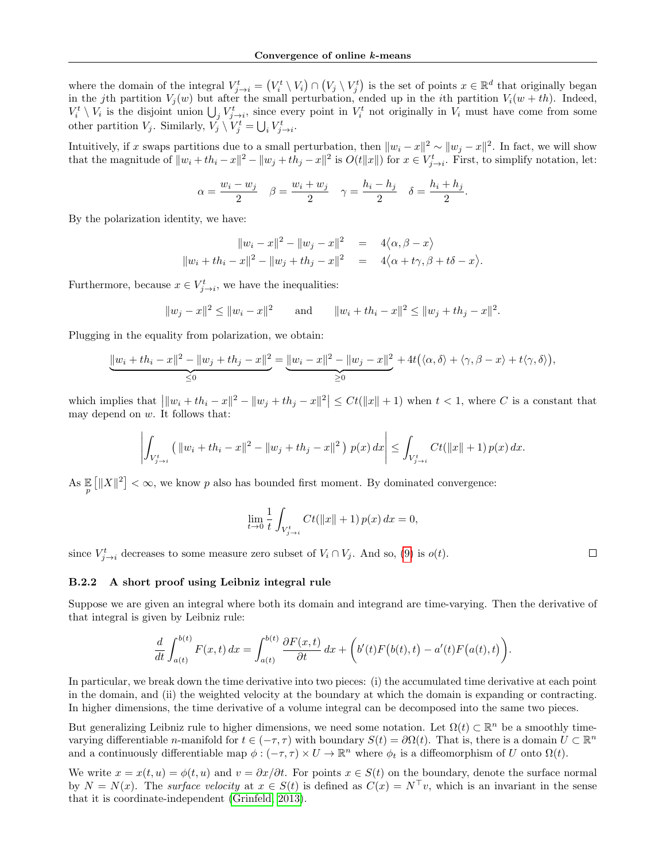where the domain of the integral  $V_{j\to i}^t = (V_i^t \setminus V_i) \cap (V_j \setminus V_j^t)$  is the set of points  $x \in \mathbb{R}^d$  that originally began in the jth partition  $V_j(w)$  but after the small perturbation, ended up in the *i*th partition  $V_i(w + th)$ . Indeed,  $V_i^t \setminus V_i$  is the disjoint union  $\bigcup_j V_{j \to i}^t$ , since every point in  $V_i^t$  not originally in  $V_i$  must have come from some other partition  $V_j$ . Similarly,  $V_j \setminus V_j^t = \bigcup_i V_{j \to i}^t$ .

Intuitively, if x swaps partitions due to a small perturbation, then  $||w_i - x||^2 \sim ||w_j - x||^2$ . In fact, we will show that the magnitude of  $||w_i + th_i - x||^2 - ||w_j + th_j - x||^2$  is  $O(t||x||)$  for  $x \in V^t_{j \to i}$ . First, to simplify notation, let:

$$
\alpha = \frac{w_i - w_j}{2} \quad \beta = \frac{w_i + w_j}{2} \quad \gamma = \frac{h_i - h_j}{2} \quad \delta = \frac{h_i + h_j}{2}.
$$

By the polarization identity, we have:

$$
||w_i - x||^2 - ||w_j - x||^2 = 4\langle \alpha, \beta - x \rangle
$$
  

$$
||w_i + th_i - x||^2 - ||w_j + th_j - x||^2 = 4\langle \alpha + t\gamma, \beta + t\delta - x \rangle.
$$

Furthermore, because  $x \in V^t_{j \to i}$ , we have the inequalities:

$$
||w_j - x||^2 \le ||w_i - x||^2
$$
 and  $||w_i + th_i - x||^2 \le ||w_j + th_j - x||^2$ .

Plugging in the equality from polarization, we obtain:

$$
\underbrace{\|w_i+th_i-x\|^2-\|w_j+th_j-x\|^2}_{\leq 0}=\underbrace{\|w_i-x\|^2-\|w_j-x\|^2}_{\geq 0}+4t\big(\langle \alpha,\delta\rangle+\langle \gamma,\beta-x\rangle+t\langle \gamma,\delta\rangle\big),
$$

which implies that  $\left|\|w_i+th_i-x\|^2-\|w_j+th_j-x\|^2\right|\leq Ct(\|x\|+1)$  when  $t<1$ , where C is a constant that may depend on  $w$ . It follows that:

$$
\left| \int_{V_{j\to i}^t} \left( \|w_i + th_i - x\|^2 - \|w_j + th_j - x\|^2 \right) p(x) \, dx \right| \leq \int_{V_{j\to i}^t} Ct(\|x\| + 1) p(x) \, dx.
$$

As  $\mathbb{E}_{p} [||X||^2] < \infty$ , we know p also has bounded first moment. By dominated convergence:

$$
\lim_{t \to 0} \frac{1}{t} \int_{V_{j \to i}^t} Ct(\|x\| + 1) p(x) dx = 0,
$$

since  $V_{j\rightarrow i}^t$  decreases to some measure zero subset of  $V_i \cap V_j$ . And so, [\(9\)](#page-14-0) is  $o(t)$ .

B.2.2 A short proof using Leibniz integral rule

Suppose we are given an integral where both its domain and integrand are time-varying. Then the derivative of that integral is given by Leibniz rule:

$$
\frac{d}{dt} \int_{a(t)}^{b(t)} F(x,t) dx = \int_{a(t)}^{b(t)} \frac{\partial F(x,t)}{\partial t} dx + \left( b'(t)F(b(t),t) - a'(t)F(a(t),t) \right).
$$

In particular, we break down the time derivative into two pieces: (i) the accumulated time derivative at each point in the domain, and (ii) the weighted velocity at the boundary at which the domain is expanding or contracting. In higher dimensions, the time derivative of a volume integral can be decomposed into the same two pieces.

But generalizing Leibniz rule to higher dimensions, we need some notation. Let  $\Omega(t) \subset \mathbb{R}^n$  be a smoothly timevarying differentiable *n*-manifold for  $t \in (-\tau, \tau)$  with boundary  $S(t) = \partial \Omega(t)$ . That is, there is a domain  $U \subset \mathbb{R}^n$ and a continuously differentiable map  $\phi: (-\tau, \tau) \times U \to \mathbb{R}^n$  where  $\phi_t$  is a diffeomorphism of U onto  $\Omega(t)$ .

We write  $x = x(t, u) = \phi(t, u)$  and  $v = \partial x/\partial t$ . For points  $x \in S(t)$  on the boundary, denote the surface normal by  $N = N(x)$ . The surface velocity at  $x \in S(t)$  is defined as  $C(x) = N^{\top}v$ , which is an invariant in the sense that it is coordinate-independent [\(Grinfeld, 2013\)](#page-9-12).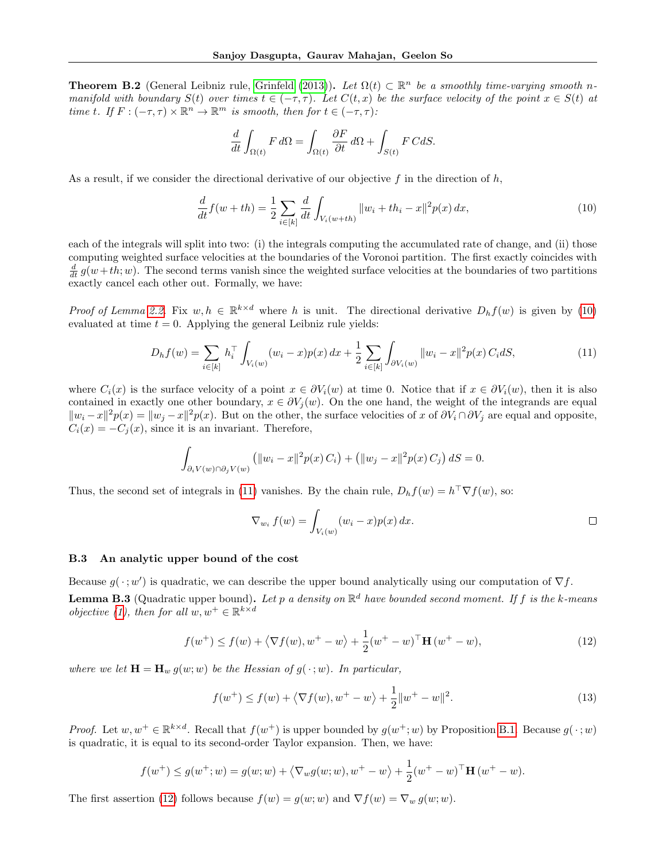**Theorem B.2** (General Leibniz rule, [Grinfeld](#page-9-12) [\(2013\)](#page-9-12)). Let  $\Omega(t) \subset \mathbb{R}^n$  be a smoothly time-varying smooth nmanifold with boundary  $S(t)$  over times  $t \in (-\tau, \tau)$ . Let  $C(t, x)$  be the surface velocity of the point  $x \in S(t)$  at time t. If  $F: (-\tau, \tau) \times \mathbb{R}^n \to \mathbb{R}^m$  is smooth, then for  $t \in (-\tau, \tau)$ :

$$
\frac{d}{dt} \int_{\Omega(t)} F d\Omega = \int_{\Omega(t)} \frac{\partial F}{\partial t} d\Omega + \int_{S(t)} F C dS.
$$

As a result, if we consider the directional derivative of our objective f in the direction of  $h$ ,

<span id="page-16-1"></span>
$$
\frac{d}{dt}f(w+th) = \frac{1}{2} \sum_{i \in [k]} \frac{d}{dt} \int_{V_i(w+th)} ||w_i + th_i - x||^2 p(x) dx,
$$
\n(10)

each of the integrals will split into two: (i) the integrals computing the accumulated rate of change, and (ii) those computing weighted surface velocities at the boundaries of the Voronoi partition. The first exactly coincides with  $\frac{d}{dt} g(w+th; w)$ . The second terms vanish since the weighted surface velocities at the boundaries of two partitions exactly cancel each other out. Formally, we have:

*Proof of Lemma [2.2.](#page-3-0)* Fix  $w, h \in \mathbb{R}^{k \times d}$  where h is unit. The directional derivative  $D_h f(w)$  is given by [\(10\)](#page-16-1) evaluated at time  $t = 0$ . Applying the general Leibniz rule yields:

<span id="page-16-2"></span>
$$
D_h f(w) = \sum_{i \in [k]} h_i^{\top} \int_{V_i(w)} (w_i - x) p(x) \, dx + \frac{1}{2} \sum_{i \in [k]} \int_{\partial V_i(w)} ||w_i - x||^2 p(x) \, C_i dS,\tag{11}
$$

where  $C_i(x)$  is the surface velocity of a point  $x \in \partial V_i(w)$  at time 0. Notice that if  $x \in \partial V_i(w)$ , then it is also contained in exactly one other boundary,  $x \in \partial V_i(w)$ . On the one hand, the weight of the integrands are equal  $||w_i - x||^2 p(x) = ||w_j - x||^2 p(x)$ . But on the other, the surface velocities of x of  $\partial V_i \cap \partial V_j$  are equal and opposite,  $C_i(x) = -C_i(x)$ , since it is an invariant. Therefore,

$$
\int_{\partial_i V(w) \cap \partial_j V(w)} \left( \|w_i - x\|^2 p(x) C_i \right) + \left( \|w_j - x\|^2 p(x) C_j \right) dS = 0.
$$

Thus, the second set of integrals in [\(11\)](#page-16-2) vanishes. By the chain rule,  $D_h f(w) = h^{\top} \nabla f(w)$ , so:

<span id="page-16-3"></span>
$$
\nabla_{w_i} f(w) = \int_{V_i(w)} (w_i - x) p(x) dx.
$$

### B.3 An analytic upper bound of the cost

<span id="page-16-0"></span>Because  $g(\cdot; w')$  is quadratic, we can describe the upper bound analytically using our computation of  $\nabla f$ . **Lemma B.3** (Quadratic upper bound). Let p a density on  $\mathbb{R}^d$  have bounded second moment. If f is the k-means *objective* [\(1\)](#page-2-2), then for all  $w, w^+ \in \mathbb{R}^{k \times d}$ 

$$
f(w^{+}) \le f(w) + \langle \nabla f(w), w^{+} - w \rangle + \frac{1}{2} (w^{+} - w)^{\top} \mathbf{H} (w^{+} - w), \tag{12}
$$

where we let  $\mathbf{H} = \mathbf{H}_w g(w; w)$  be the Hessian of  $g(\cdot; w)$ . In particular,

<span id="page-16-4"></span>
$$
f(w^{+}) \le f(w) + \langle \nabla f(w), w^{+} - w \rangle + \frac{1}{2} ||w^{+} - w||^{2}.
$$
 (13)

*Proof.* Let  $w, w^+ \in \mathbb{R}^{k \times d}$ . Recall that  $f(w^+)$  is upper bounded by  $g(w^+; w)$  by Proposition [B.1.](#page-13-1) Because  $g(\cdot; w)$ is quadratic, it is equal to its second-order Taylor expansion. Then, we have:

$$
f(w^+) \le g(w^+; w) = g(w; w) + \langle \nabla_w g(w; w), w^+ - w \rangle + \frac{1}{2} (w^+ - w)^\top \mathbf{H} (w^+ - w).
$$

The first assertion [\(12\)](#page-16-3) follows because  $f(w) = g(w; w)$  and  $\nabla f(w) = \nabla_w g(w; w)$ .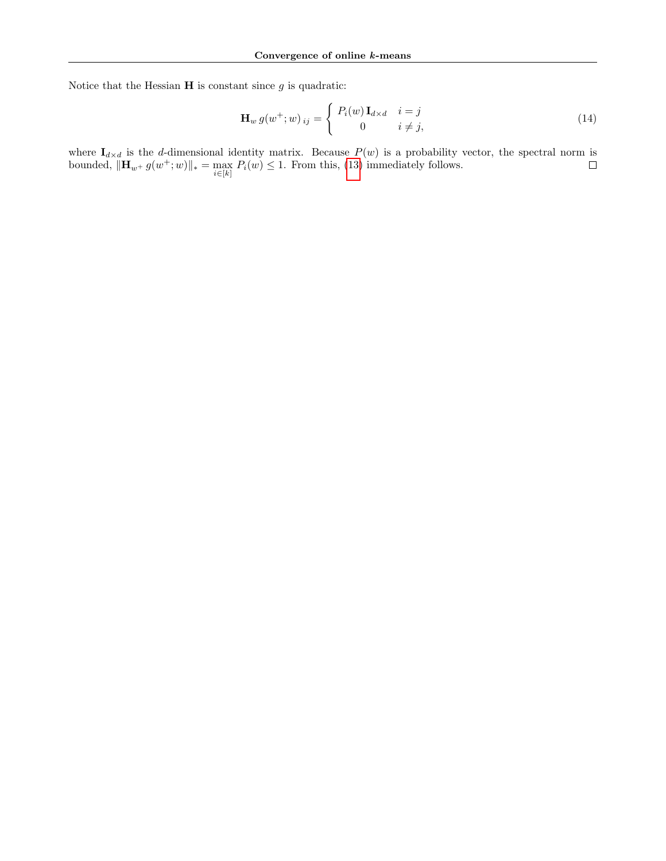Notice that the Hessian  $H$  is constant since  $g$  is quadratic:

$$
\mathbf{H}_w g(w^+; w)_{ij} = \begin{cases} P_i(w) \mathbf{I}_{d \times d} & i = j \\ 0 & i \neq j, \end{cases} \tag{14}
$$

where  $I_{d\times d}$  is the d-dimensional identity matrix. Because  $P(w)$  is a probability vector, the spectral norm is bounded,  $\|\mathbf{H}_{w^+} g(w^+; w)\|_* = \max_{i \in [k]} P_i(w) \leq 1$ . From this, [\(13\)](#page-16-4) immediately follows.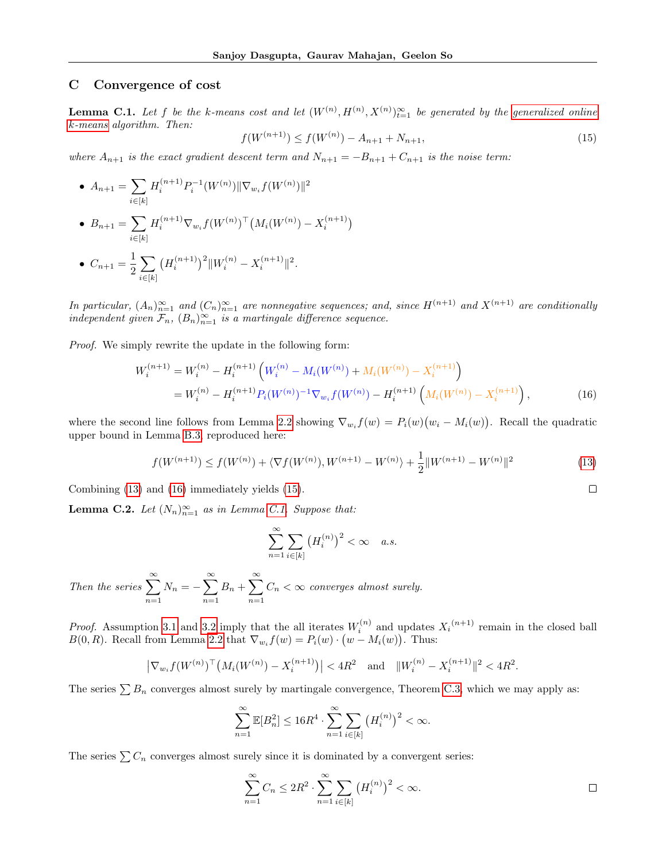# <span id="page-18-0"></span>C Convergence of cost

 $i \in [k]$ 

<span id="page-18-1"></span>**Lemma C.1.** Let f be the k-means cost and let  $(W^{(n)}, H^{(n)}, X^{(n)})_{t=1}^{\infty}$  be generated by the [generalized online](#page-3-3) k[-means](#page-3-3) algorithm. Then:

<span id="page-18-4"></span>
$$
f(W^{(n+1)}) \le f(W^{(n)}) - A_{n+1} + N_{n+1},\tag{15}
$$

where  $A_{n+1}$  is the exact gradient descent term and  $N_{n+1} = -B_{n+1} + C_{n+1}$  is the noise term:

• 
$$
A_{n+1} = \sum_{i \in [k]} H_i^{(n+1)} P_i^{-1}(W^{(n)}) \|\nabla_{w_i} f(W^{(n)})\|^2
$$
  
\n•  $B_{n+1} = \sum H_i^{(n+1)} \nabla_{w_i} f(W^{(n)})^\top (M_i(W^{(n)}) - X_i^{(n+1)})$ 

$$
C_{n+1} = \frac{1}{2} \sum_{i \in [k]} (H_i^{(n+1)})^2 \|W_i^{(n)} - X_i^{(n+1)}\|^2.
$$

In particular,  $(A_n)_{n=1}^{\infty}$  and  $(C_n)_{n=1}^{\infty}$  are nonnegative sequences; and, since  $H^{(n+1)}$  and  $X^{(n+1)}$  are conditionally independent given  $\mathcal{F}_n$ ,  $(B_n)_{n=1}^{\infty}$  is a martingale difference sequence.

Proof. We simply rewrite the update in the following form:

$$
W_i^{(n+1)} = W_i^{(n)} - H_i^{(n+1)} \left( W_i^{(n)} - M_i(W^{(n)}) + M_i(W^{(n)}) - X_i^{(n+1)} \right)
$$
  
= 
$$
W_i^{(n)} - H_i^{(n+1)} P_i(W^{(n)})^{-1} \nabla_{w_i} f(W^{(n)}) - H_i^{(n+1)} \left( M_i(W^{(n)}) - X_i^{(n+1)} \right),
$$
 (16)

where the second line follows from Lemma [2.2](#page-3-0) showing  $\nabla_{w_i} f(w) = P_i(w)(w_i - M_i(w))$ . Recall the quadratic upper bound in Lemma [B.3,](#page-16-0) reproduced here:

$$
f(W^{(n+1)}) \le f(W^{(n)}) + \langle \nabla f(W^{(n)}), W^{(n+1)} - W^{(n)} \rangle + \frac{1}{2} ||W^{(n+1)} - W^{(n)}||^2 \tag{13}
$$

<span id="page-18-3"></span> $\Box$ 

Combining [\(13\)](#page-16-4) and [\(16\)](#page-18-3) immediately yields [\(15\)](#page-18-4).

<span id="page-18-2"></span>**Lemma C.2.** Let  $(N_n)_{n=1}^{\infty}$  as in Lemma [C.1.](#page-18-1) Suppose that:

$$
\sum_{n=1}^{\infty} \sum_{i \in [k]} \left( H_i^{(n)} \right)^2 < \infty \quad a.s.
$$

Then the series  $\sum_{n=1}^{\infty}$  $n=1$  $N_n = -\sum_{n=1}^{\infty}$  $n=1$  $B_n + \sum_{n=1}^{\infty}$  $n=1$  $C_n < \infty$  converges almost surely.

*Proof.* Assumption [3.1](#page-4-0) and [3.2](#page-4-1) imply that the all iterates  $W_i^{(n)}$  and updates  $X_i^{(n+1)}$  remain in the closed ball  $B(0,R)$ . Recall from Lemma [2.2](#page-3-0) that  $\nabla_{w_i} f(w) = P_i(w) \cdot (w - M_i(w))$ . Thus:

$$
\left|\nabla_{w_i} f(W^{(n)})^\top \left(M_i(W^{(n)}) - X_i^{(n+1)}\right)\right| < 4R^2 \quad \text{and} \quad \|W_i^{(n)} - X_i^{(n+1)}\|^2 < 4R^2.
$$

The series  $\sum B_n$  converges almost surely by martingale convergence, Theorem [C.3,](#page-19-0) which we may apply as:

$$
\sum_{n=1}^{\infty} \mathbb{E}[B_n^2] \le 16R^4 \cdot \sum_{n=1}^{\infty} \sum_{i \in [k]} \left( H_i^{(n)} \right)^2 < \infty.
$$

The series  $\sum C_n$  converges almost surely since it is dominated by a convergent series:

$$
\sum_{n=1}^{\infty} C_n \le 2R^2 \cdot \sum_{n=1}^{\infty} \sum_{i \in [k]} \left( H_i^{(n)} \right)^2 < \infty. \square
$$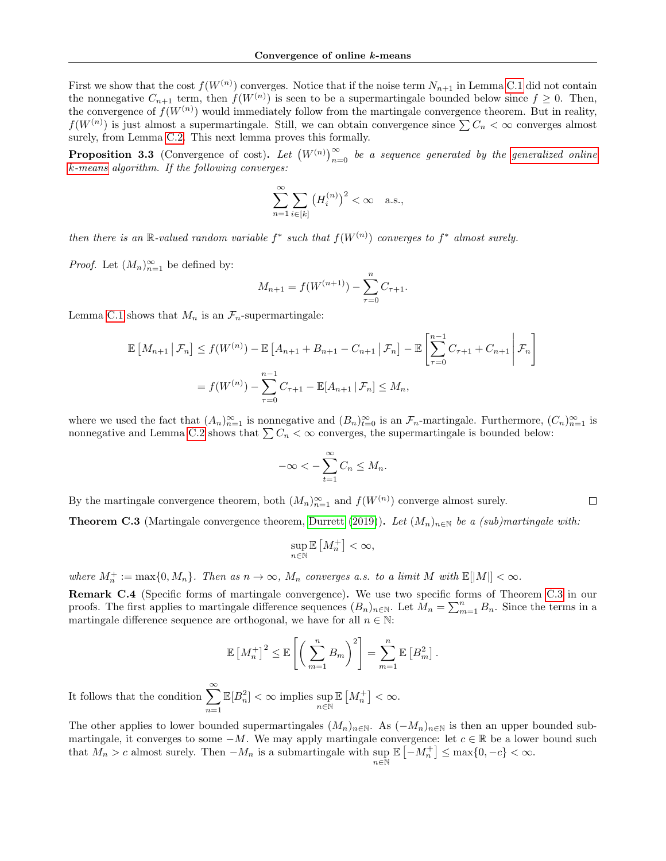First we show that the cost  $f(W^{(n)})$  converges. Notice that if the noise term  $N_{n+1}$  in Lemma [C.1](#page-18-1) did not contain the nonnegative  $C_{n+1}$  term, then  $f(W^{(n)})$  is seen to be a supermartingale bounded below since  $f \geq 0$ . Then, the convergence of  $f(W^{(n)})$  would immediately follow from the martingale convergence theorem. But in reality,  $f(W^{(n)})$  is just almost a supermartingale. Still, we can obtain convergence since  $\sum C_n < \infty$  converges almost surely, from Lemma [C.2.](#page-18-2) This next lemma proves this formally.

**Proposition 3.3** (Convergence of cost). Let  $(W^{(n)})_{n=0}^{\infty}$  be a sequence generated by the [generalized online](#page-3-3) k[-means](#page-3-3) algorithm. If the following converges:

$$
\sum_{n=1}^{\infty} \sum_{i \in [k]} \left( H_i^{(n)} \right)^2 < \infty \quad \text{a.s.},
$$

then there is an R-valued random variable  $f^*$  such that  $f(W^{(n)})$  converges to  $f^*$  almost surely.

*Proof.* Let  $(M_n)_{n=1}^{\infty}$  be defined by:

$$
M_{n+1} = f(W^{(n+1)}) - \sum_{\tau=0}^{n} C_{\tau+1}.
$$

Lemma [C.1](#page-18-1) shows that  $M_n$  is an  $\mathcal{F}_n$ -supermartingale:

$$
\mathbb{E}\left[M_{n+1} \,|\, \mathcal{F}_n\right] \le f(W^{(n)}) - \mathbb{E}\left[A_{n+1} + B_{n+1} - C_{n+1} \,|\, \mathcal{F}_n\right] - \mathbb{E}\left[\sum_{\tau=0}^{n-1} C_{\tau+1} + C_{n+1} \,|\, \mathcal{F}_n\right]
$$
\n
$$
= f(W^{(n)}) - \sum_{\tau=0}^{n-1} C_{\tau+1} - \mathbb{E}[A_{n+1} \,|\, \mathcal{F}_n] \le M_n,
$$

where we used the fact that  $(A_n)_{n=1}^{\infty}$  is nonnegative and  $(B_n)_{t=0}^{\infty}$  is an  $\mathcal{F}_n$ -martingale. Furthermore,  $(C_n)_{n=1}^{\infty}$  is nonnegative and Lemma [C.2](#page-18-2) shows that  $\sum C_n < \infty$  converges, the supermartingale is bounded below:

$$
-\infty < -\sum_{t=1}^{\infty} C_n \le M_n.
$$

By the martingale convergence theorem, both  $(M_n)_{n=1}^{\infty}$  and  $f(W^{(n)})$  converge almost surely.

<span id="page-19-0"></span>**Theorem C.3** (Martingale convergence theorem, [Durrett](#page-9-10) [\(2019\)](#page-9-10)). Let  $(M_n)_{n\in\mathbb{N}}$  be a (sub)martingale with:

$$
\sup_{n\in\mathbb{N}}\mathbb{E}\left[ M^+_n\right]<\infty,
$$

where  $M_n^+ := \max\{0, M_n\}$ . Then as  $n \to \infty$ ,  $M_n$  converges a.s. to a limit M with  $\mathbb{E}[|M|] < \infty$ .

Remark C.4 (Specific forms of martingale convergence). We use two specific forms of Theorem [C.3](#page-19-0) in our proofs. The first applies to martingale difference sequences  $(B_n)_{n\in\mathbb{N}}$ . Let  $M_n = \sum_{m=1}^n B_n$ . Since the terms in a martingale difference sequence are orthogonal, we have for all  $n \in \mathbb{N}$ :

$$
\mathbb{E}\left[M_n^+\right]^2 \leq \mathbb{E}\left[\left(\sum_{m=1}^n B_m\right)^2\right] = \sum_{m=1}^n \mathbb{E}\left[B_m^2\right].
$$

It follows that the condition  $\sum_{n=0}^{\infty}$  $n=1$  $\mathbb{E}[B_n^2] < \infty$  implies sup  $n \in \mathbb{N}$  $\mathbb{E}\left[M_n^+\right]<\infty.$ 

The other applies to lower bounded supermartingales  $(M_n)_{n\in\mathbb{N}}$ . As  $(-M_n)_{n\in\mathbb{N}}$  is then an upper bounded submartingale, it converges to some  $-M$ . We may apply martingale convergence: let  $c \in \mathbb{R}$  be a lower bound such that  $M_n > c$  almost surely. Then  $-M_n$  is a submartingale with sup  $\mathbb{E}\left[-M_n^+\right] \leq \max\{0, -c\} < \infty.$ 

 $\Box$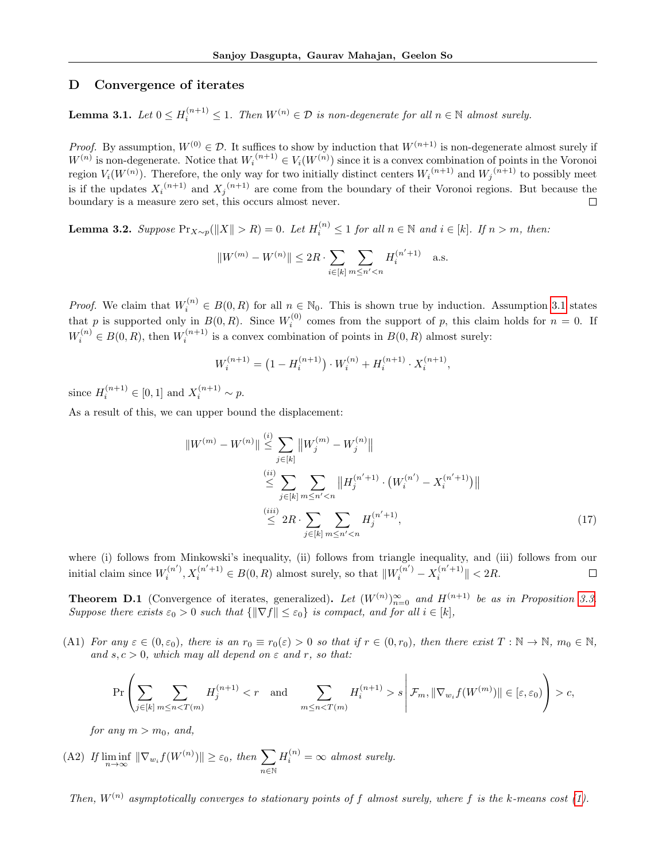## <span id="page-20-1"></span>D Convergence of iterates

**Lemma 3.1.** Let  $0 \leq H_i^{(n+1)} \leq 1$ . Then  $W^{(n)} \in \mathcal{D}$  is non-degenerate for all  $n \in \mathbb{N}$  almost surely.

*Proof.* By assumption,  $W^{(0)} \in \mathcal{D}$ . It suffices to show by induction that  $W^{(n+1)}$  is non-degenerate almost surely if  $W^{(n)}$  is non-degenerate. Notice that  $W_i^{(n+1)} \in V_i(W^{(n)})$  since it is a convex combination of points in the Voronoi region  $V_i(W^{(n)})$ . Therefore, the only way for two initially distinct centers  $W_i^{(n+1)}$  and  $W_j^{(n+1)}$  to possibly meet is if the updates  $X_i^{(n+1)}$  and  $X_j^{(n+1)}$  are come from the boundary of their Voronoi regions. But because the boundary is a measure zero set, this occurs almost never.  $\Box$ 

**Lemma 3.2.** Suppose  $Pr_{X \sim p}(\|X\| > R) = 0$ . Let  $H_i^{(n)} \le 1$  for all  $n \in \mathbb{N}$  and  $i \in [k]$ . If  $n > m$ , then:

$$
||W^{(m)} - W^{(n)}|| \leq 2R \cdot \sum_{i \in [k]} \sum_{m \leq n' < n} H_i^{(n'+1)} \quad \text{a.s.}
$$

*Proof.* We claim that  $W_i^{(n)} \in B(0, R)$  for all  $n \in \mathbb{N}_0$ . This is shown true by induction. Assumption [3.1](#page-4-0) states that p is supported only in  $B(0, R)$ . Since  $W_i^{(0)}$  comes from the support of p, this claim holds for  $n = 0$ . If  $W_i^{(n)} \in B(0,R)$ , then  $W_i^{(n+1)}$  is a convex combination of points in  $B(0,R)$  almost surely:

$$
W_i^{(n+1)} = \left(1 - H_i^{(n+1)}\right) \cdot W_i^{(n)} + H_i^{(n+1)} \cdot X_i^{(n+1)},
$$

since  $H_i^{(n+1)} \in [0,1]$  and  $X_i^{(n+1)} \sim p$ .

As a result of this, we can upper bound the displacement:

$$
||W^{(m)} - W^{(n)}|| \leq \sum_{j \in [k]} ||W_j^{(m)} - W_j^{(n)}||
$$
  

$$
\leq \sum_{j \in [k]} \sum_{m \leq n' < n} ||H_j^{(n'+1)} \cdot (W_i^{(n')} - X_i^{(n'+1)})||
$$
  

$$
\leq 2R \cdot \sum_{j \in [k]} \sum_{m \leq n' < n} H_j^{(n'+1)}, \tag{17}
$$

where (i) follows from Minkowski's inequality, (ii) follows from triangle inequality, and (iii) follows from our initial claim since  $W_i^{(n')}, X_i^{(n'+1)} \in B(0, R)$  almost surely, so that  $||W_i^{(n')} - X_i^{(n'+1)}|| < 2R$ .  $\Box$ 

<span id="page-20-0"></span>**Theorem D.1** (Convergence of iterates, generalized). Let  $(W^{(n)})_{n=0}^{\infty}$  and  $H^{(n+1)}$  be as in Proposition [3.3.](#page-4-4) Suppose there exists  $\varepsilon_0 > 0$  such that  $\{\|\nabla f\| \leq \varepsilon_0\}$  is compact, and for all  $i \in [k]$ ,

(A1) For any  $\varepsilon \in (0, \varepsilon_0)$ , there is an  $r_0 \equiv r_0(\varepsilon) > 0$  so that if  $r \in (0, r_0)$ , then there exist  $T : \mathbb{N} \to \mathbb{N}$ ,  $m_0 \in \mathbb{N}$ , and  $s, c > 0$ , which may all depend on  $\varepsilon$  and r, so that:

$$
\Pr\left(\sum_{j\in[k]}\sum_{m\leq ns\,\middle|\, \mathcal{F}_m,\|\nabla_{w_i}f(W^{(m)})\|\in[\varepsilon,\varepsilon_0)\right)>c,
$$

for any  $m > m_0$ , and,

(A2) If  $\liminf_{n\to\infty} \|\nabla_{w_i} f(W^{(n)})\| \geq \varepsilon_0$ , then  $\sum$ n∈N  $H_i^{(n)} = \infty$  almost surely.

Then,  $W^{(n)}$  asymptotically converges to stationary points of f almost surely, where f is the k-means cost [\(1\)](#page-2-2).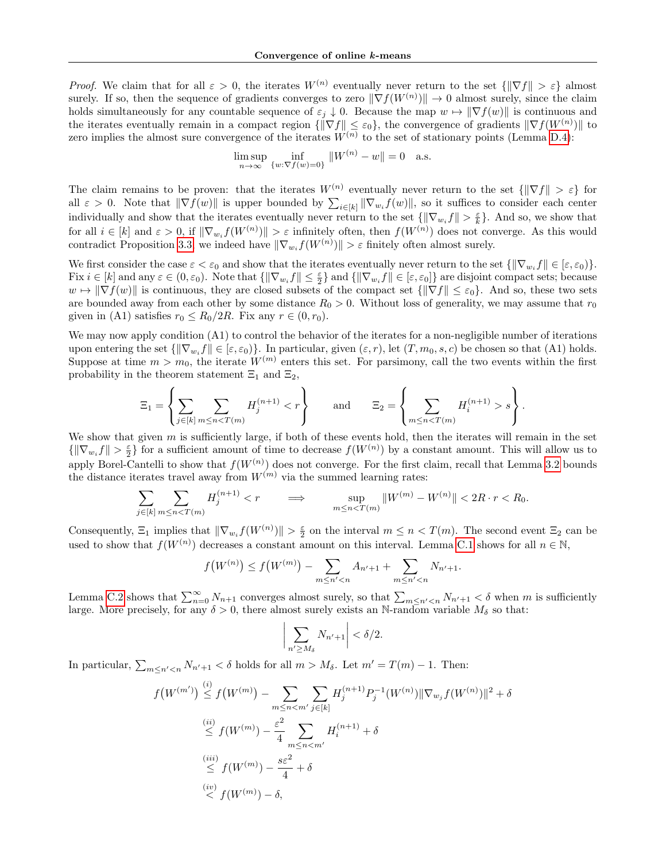*Proof.* We claim that for all  $\varepsilon > 0$ , the iterates  $W^{(n)}$  eventually never return to the set  $\{\|\nabla f\| > \varepsilon\}$  almost surely. If so, then the sequence of gradients converges to zero  $\|\nabla f(W^{(n)})\| \to 0$  almost surely, since the claim holds simultaneously for any countable sequence of  $\varepsilon_i \downarrow 0$ . Because the map  $w \mapsto \|\nabla f(w)\|$  is continuous and the iterates eventually remain in a compact region  $\{\|\nabla f\| \leq \varepsilon_0\}$ , the convergence of gradients  $\|\nabla f(W^{(n)})\|$  to zero implies the almost sure convergence of the iterates  $W^{(n)}$  to the set of stationary points (Lemma [D.4\)](#page-23-0):

$$
\limsup_{n \to \infty} \inf_{\{w : \nabla f(w) = 0\}} \|W^{(n)} - w\| = 0 \quad \text{a.s.}
$$

The claim remains to be proven: that the iterates  $W^{(n)}$  eventually never return to the set  $\{\|\nabla f\| > \varepsilon\}$  for all  $\varepsilon > 0$ . Note that  $\|\nabla f(w)\|$  is upper bounded by  $\sum_{i \in [k]} \|\nabla_{w_i} f(w)\|$ , so it suffices to consider each center individually and show that the iterates eventually never return to the set  $\{\|\nabla_{w_i} f\| > \frac{\varepsilon}{k}\}\.$  And so, we show that for all  $i \in [k]$  and  $\varepsilon > 0$ , if  $\|\nabla_{w_i} f(W^{(n)})\| > \varepsilon$  infinitely often, then  $f(W^{(n)})$  does not converge. As this would contradict Proposition [3.3,](#page-4-4) we indeed have  $\|\nabla_{w_i} f(W^{(n)})\| > \varepsilon$  finitely often almost surely.

We first consider the case  $\varepsilon < \varepsilon_0$  and show that the iterates eventually never return to the set  $\{\|\nabla_{w_i} f\| \in [\varepsilon, \varepsilon_0)\}.$ Fix  $i \in [k]$  and any  $\varepsilon \in (0, \varepsilon_0)$ . Note that  $\{\|\nabla_{w_i} f\| \leq \frac{\varepsilon}{2}\}$  and  $\{\|\nabla_{w_i} f\| \in [\varepsilon, \varepsilon_0]\}$  are disjoint compact sets; because  $w \mapsto \|\nabla f(w)\|$  is continuous, they are closed subsets of the compact set  $\{\|\nabla f\| \leq \varepsilon_0\}$ . And so, these two sets are bounded away from each other by some distance  $R_0 > 0$ . Without loss of generality, we may assume that  $r_0$ given in (A1) satisfies  $r_0 \leq R_0/2R$ . Fix any  $r \in (0, r_0)$ .

We may now apply condition  $(A1)$  to control the behavior of the iterates for a non-negligible number of iterations upon entering the set  $\{\|\nabla_{w_i} f\| \in [\varepsilon, \varepsilon_0)\}$ . In particular, given  $(\varepsilon, r)$ , let  $(T, m_0, s, c)$  be chosen so that  $(A1)$  holds. Suppose at time  $m > m_0$ , the iterate  $W^{(m)}$  enters this set. For parsimony, call the two events within the first probability in the theorem statement  $\Xi_1$  and  $\Xi_2$ ,

$$
\Xi_1 = \left\{ \sum_{j \in [k]} \sum_{m \le n < T(m)} H_j^{(n+1)} < r \right\} \quad \text{and} \quad \Xi_2 = \left\{ \sum_{m \le n < T(m)} H_i^{(n+1)} > s \right\}.
$$

We show that given  $m$  is sufficiently large, if both of these events hold, then the iterates will remain in the set  ${\{\|\nabla_{w_i} f\| > \frac{\varepsilon}{2}\}}$  for a sufficient amount of time to decrease  $f(W^{(n)})$  by a constant amount. This will allow us to apply Borel-Cantelli to show that  $f(W^{(n)})$  does not converge. For the first claim, recall that Lemma [3.2](#page-4-2) bounds the distance iterates travel away from  $W^{(m)}$  via the summed learning rates:

$$
\sum_{j\in [k]} \sum_{m\leq n < T(m)} H_j^{(n+1)} < r \qquad \Longrightarrow \qquad \sup_{m\leq n < T(m)} \Vert W^{(m)} - W^{(n)} \Vert < 2R\cdot r < R_0.
$$

Consequently,  $\Xi_1$  implies that  $\|\nabla_{w_i} f(W^{(n)})\| > \frac{\varepsilon}{2}$  on the interval  $m \le n < T(m)$ . The second event  $\Xi_2$  can be used to show that  $f(W^{(n)})$  decreases a constant amount on this interval. Lemma [C.1](#page-18-1) shows for all  $n \in \mathbb{N}$ ,

$$
f(W^{(n)}) \le f(W^{(m)}) - \sum_{m \le n' < n} A_{n'+1} + \sum_{m \le n' < n} N_{n'+1}.
$$

Lemma [C.2](#page-18-2) shows that  $\sum_{n=0}^{\infty} N_{n+1}$  converges almost surely, so that  $\sum_{m \leq n' \leq n} N_{n'+1} < \delta$  when m is sufficiently large. More precisely, for any  $\delta > 0$ , there almost surely exists an N-random variable  $M_{\delta}$  so that:

$$
\bigg|\sum_{n'\geq M_\delta} N_{n'+1}\bigg|<\delta/2.
$$

In particular,  $\sum_{m \leq n' < n} N_{n'+1} < \delta$  holds for all  $m > M_\delta$ . Let  $m' = T(m) - 1$ . Then:

$$
f(W^{(m')}) \stackrel{(i)}{\leq} f(W^{(m)}) - \sum_{m \leq n < m'} \sum_{j \in [k]} H_j^{(n+1)} P_j^{-1}(W^{(n)}) \|\nabla_{w_j} f(W^{(n)})\|^2 + \delta
$$
\n
$$
\stackrel{(ii)}{\leq} f(W^{(m)}) - \frac{\varepsilon^2}{4} \sum_{m \leq n < m'} H_i^{(n+1)} + \delta
$$
\n
$$
\stackrel{(iii)}{\leq} f(W^{(m)}) - \frac{s\varepsilon^2}{4} + \delta
$$
\n
$$
\stackrel{(iv)}{\leq} f(W^{(m)}) - \delta,
$$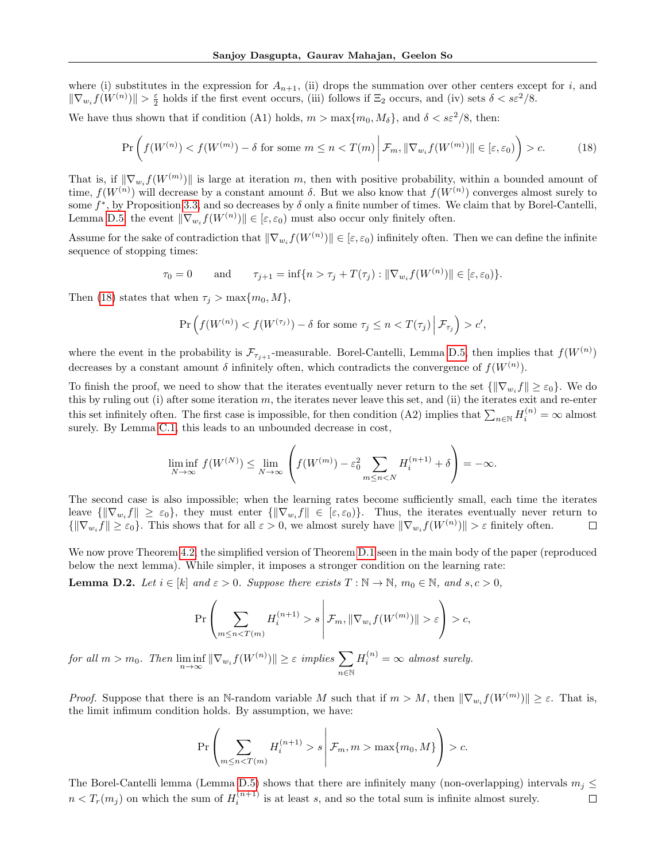where (i) substitutes in the expression for  $A_{n+1}$ , (ii) drops the summation over other centers except for i, and  $\|\nabla_{w_i} f(\overline{W}^{(n)})\| > \frac{\varepsilon}{2}$  holds if the first event occurs, (iii) follows if  $\Xi_2$  occurs, and (iv) sets  $\delta < s\epsilon^2/8$ .

We have thus shown that if condition (A1) holds,  $m > \max\{m_0, M_\delta\}$ , and  $\delta < \varepsilon \varepsilon^2/8$ , then:

<span id="page-22-1"></span>
$$
\Pr\left(f(W^{(n)}) < f(W^{(m)}) - \delta \text{ for some } m \le n < T(m) \middle| \mathcal{F}_m, \|\nabla_{w_i} f(W^{(m)})\| \in [\varepsilon, \varepsilon_0) \right) > c. \tag{18}
$$

That is, if  $\|\nabla_{w_i} f(W^{(m)})\|$  is large at iteration m, then with positive probability, within a bounded amount of time,  $f(W^{(n)})$  will decrease by a constant amount  $\delta$ . But we also know that  $f(W^{(n)})$  converges almost surely to some  $f^*$ , by Proposition [3.3,](#page-4-4) and so decreases by  $\delta$  only a finite number of times. We claim that by Borel-Cantelli, Lemma [D.5,](#page-23-1) the event  $\|\nabla_{w_i} f(W^{(n)})\| \in [\varepsilon, \varepsilon_0]$  must also occur only finitely often.

Assume for the sake of contradiction that  $\|\nabla_{w_i} f(W^{(n)})\| \in [\varepsilon, \varepsilon_0]$  infinitely often. Then we can define the infinite sequence of stopping times:

$$
\tau_0 = 0 \quad \text{and} \quad \tau_{j+1} = \inf\{n > \tau_j + T(\tau_j) : \|\nabla_{w_i} f(W^{(n)})\| \in [\varepsilon, \varepsilon_0)\}.
$$

Then [\(18\)](#page-22-1) states that when  $\tau_i > \max\{m_0, M\},\$ 

$$
\Pr\left(f(W^{(n)}) < f(W^{(\tau_j)}) - \delta \text{ for some } \tau_j \le n < T(\tau_j) \, \middle| \, \mathcal{F}_{\tau_j}\right) > c',
$$

where the event in the probability is  $\mathcal{F}_{\tau_{j+1}}$ -measurable. Borel-Cantelli, Lemma [D.5,](#page-23-1) then implies that  $f(W^{(n)})$ decreases by a constant amount  $\delta$  infinitely often, which contradicts the convergence of  $f(W^{(n)})$ .

To finish the proof, we need to show that the iterates eventually never return to the set  $\{\|\nabla_{w_i} f\| \geq \varepsilon_0\}$ . We do this by ruling out (i) after some iteration  $m$ , the iterates never leave this set, and (ii) the iterates exit and re-enter this set infinitely often. The first case is impossible, for then condition (A2) implies that  $\sum_{n\in\mathbb{N}} H_i^{(n)} = \infty$  almost surely. By Lemma [C.1,](#page-18-1) this leads to an unbounded decrease in cost,

$$
\liminf_{N \to \infty} f(W^{(N)}) \le \lim_{N \to \infty} \left( f(W^{(m)}) - \varepsilon_0^2 \sum_{m \le n < N} H_i^{(n+1)} + \delta \right) = -\infty.
$$

The second case is also impossible; when the learning rates become sufficiently small, each time the iterates leave  $\{\|\nabla_{w_i} f\| \geq \varepsilon_0\}$ , they must enter  $\{\|\nabla_{w_i} f\| \in [\varepsilon, \varepsilon_0)\}$ . Thus, the iterates eventually never return to  ${\{\|\nabla_{w_i} f\| \geq \varepsilon_0\}}$ . This shows that for all  $\varepsilon > 0$ , we almost surely have  $\|\nabla_{w_i} f(W^{(n)})\| > \varepsilon$  finitely often.  $\Box$ 

We now prove Theorem [4.2,](#page-6-0) the simplified version of Theorem [D.1](#page-20-0) seen in the main body of the paper (reproduced below the next lemma). While simpler, it imposes a stronger condition on the learning rate:

<span id="page-22-0"></span>**Lemma D.2.** Let  $i \in [k]$  and  $\varepsilon > 0$ . Suppose there exists  $T : \mathbb{N} \to \mathbb{N}$ ,  $m_0 \in \mathbb{N}$ , and  $s, c > 0$ ,

$$
\Pr\left(\sum_{m\leq n s \middle| \mathcal{F}_m, \|\nabla_{w_i} f(W^{(m)})\| > \varepsilon\right) > c,
$$

for all  $m > m_0$ . Then  $\liminf_{n \to \infty} ||\nabla_{w_i} f(W^{(n)})|| \geq \varepsilon$  implies  $\sum_{n=1}^{\infty}$ n∈N  $H_i^{(n)} = \infty$  almost surely.

*Proof.* Suppose that there is an N-random variable M such that if  $m > M$ , then  $\|\nabla_{w_i} f(W^{(m)})\| \geq \varepsilon$ . That is, the limit infimum condition holds. By assumption, we have:

$$
\Pr\left(\sum_{m\leq n s \middle| \mathcal{F}_m, m > \max\{m_0, M\} \right) > c.
$$

The Borel-Cantelli lemma (Lemma [D.5\)](#page-23-1) shows that there are infinitely many (non-overlapping) intervals  $m_i \leq$  $n < T_r(m_j)$  on which the sum of  $H_i^{(n+1)}$  is at least s, and so the total sum is infinite almost surely.  $\Box$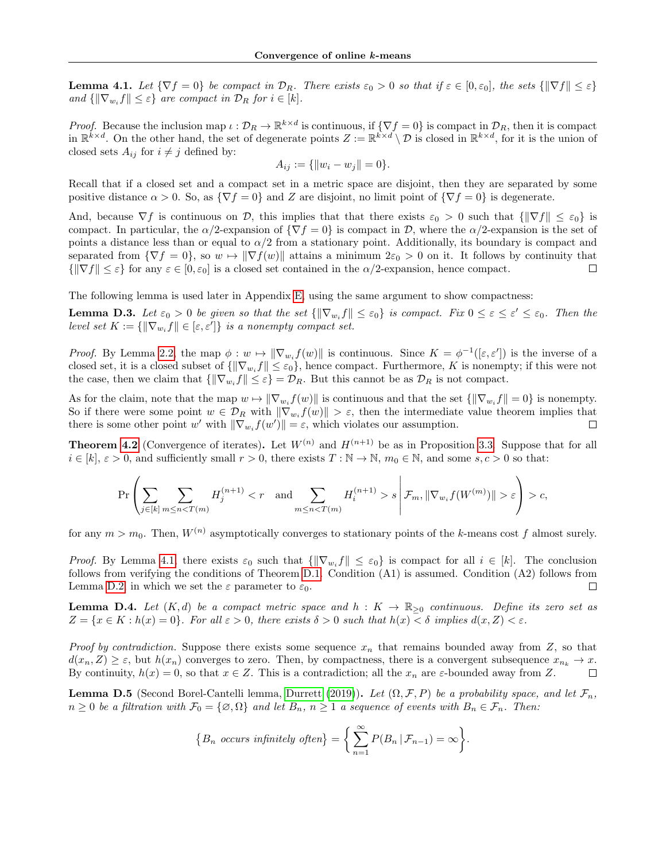**Lemma 4.1.** Let  $\{\nabla f = 0\}$  be compact in  $\mathcal{D}_R$ . There exists  $\varepsilon_0 > 0$  so that if  $\varepsilon \in [0, \varepsilon_0]$ , the sets  $\{\|\nabla f\| \leq \varepsilon\}$ and  $\{\|\nabla_{w_i} f\| \leq \varepsilon\}$  are compact in  $\mathcal{D}_R$  for  $i \in [k]$ .

*Proof.* Because the inclusion map  $\iota : \mathcal{D}_R \to \mathbb{R}^{k \times d}$  is continuous, if  $\{\nabla f = 0\}$  is compact in  $\mathcal{D}_R$ , then it is compact in  $\mathbb{R}^{k\times d}$ . On the other hand, the set of degenerate points  $Z := \mathbb{R}^{k\times d} \setminus \mathcal{D}$  is closed in  $\mathbb{R}^{k\times d}$ , for it is the union of closed sets  $A_{ij}$  for  $i \neq j$  defined by:

$$
A_{ij} := \{ ||w_i - w_j|| = 0 \}.
$$

Recall that if a closed set and a compact set in a metric space are disjoint, then they are separated by some positive distance  $\alpha > 0$ . So, as  $\{\nabla f = 0\}$  and Z are disjoint, no limit point of  $\{\nabla f = 0\}$  is degenerate.

And, because  $\nabla f$  is continuous on D, this implies that that there exists  $\varepsilon_0 > 0$  such that  $\{\|\nabla f\| \leq \varepsilon_0\}$  is compact. In particular, the  $\alpha/2$ -expansion of  $\{\nabla f = 0\}$  is compact in D, where the  $\alpha/2$ -expansion is the set of points a distance less than or equal to  $\alpha/2$  from a stationary point. Additionally, its boundary is compact and separated from  $\{\nabla f = 0\}$ , so  $w \mapsto ||\nabla f(w)||$  attains a minimum  $2\varepsilon_0 > 0$  on it. It follows by continuity that  $\{||\nabla f|| \leq \varepsilon\}$  for any  $\varepsilon \in [0, \varepsilon_0]$  is a closed set contained in the  $\alpha/2$ -expansion, hence compact.  $\Box$ 

The following lemma is used later in Appendix [E,](#page-24-0) using the same argument to show compactness:

<span id="page-23-2"></span>**Lemma D.3.** Let  $\varepsilon_0 > 0$  be given so that the set  $\{\|\nabla_{w_i} f\| \leq \varepsilon_0\}$  is compact. Fix  $0 \leq \varepsilon \leq \varepsilon' \leq \varepsilon_0$ . Then the level set  $K := \{\|\nabla_{w_i} f\| \in [\varepsilon, \varepsilon']\}$  is a nonempty compact set.

*Proof.* By Lemma [2.2,](#page-3-0) the map  $\phi: w \mapsto ||\nabla_{w_i} f(w)||$  is continuous. Since  $K = \phi^{-1}([\varepsilon, \varepsilon'])$  is the inverse of a closed set, it is a closed subset of  $\{\|\nabla_{w_i} f\| \leq \varepsilon_0\}$ , hence compact. Furthermore, K is nonempty; if this were not the case, then we claim that  $\{\|\nabla_{w_i} f\| \leq \varepsilon\} = \mathcal{D}_R$ . But this cannot be as  $\mathcal{D}_R$  is not compact.

As for the claim, note that the map  $w \mapsto \|\nabla_{w_i} f(w)\|$  is continuous and that the set  $\{\|\nabla_{w_i} f\| = 0\}$  is nonempty. So if there were some point  $w \in \mathcal{D}_R$  with  $\|\nabla_{w_i} f(w)\| > \varepsilon$ , then the intermediate value theorem implies that there is some other point w' with  $\|\nabla_{w_i} f(w')\| = \varepsilon$ , which violates our assumption.  $\Box$ 

**Theorem [4.2](#page-6-0)** (Convergence of iterates). Let  $W^{(n)}$  and  $H^{(n+1)}$  be as in Proposition [3.3.](#page-4-4) Suppose that for all  $i \in [k], \varepsilon > 0$ , and sufficiently small  $r > 0$ , there exists  $T : \mathbb{N} \to \mathbb{N}$ ,  $m_0 \in \mathbb{N}$ , and some  $s, c > 0$  so that:

$$
\Pr\left(\sum_{j\in[k]}\sum_{m\leq ns\;\middle|\; \mathcal{F}_m, \|\nabla_{w_i}f(W^{(m)})\|>\varepsilon\right)>c,
$$

for any  $m > m_0$ . Then,  $W^{(n)}$  asymptotically converges to stationary points of the k-means cost f almost surely.

*Proof.* By Lemma [4.1,](#page-5-0) there exists  $\varepsilon_0$  such that  $\{\|\nabla_{w_i} f\| \leq \varepsilon_0\}$  is compact for all  $i \in [k]$ . The conclusion follows from verifying the conditions of Theorem [D.1.](#page-20-0) Condition (A1) is assumed. Condition (A2) follows from Lemma [D.2,](#page-22-0) in which we set the  $\varepsilon$  parameter to  $\varepsilon_0$ .  $\Box$ 

<span id="page-23-0"></span>**Lemma D.4.** Let  $(K,d)$  be a compact metric space and  $h: K \to \mathbb{R}_{\geq 0}$  continuous. Define its zero set as  $Z = \{x \in K : h(x) = 0\}$ . For all  $\varepsilon > 0$ , there exists  $\delta > 0$  such that  $h(x) < \delta$  implies  $d(x, Z) < \varepsilon$ .

*Proof by contradiction.* Suppose there exists some sequence  $x_n$  that remains bounded away from Z, so that  $d(x_n, Z) \geq \varepsilon$ , but  $h(x_n)$  converges to zero. Then, by compactness, there is a convergent subsequence  $x_{n_k} \to x$ . By continuity,  $h(x) = 0$ , so that  $x \in Z$ . This is a contradiction; all the  $x_n$  are  $\varepsilon$ -bounded away from Z.  $\Box$ 

<span id="page-23-1"></span>**Lemma D.5** (Second Borel-Cantelli lemma, [Durrett](#page-9-10) [\(2019\)](#page-9-10)). Let  $(\Omega, \mathcal{F}, P)$  be a probability space, and let  $\mathcal{F}_n$ ,  $n \geq 0$  be a filtration with  $\mathcal{F}_0 = \{ \emptyset, \Omega \}$  and let  $B_n$ ,  $n \geq 1$  a sequence of events with  $B_n \in \mathcal{F}_n$ . Then:

$$
\{B_n \text{ occurs infinitely often}\} = \left\{\sum_{n=1}^{\infty} P(B_n \,|\, \mathcal{F}_{n-1}) = \infty\right\}.
$$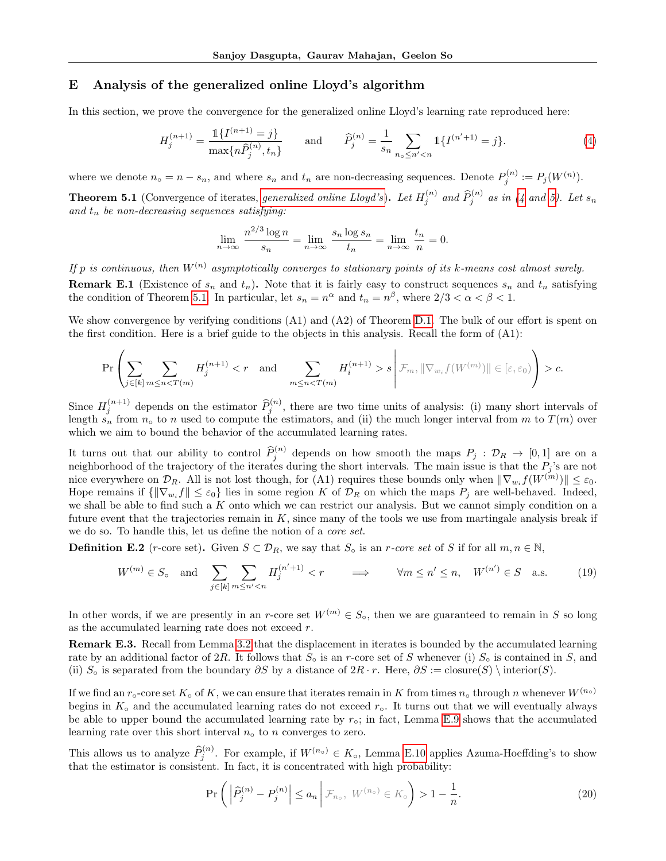# <span id="page-24-0"></span>E Analysis of the generalized online Lloyd's algorithm

In this section, we prove the convergence for the generalized online Lloyd's learning rate reproduced here:

$$
H_j^{(n+1)} = \frac{\mathbb{1}\{I^{(n+1)} = j\}}{\max\{n\widehat{P}_j^{(n)}, t_n\}} \quad \text{and} \quad \widehat{P}_j^{(n)} = \frac{1}{s_n} \sum_{n_o \le n' < n} \mathbb{1}\{I^{(n'+1)} = j\}.
$$

where we denote  $n_o = n - s_n$ , and where  $s_n$  and  $t_n$  are non-decreasing sequences. Denote  $P_j^{(n)} := P_j(W^{(n)})$ .

**Theorem 5.1** (Convergence of iterates, *[generalized online Lloyd's](#page-11-2)*). Let  $H_j^{(n)}$  and  $\hat{P}_j^{(n)}$  as in [\(4](#page-7-1) and [5\)](#page-7-2). Let  $s_n$ and  $t_n$  be non-decreasing sequences satisfying:

$$
\lim_{n \to \infty} \frac{n^{2/3} \log n}{s_n} = \lim_{n \to \infty} \frac{s_n \log s_n}{t_n} = \lim_{n \to \infty} \frac{t_n}{n} = 0.
$$

If p is continuous, then  $W^{(n)}$  asymptotically converges to stationary points of its k-means cost almost surely. **Remark E.1** (Existence of  $s_n$  and  $t_n$ ). Note that it is fairly easy to construct sequences  $s_n$  and  $t_n$  satisfying the condition of Theorem [5.1.](#page-7-0) In particular, let  $s_n = n^{\alpha}$  and  $t_n = n^{\beta}$ , where  $2/3 < \alpha < \beta < 1$ .

We show convergence by verifying conditions (A1) and (A2) of Theorem [D.1.](#page-20-0) The bulk of our effort is spent on the first condition. Here is a brief guide to the objects in this analysis. Recall the form of (A1):

$$
\Pr\left(\sum_{j\in[k]}\sum_{m\leq n< T(m)}H_j^{(n+1)}s\,\middle|\, \mathcal{F}_m, \|\nabla_{w_i}f(W^{(m)})\|\in [\varepsilon,\varepsilon_0)\right)>c.
$$

Since  $H_j^{(n+1)}$  depends on the estimator  $\widehat{P}_j^{(n)}$ , there are two time units of analysis: (i) many short intervals of length  $s_n$  from  $n_0$  to n used to compute the estimators, and (ii) the much longer interval from m to  $T(m)$  over which we aim to bound the behavior of the accumulated learning rates.

It turns out that our ability to control  $\widehat{P}_j^{(n)}$  depends on how smooth the maps  $P_j : \mathcal{D}_R \to [0,1]$  are on a neighborhood of the trajectory of the iterates during the short intervals. The main issue is that the  $P_j$ 's are not nice everywhere on  $\mathcal{D}_R$ . All is not lost though, for (A1) requires these bounds only when  $\|\nabla_{w_i} f(W^{(m)})\| \leq \varepsilon_0$ . Hope remains if  $\{\|\nabla_{w_i} f\| \leq \varepsilon_0\}$  lies in some region K of  $\mathcal{D}_R$  on which the maps  $P_j$  are well-behaved. Indeed, we shall be able to find such a  $K$  onto which we can restrict our analysis. But we cannot simply condition on a future event that the trajectories remain in  $K$ , since many of the tools we use from martingale analysis break if we do so. To handle this, let us define the notion of a core set.

**Definition E.2** (*r*-core set). Given  $S \subset \mathcal{D}_R$ , we say that  $S_{\circ}$  is an *r*-core set of S if for all  $m, n \in \mathbb{N}$ ,

$$
W^{(m)} \in S_{\text{o}} \quad \text{and} \quad \sum_{j \in [k]} \sum_{m \le n' < n} H_j^{(n'+1)} < r \qquad \Longrightarrow \qquad \forall m \le n' \le n, \quad W^{(n')} \in S \quad \text{a.s.} \tag{19}
$$

In other words, if we are presently in an r-core set  $W^{(m)} \in S_{\text{o}}$ , then we are guaranteed to remain in S so long as the accumulated learning rate does not exceed r.

<span id="page-24-1"></span>Remark E.3. Recall from Lemma [3.2](#page-4-2) that the displacement in iterates is bounded by the accumulated learning rate by an additional factor of 2R. It follows that  $S_{\circ}$  is an r-core set of S whenever (i)  $S_{\circ}$  is contained in S, and (ii)  $S_0$  is separated from the boundary  $\partial S$  by a distance of  $2R \cdot r$ . Here,  $\partial S := \text{closure}(S) \setminus \text{interior}(S)$ .

If we find an  $r_\circ$ -core set  $K_\circ$  of K, we can ensure that iterates remain in K from times  $n_\circ$  through n whenever  $W^{(n_\circ)}$ begins in  $K<sub>o</sub>$  and the accumulated learning rates do not exceed  $r<sub>o</sub>$ . It turns out that we will eventually always be able to upper bound the accumulated learning rate by  $r_{\rm \circ}$ ; in fact, Lemma [E.9](#page-31-0) shows that the accumulated learning rate over this short interval  $n<sub>o</sub>$  to n converges to zero.

This allows us to analyze  $\widehat{P}_j^{(n)}$ . For example, if  $W^{(n_0)} \in K_0$ , Lemma [E.10](#page-32-0) applies Azuma-Hoeffding's to show that the estimator is consistent. In fact, it is concentrated with high probability:

<span id="page-24-2"></span>
$$
\Pr\left(\left|\widehat{P}_j^{(n)} - P_j^{(n)}\right| \le a_n \middle| \mathcal{F}_{n_\circ}, \ W^{(n_\circ)} \in K_\circ\right) > 1 - \frac{1}{n}.\tag{20}
$$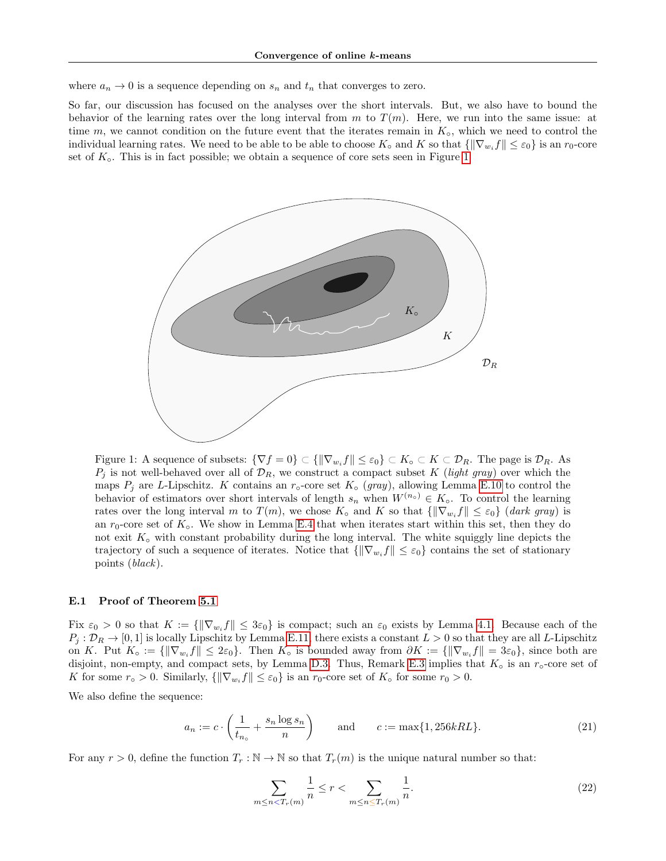where  $a_n \to 0$  is a sequence depending on  $s_n$  and  $t_n$  that converges to zero.

<span id="page-25-0"></span>So far, our discussion has focused on the analyses over the short intervals. But, we also have to bound the behavior of the learning rates over the long interval from  $m$  to  $T(m)$ . Here, we run into the same issue: at time m, we cannot condition on the future event that the iterates remain in  $K_{\circ}$ , which we need to control the individual learning rates. We need to be able to be able to choose  $K_{\circ}$  and K so that  $\{\|\nabla_{w_i} f\| \leq \varepsilon_0\}$  is an  $r_0$ -core set of  $K_{\circ}$ . This is in fact possible; we obtain a sequence of core sets seen in Figure [1.](#page-25-0)



Figure 1: A sequence of subsets:  $\{\nabla f = 0\} \subset {\{\|\nabla_{w_i} f\| \le \varepsilon_0\}} \subset K_\circ \subset K \subset \mathcal{D}_R$ . The page is  $\mathcal{D}_R$ . As  $P_j$  is not well-behaved over all of  $\mathcal{D}_R$ , we construct a compact subset K (light gray) over which the maps  $P_j$  are L-Lipschitz. K contains an  $r_{\text{o}}$ -core set  $K_{\text{o}}$  (gray), allowing Lemma [E.10](#page-32-0) to control the behavior of estimators over short intervals of length  $s_n$  when  $W^{(n_0)} \in K_o$ . To control the learning rates over the long interval m to  $T(m)$ , we chose  $K_{\circ}$  and K so that  $\{\|\nabla_{w_i} f\| \leq \varepsilon_0\}$  (dark gray) is an  $r_0$ -core set of  $K_\circ$ . We show in Lemma [E.4](#page-26-0) that when iterates start within this set, then they do not exit  $K_{\circ}$  with constant probability during the long interval. The white squiggly line depicts the trajectory of such a sequence of iterates. Notice that  $\{\|\nabla_{w_i} f\| \leq \varepsilon_0\}$  contains the set of stationary points (black).

### E.1 Proof of Theorem [5.1](#page-7-0)

Fix  $\varepsilon_0 > 0$  so that  $K := \{\|\nabla_{w_i} f\| \leq 3\varepsilon_0\}$  is compact; such an  $\varepsilon_0$  exists by Lemma [4.1.](#page-5-0) Because each of the  $P_j: \mathcal{D}_R \to [0,1]$  is locally Lipschitz by Lemma [E.11,](#page-33-0) there exists a constant  $L > 0$  so that they are all L-Lipschitz on K. Put  $K_{\circ} := \{\|\nabla_{w_i} f\| \leq 2\varepsilon_0\}$ . Then  $K_{\circ}$  is bounded away from  $\partial K := \{\|\nabla_{w_i} f\| = 3\varepsilon_0\}$ , since both are disjoint, non-empty, and compact sets, by Lemma [D.3.](#page-23-2) Thus, Remark [E.3](#page-24-1) implies that  $K_0$  is an  $r_0$ -core set of K for some  $r \circ > 0$ . Similarly,  $\{\|\nabla_{w_i} f\| \leq \varepsilon_0\}$  is an  $r_0$ -core set of  $K \circ$  for some  $r_0 > 0$ .

We also define the sequence:

$$
a_n := c \cdot \left(\frac{1}{t_{n_0}} + \frac{s_n \log s_n}{n}\right) \quad \text{and} \quad c := \max\{1, 256kRL\}. \tag{21}
$$

For any  $r > 0$ , define the function  $T_r : \mathbb{N} \to \mathbb{N}$  so that  $T_r(m)$  is the unique natural number so that:

<span id="page-25-1"></span>
$$
\sum_{m \le n < T_r(m)} \frac{1}{n} \le r < \sum_{m \le n \le T_r(m)} \frac{1}{n}.\tag{22}
$$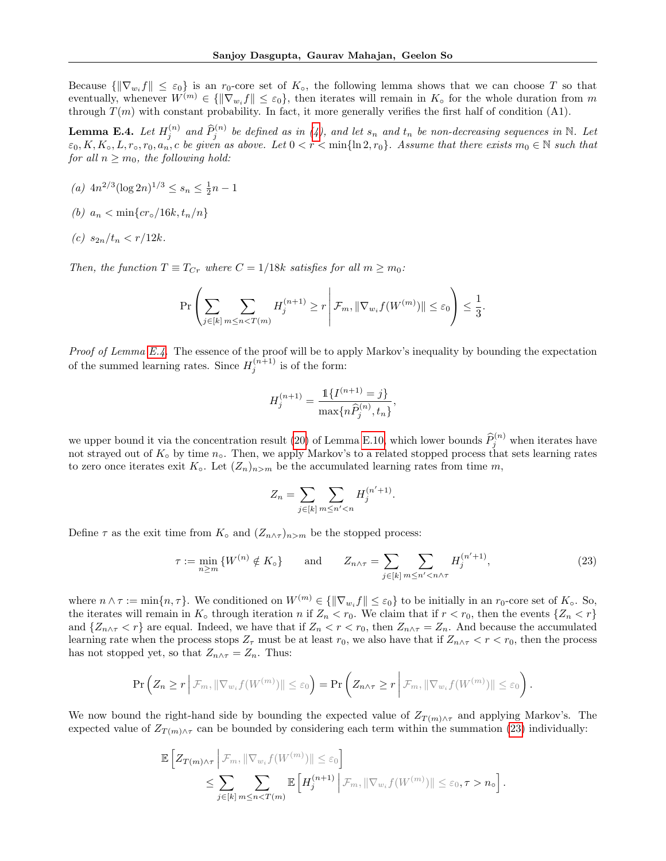Because  $\{\|\nabla_{w_i} f\| \leq \varepsilon_0\}$  is an  $r_0$ -core set of  $K_{\circ}$ , the following lemma shows that we can choose T so that eventually, whenever  $W^{(m)} \in \{\|\nabla_{w_i} f\| \leq \varepsilon_0\}$ , then iterates will remain in  $K_{\circ}$  for the whole duration from m through  $T(m)$  with constant probability. In fact, it more generally verifies the first half of condition (A1).

<span id="page-26-0"></span>**Lemma E.4.** Let  $H_j^{(n)}$  and  $\widehat{P}_j^{(n)}$  be defined as in [\(4\)](#page-7-1), and let  $s_n$  and  $t_n$  be non-decreasing sequences in N. Let  $\varepsilon_0, K, K_\circ, L, r_\circ, r_0, a_n, c$  be given as above. Let  $0 < r < \min\{\ln 2, r_0\}$ . Assume that there exists  $m_0 \in \mathbb{N}$  such that for all  $n \geq m_0$ , the following hold:

- (a)  $4n^{2/3}(\log 2n)^{1/3} \leq s_n \leq \frac{1}{2}n 1$
- (b)  $a_n < \min\{cr \circ /16k, t_n/n\}$
- (c)  $s_{2n}/t_n < r/12k$ .

Then, the function  $T \equiv T_{Cr}$  where  $C = 1/18k$  satisfies for all  $m \ge m_0$ :

$$
\Pr\left(\sum_{j\in[k]}\sum_{m\leq n
$$

Proof of Lemma [E.4.](#page-26-0) The essence of the proof will be to apply Markov's inequality by bounding the expectation of the summed learning rates. Since  $H_j^{(n+1)}$  is of the form:

$$
H_j^{(n+1)} = \frac{\mathbb{1}\{I^{(n+1)} = j\}}{\max\{n\widehat{P}_j^{(n)}, t_n\}},
$$

we upper bound it via the concentration result [\(20\)](#page-24-2) of Lemma [E.10,](#page-32-0) which lower bounds  $\widehat{P}_j^{(n)}$  when iterates have not strayed out of  $K<sub>o</sub>$  by time  $n<sub>o</sub>$ . Then, we apply Markov's to a related stopped process that sets learning rates to zero once iterates exit  $K_o$ . Let  $(Z_n)_{n>m}$  be the accumulated learning rates from time m,

$$
Z_n = \sum_{j \in [k]} \sum_{m \le n' < n} H_j^{(n'+1)}.
$$

Define  $\tau$  as the exit time from  $K_0$  and  $(Z_{n\wedge \tau})_{n>m}$  be the stopped process:

<span id="page-26-1"></span>
$$
\tau := \min_{n \ge m} \{ W^{(n)} \notin K_{\circ} \} \quad \text{and} \quad Z_{n \wedge \tau} = \sum_{j \in [k]} \sum_{m \le n' < n \wedge \tau} H_j^{(n'+1)}, \tag{23}
$$

where  $n \wedge \tau := \min\{n, \tau\}$ . We conditioned on  $W^{(m)} \in {\{\|\nabla_{w_i} f\| \leq \varepsilon_0\}}$  to be initially in an  $r_0$ -core set of  $K_0$ . So, the iterates will remain in  $K_{\circ}$  through iteration n if  $Z_n < r_0$ . We claim that if  $r < r_0$ , then the events  $\{Z_n < r\}$ and  $\{Z_{n\wedge\tau} < r\}$  are equal. Indeed, we have that if  $Z_n < r < r_0$ , then  $Z_{n\wedge\tau} = Z_n$ . And because the accumulated learning rate when the process stops  $Z<sub>\tau</sub>$  must be at least  $r_0$ , we also have that if  $Z_{n \wedge \tau} < r < r_0$ , then the process has not stopped yet, so that  $Z_{n \wedge \tau} = Z_n$ . Thus:

$$
\Pr\left(Z_n \ge r \,\big|\, \mathcal{F}_m, \|\nabla_{w_i} f(W^{(m)})\| \le \varepsilon_0\right) = \Pr\left(Z_{n \wedge \tau} \ge r \,\big|\, \mathcal{F}_m, \|\nabla_{w_i} f(W^{(m)})\| \le \varepsilon_0\right).
$$

We now bound the right-hand side by bounding the expected value of  $Z_{T(m)\wedge\tau}$  and applying Markov's. The expected value of  $Z_{T(m)\wedge\tau}$  can be bounded by considering each term within the summation [\(23\)](#page-26-1) individually:

$$
\mathbb{E}\left[Z_{T(m)\wedge\tau}\left|\mathcal{F}_m\right| \|\nabla_{w_i}f(W^{(m)})\| \leq \varepsilon_0\right] \leq \sum_{j\in[k]} \sum_{m\leq n\leq T(m)} \mathbb{E}\left[H_j^{(n+1)}\left|\mathcal{F}_m\right| \|\nabla_{w_i}f(W^{(m)})\| \leq \varepsilon_0, \tau > n_0\right].
$$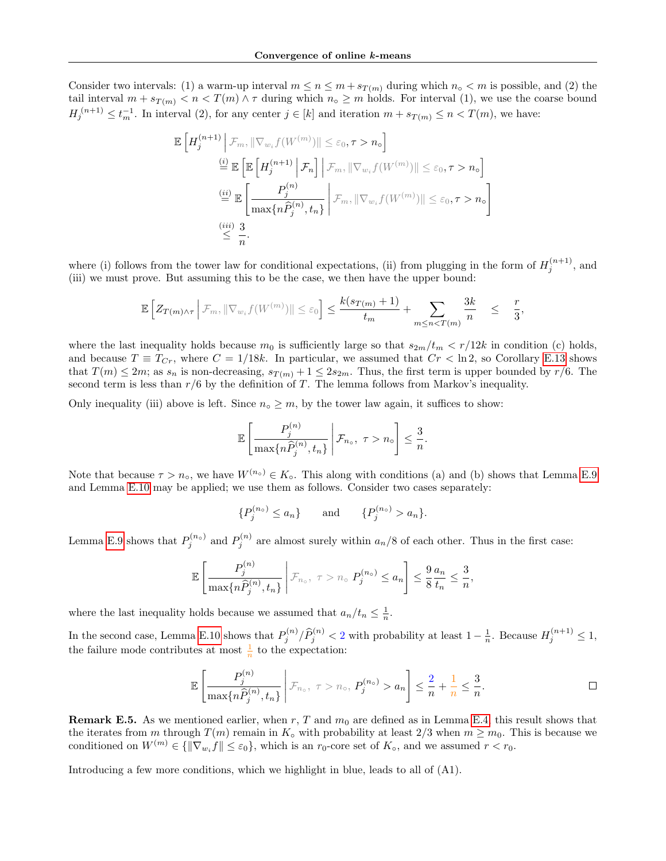Consider two intervals: (1) a warm-up interval  $m \le n \le m + s_{T(m)}$  during which  $n_{\circ} < m$  is possible, and (2) the tail interval  $m + s_{T(m)} < n < T(m) \land \tau$  during which  $n_{\circ} \geq m$  holds. For interval (1), we use the coarse bound  $H_j^{(n+1)} \leq t_m^{-1}$ . In interval (2), for any center  $j \in [k]$  and iteration  $m + s_{T(m)} \leq n < T(m)$ , we have:

$$
\mathbb{E}\left[H_j^{(n+1)}\middle|\mathcal{F}_m, \|\nabla_{w_i}f(W^{(m)})\| \leq \varepsilon_0, \tau > n_0\right]
$$
\n
$$
\stackrel{\text{(i)}}{=} \mathbb{E}\left[\mathbb{E}\left[H_j^{(n+1)}\middle|\mathcal{F}_n\right]\middle|\mathcal{F}_m, \|\nabla_{w_i}f(W^{(m)})\| \leq \varepsilon_0, \tau > n_0\right]
$$
\n
$$
\stackrel{\text{(ii)}}{=} \mathbb{E}\left[\frac{P_j^{(n)}}{\max\{n\widehat{P}_j^{(n)}, t_n\}}\middle|\mathcal{F}_m, \|\nabla_{w_i}f(W^{(m)})\| \leq \varepsilon_0, \tau > n_0\right]
$$
\n
$$
\stackrel{\text{(iii)}}{=} \frac{3}{n}.
$$

where (i) follows from the tower law for conditional expectations, (ii) from plugging in the form of  $H_j^{(n+1)}$ , and (iii) we must prove. But assuming this to be the case, we then have the upper bound:

$$
\mathbb{E}\left[Z_{T(m)\wedge \tau}\left|\mathcal{F}_m, \|\nabla_{w_i} f(W^{(m)})\|\leq \varepsilon_0\right]\leq \frac{k(s_{T(m)}+1)}{t_m}+\sum_{m\leq n
$$

where the last inequality holds because  $m_0$  is sufficiently large so that  $s_{2m}/t_m < r/12k$  in condition (c) holds, and because  $T \equiv T_{Cr}$ , where  $C = 1/18k$ . In particular, we assumed that  $Cr < \ln 2$ , so Corollary [E.13](#page-35-1) shows that  $T(m) \le 2m$ ; as  $s_n$  is non-decreasing,  $s_{T(m)} + 1 \le 2s_{2m}$ . Thus, the first term is upper bounded by  $r/6$ . The second term is less than  $r/6$  by the definition of T. The lemma follows from Markov's inequality.

Only inequality (iii) above is left. Since  $n<sub>o</sub> \geq m$ , by the tower law again, it suffices to show:

$$
\mathbb{E}\left[\frac{P_j^{(n)}}{\max\{n\widehat{P}_j^{(n)},t_n\}}\,\bigg|\,\mathcal{F}_{n_\circ},\ \tau>n_\circ\right]\leq\frac{3}{n}.
$$

Note that because  $\tau > n<sub>°</sub>$ , we have  $W^{(n<sub>°</sub>)} \in K<sub>°</sub>$ . This along with conditions (a) and (b) shows that Lemma [E.9](#page-31-0) and Lemma [E.10](#page-32-0) may be applied; we use them as follows. Consider two cases separately:

$$
\{P_j^{(n_\circ)} \le a_n\} \qquad \text{and} \qquad \{P_j^{(n_\circ)} > a_n\}.
$$

Lemma [E.9](#page-31-0) shows that  $P_j^{(n_0)}$  and  $P_j^{(n)}$  are almost surely within  $a_n/8$  of each other. Thus in the first case:

$$
\mathbb{E}\left[\frac{P_j^{(n)}}{\max\{n\widehat{P}_j^{(n)},t_n\}}\middle|\mathcal{F}_{n_\circ},\ \tau>n_\circ\ P_j^{(n_\circ)}\leq a_n\right]\leq\frac{9}{8}\frac{a_n}{t_n}\leq\frac{3}{n},
$$

where the last inequality holds because we assumed that  $a_n/t_n \leq \frac{1}{n}$ .

In the second case, Lemma [E.10](#page-32-0) shows that  $P_j^{(n)}/\widehat{P}_j^{(n)} < 2$  with probability at least  $1 - \frac{1}{n}$ . Because  $H_j^{(n+1)} \leq 1$ , the failure mode contributes at most  $\frac{1}{n}$  to the expectation:

$$
\mathbb{E}\left[\frac{P_j^{(n)}}{\max\{n\widehat{P}_j^{(n)},t_n\}}\middle|\mathcal{F}_{n_\circ},\ \tau>n_\circ,\ P_j^{(n_\circ)}>a_n\right]\leq\frac{2}{n}+\frac{1}{n}\leq\frac{3}{n}.
$$

<span id="page-27-0"></span>**Remark E.5.** As we mentioned earlier, when r, T and  $m_0$  are defined as in Lemma [E.4,](#page-26-0) this result shows that the iterates from m through  $T(m)$  remain in  $K_0$  with probability at least  $2/3$  when  $m \geq m_0$ . This is because we conditioned on  $W^{(m)} \in \{\|\nabla_{w_i} f\| \leq \varepsilon_0\}$ , which is an  $r_0$ -core set of  $K_{\circ}$ , and we assumed  $r < r_0$ .

Introducing a few more conditions, which we highlight in blue, leads to all of (A1).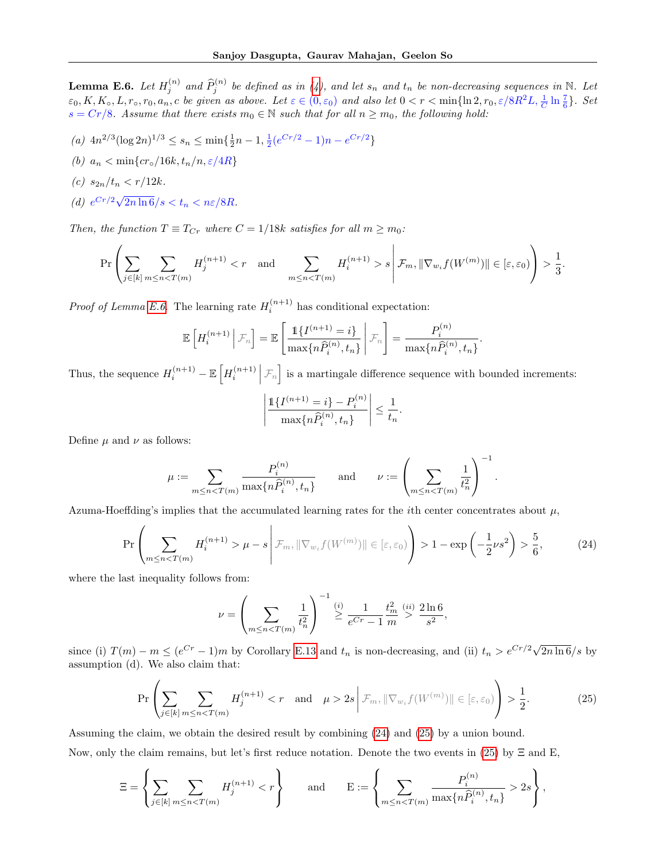<span id="page-28-0"></span>**Lemma E.6.** Let  $H_j^{(n)}$  and  $\widehat{P}_j^{(n)}$  be defined as in [\(4\)](#page-7-1), and let  $s_n$  and  $t_n$  be non-decreasing sequences in N. Let  $\varepsilon_0, K, K_\circ, L, r_\circ, r_0, a_n, c$  be given as above. Let  $\varepsilon \in (0, \varepsilon_0)$  and also let  $0 < r < \min\{\ln 2, r_0, \varepsilon/8R^2L, \frac{1}{C}\ln\frac{7}{6}\}$ . Set  $s = Cr/8$ . Assume that there exists  $m_0 \in \mathbb{N}$  such that for all  $n \geq m_0$ , the following hold:

- (a)  $4n^{2/3}(\log 2n)^{1/3} \leq s_n \leq \min\{\frac{1}{2}n-1, \frac{1}{2}(e^{Cr/2}-1)n e^{Cr/2}\}\$ (b)  $a_n < \min\{cr \circ / 16k, t_n/n, \varepsilon / 4R\}$
- (c)  $s_{2n}/t_n < r/12k$ .
- (d)  $e^{Cr/2}$  $2n\ln 6/s < t_n < n\varepsilon/8R$ .

Then, the function  $T \equiv T_{Cr}$  where  $C = 1/18k$  satisfies for all  $m \ge m_0$ :

$$
\Pr\left(\sum_{j\in[k]} \sum_{m\leq n="" <="" [\varepsilon,="" \,="" \frac{1}{3}.<="" \in="" \mathcal{f}_m,="" \middle|="" \quad="" \right)="" \sum_{m\leq="" \text{and}="" \varepsilon_0)="" \|\nabla_{w_i}="" f(w^{(m)})\|="" h_i^{(n+1)}="" h_j^{(n+1)}="" math="" n
$$

*Proof of Lemma [E.6.](#page-28-0)* The learning rate  $H_i^{(n+1)}$  has conditional expectation:

$$
\mathbb{E}\left[H_i^{(n+1)}\,\middle|\,\mathcal{F}_n\right] = \mathbb{E}\left[\frac{\mathbb{1}\{I^{(n+1)}=i\}}{\max\{n\widehat{P}_i^{(n)},t_n\}}\,\middle|\,\mathcal{F}_n\right] = \frac{P_i^{(n)}}{\max\{n\widehat{P}_i^{(n)},t_n\}}
$$

<span id="page-28-1"></span>.

Thus, the sequence  $H_i^{(n+1)} - \mathbb{E}\left[H_i^{(n+1)}\middle| \mathcal{F}_n\right]$  is a martingale difference sequence with bounded increments:

$$
\left| \frac{\mathbb{1}\{I^{(n+1)} = i\} - P_i^{(n)}}{\max\{n\hat{P}_i^{(n)}, t_n\}} \right| \le \frac{1}{t_n}.
$$

Define  $\mu$  and  $\nu$  as follows:

$$
\mu:=\sum_{m\leq n< T(m)}\frac{P_i^{(n)}}{\max\{n\widehat{P}_i^{(n)},t_n\}}\qquad\text{and}\qquad \nu:=\left(\sum_{m\leq n< T(m)}\frac{1}{t_n^2}\right)^{-1}.
$$

Azuma-Hoeffding's implies that the accumulated learning rates for the *i*th center concentrates about  $\mu$ ,

$$
\Pr\left(\sum_{m\leq n \mu - s \middle| \mathcal{F}_m, \|\nabla_{w_i} f(W^{(m)})\| \in [\varepsilon, \varepsilon_0)\right) > 1 - \exp\left(-\frac{1}{2}\nu s^2\right) > \frac{5}{6},\tag{24}
$$

where the last inequality follows from:

$$
\nu = \left(\sum_{m \le n < T(m)} \frac{1}{t_n^2}\right)^{-1} \stackrel{(i)}{\ge} \frac{1}{e^{Cr} - 1} \frac{t_m^2}{m} \stackrel{(ii)}{>} \frac{2\ln 6}{s^2},
$$

since (i)  $T(m) - m \leq (e^{Cr} - 1)m$  by Corollary [E.13](#page-35-1) and  $t_n$  is non-decreasing, and (ii)  $t_n > e^{Cr/2} \sqrt{\frac{F(1 + r_1)}{2}}$  $2n\ln 6/s$  by assumption (d). We also claim that:

<span id="page-28-2"></span>
$$
\Pr\left(\sum_{j\in[k]}\sum_{m\leq n\leq T(m)}H_j^{(n+1)}2s\bigg|\,\mathcal{F}_m,\|\nabla_{w_i}f(W^{(m)})\|\in[\varepsilon,\varepsilon_0)\right>\frac{1}{2}.\tag{25}
$$

Assuming the claim, we obtain the desired result by combining [\(24\)](#page-28-1) and [\(25\)](#page-28-2) by a union bound. Now, only the claim remains, but let's first reduce notation. Denote the two events in [\(25\)](#page-28-2) by  $\Xi$  and E,

$$
\Xi = \left\{ \sum_{j \in [k]} \sum_{m \le n < T(m)} H_j^{(n+1)} < r \right\} \qquad \text{and} \qquad \mathcal{E} := \left\{ \sum_{m \le n < T(m)} \frac{P_i^{(n)}}{\max\{n \widehat{P}_i^{(n)}, t_n\}} > 2s \right\},
$$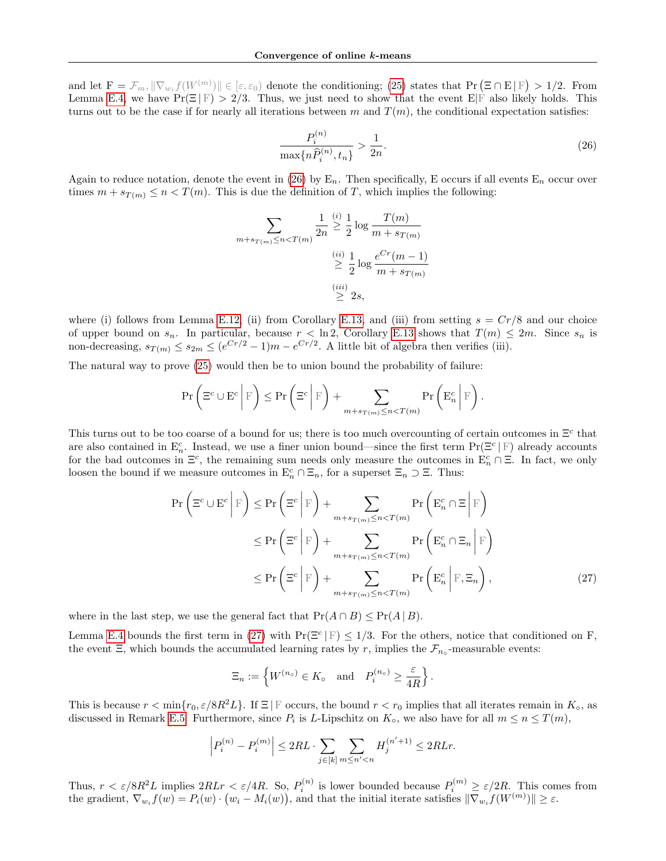and let  $F = \mathcal{F}_m$ ,  $\|\nabla_{w_i} f(W^{(m)})\| \in [\varepsilon, \varepsilon_0]$  denote the conditioning; [\(25\)](#page-28-2) states that  $\Pr(\Xi \cap E | F) > 1/2$ . From Lemma [E.4,](#page-26-0) we have  $Pr(\Xi | F) > 2/3$ . Thus, we just need to show that the event  $E|F$  also likely holds. This turns out to be the case if for nearly all iterations between m and  $T(m)$ , the conditional expectation satisfies:

<span id="page-29-0"></span>
$$
\frac{P_i^{(n)}}{\max\{n\widehat{P}_i^{(n)}, t_n\}} > \frac{1}{2n}.\tag{26}
$$

Again to reduce notation, denote the event in [\(26\)](#page-29-0) by  $E_n$ . Then specifically, E occurs if all events  $E_n$  occur over times  $m + s_{T(m)} \leq n < T(m)$ . This is due the definition of T, which implies the following:

$$
\sum_{m+s_{T(m)}\leq n
$$

where (i) follows from Lemma [E.12,](#page-35-0) (ii) from Corollary [E.13,](#page-35-1) and (iii) from setting  $s = Cr/8$  and our choice of upper bound on  $s_n$ . In particular, because  $r < \ln 2$ , Corollary [E.13](#page-35-1) shows that  $T(m) \leq 2m$ . Since  $s_n$  is non-decreasing,  $s_{T(m)} \leq s_{2m} \leq (e^{Cr/2} - 1)m - e^{Cr/2}$ . A little bit of algebra then verifies (iii).

The natural way to prove [\(25\)](#page-28-2) would then be to union bound the probability of failure:

$$
\Pr\left(\Xi^c \cup \mathrm{E}^c \mid \mathrm{F}\right) \leq \Pr\left(\Xi^c \mid \mathrm{F}\right) + \sum_{m+s_{T(m)} \leq n < T(m)} \Pr\left(\mathrm{E}_n^c \mid \mathrm{F}\right).
$$

This turns out to be too coarse of a bound for us; there is too much overcounting of certain outcomes in  $\Xi^c$  that are also contained in  $E_n^c$ . Instead, we use a finer union bound—since the first term  $Pr(\Xi^c | F)$  already accounts for the bad outcomes in  $\Xi^c$ , the remaining sum needs only measure the outcomes in  $\mathcal{E}_n^c \cap \Xi$ . In fact, we only loosen the bound if we measure outcomes in  $\mathbb{E}_n^c \cap \Xi_n$ , for a superset  $\Xi_n \supset \Xi$ . Thus:

$$
\Pr\left(\Xi^{c} \cup \mathbf{E}^{c} \mid \mathbf{F}\right) \leq \Pr\left(\Xi^{c} \mid \mathbf{F}\right) + \sum_{m+s_{T(m)} \leq n < T(m)} \Pr\left(\mathbf{E}_{n}^{c} \cap \Xi \mid \mathbf{F}\right)
$$
\n
$$
\leq \Pr\left(\Xi^{c} \mid \mathbf{F}\right) + \sum_{m+s_{T(m)} \leq n < T(m)} \Pr\left(\mathbf{E}_{n}^{c} \cap \Xi_{n} \mid \mathbf{F}\right)
$$
\n
$$
\leq \Pr\left(\Xi^{c} \mid \mathbf{F}\right) + \sum_{m+s_{T(m)} \leq n < T(m)} \Pr\left(\mathbf{E}_{n}^{c} \mid \mathbf{F}, \Xi_{n}\right),\tag{27}
$$

where in the last step, we use the general fact that  $Pr(A \cap B) \leq Pr(A | B)$ .

Lemma [E.4](#page-26-0) bounds the first term in [\(27\)](#page-29-1) with  $Pr(\Xi^c | F) \le 1/3$ . For the others, notice that conditioned on F, the event  $\Xi$ , which bounds the accumulated learning rates by r, implies the  $\mathcal{F}_{n_{\circ}}$ -measurable events:

<span id="page-29-1"></span>
$$
\Xi_n := \left\{ W^{(n_\circ)} \in K_\circ \quad \text{and} \quad P_i^{(n_\circ)} \ge \frac{\varepsilon}{4R} \right\}.
$$

This is because  $r < \min\{r_0, \varepsilon/8R^2L\}$ . If  $\Xi \mid \mathrm{F}$  occurs, the bound  $r < r_0$  implies that all iterates remain in  $K_{\circ}$ , as discussed in Remark [E.5.](#page-27-0) Furthermore, since  $P_i$  is L-Lipschitz on  $K_o$ , we also have for all  $m \leq n \leq T(m)$ ,

$$
\left| P_i^{(n)} - P_i^{(m)} \right| \le 2RL \cdot \sum_{j \in [k]} \sum_{m \le n' < n} H_j^{(n'+1)} \le 2RLr.
$$

Thus,  $r < \varepsilon/8R^2L$  implies  $2RLr < \varepsilon/4R$ . So,  $P_i^{(n)}$  is lower bounded because  $P_i^{(m)} \ge \varepsilon/2R$ . This comes from the gradient,  $\nabla_{w_i} f(w) = P_i(w) \cdot (w_i - M_i(w))$ , and that the initial iterate satisfies  $\|\nabla_{w_i} f(W^{(m)})\| \ge \varepsilon$ .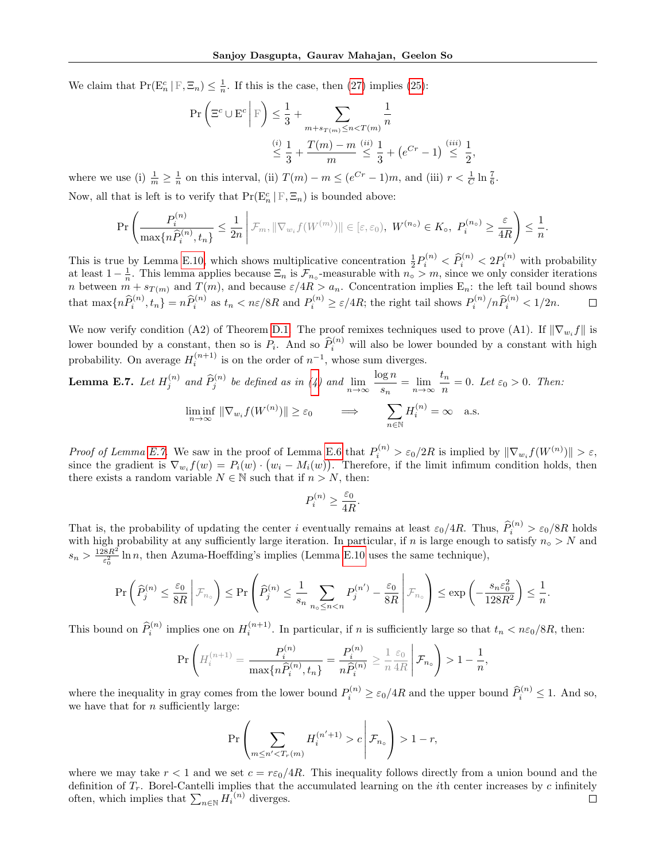We claim that  $Pr(E_n^c | F, \Xi_n) \leq \frac{1}{n}$ . If this is the case, then [\(27\)](#page-29-1) implies [\(25\)](#page-28-2):

$$
\Pr\left(\Xi^c \cup \mathcal{E}^c \mid \mathcal{F}\right) \le \frac{1}{3} + \sum_{m+s_{T(m)} \le n < T(m)} \frac{1}{n}
$$
\n
$$
\stackrel{(i)}{\le} \frac{1}{3} + \frac{T(m) - m}{m} \stackrel{(ii)}{\le} \frac{1}{3} + \left(e^{Cr} - 1\right) \stackrel{(iii)}{\le} \frac{1}{2},
$$

where we use (i)  $\frac{1}{m} \geq \frac{1}{n}$  on this interval, (ii)  $T(m) - m \leq (e^{Cr} - 1)m$ , and (iii)  $r < \frac{1}{C} \ln \frac{7}{6}$ . Now, all that is left is to verify that  $Pr(E_n^c \mid F, \Xi_n)$  is bounded above:

$$
\Pr\left(\frac{P_i^{(n)}}{\max\{n\widehat{P}_i^{(n)},t_n\}}\leq\frac{1}{2n}\left|\mathcal{F}_m,\|\nabla_{w_i}f(W^{(m)})\|\in[\varepsilon,\varepsilon_0),\ W^{(n_\mathrm{o})}\in K_\mathrm{o},\ P_i^{(n_\mathrm{o})}\geq\frac{\varepsilon}{4R}\right)\leq\frac{1}{n}.
$$

This is true by Lemma [E.10,](#page-32-0) which shows multiplicative concentration  $\frac{1}{2}P_i^{(n)} < \hat{P}_i^{(n)} < 2P_i^{(n)}$  with probability at least  $1-\frac{1}{n}$ . This lemma applies because  $\Xi_n$  is  $\mathcal{F}_{n_0}$ -measurable with  $n_0 > m$ , since we only consider iterations n between  $m + s_{T(m)}$  and  $T(m)$ , and because  $\varepsilon/4R > a_n$ . Concentration implies  $E_n$ : the left tail bound shows that  $\max\{n\widehat{P}_i^{(n)}, t_n\} = n\widehat{P}_i^{(n)}$  as  $t_n < n\varepsilon/8R$  and  $P_i^{(n)} \ge \varepsilon/4R$ ; the right tail shows  $P_i^{(n)}/n\widehat{P}_i^{(n)} < 1/2n$ .  $\Box$ 

We now verify condition (A2) of Theorem [D.1.](#page-20-0) The proof remixes techniques used to prove (A1). If  $\|\nabla_{w_i} f\|$  is lower bounded by a constant, then so is  $P_i$ . And so  $\hat{P}_i^{(n)}$  will also be lower bounded by a constant with high probability. On average  $H_i^{(n+1)}$  is on the order of  $n^{-1}$ , whose sum diverges.

<span id="page-30-0"></span>**Lemma E.7.** Let 
$$
H_j^{(n)}
$$
 and  $\widehat{P}_j^{(n)}$  be defined as in (4) and  $\lim_{n \to \infty} \frac{\log n}{s_n} = \lim_{n \to \infty} \frac{t_n}{n} = 0$ . Let  $\varepsilon_0 > 0$ . Then:  

$$
\liminf_{n \to \infty} ||\nabla_{w_i} f(W^{(n)})|| \ge \varepsilon_0 \implies \sum_{n \in \mathbb{N}} H_i^{(n)} = \infty \text{ a.s.}
$$

Proof of Lemma [E.7.](#page-30-0) We saw in the proof of Lemma [E.6](#page-28-0) that  $P_i^{(n)} > \varepsilon_0/2R$  is implied by  $\|\nabla_{w_i} f(W^{(n)})\| > \varepsilon$ , since the gradient is  $\nabla_{w_i} f(w) = P_i(w) \cdot (w_i - M_i(w))$ . Therefore, if the limit infimum condition holds, then there exists a random variable  $N \in \mathbb{N}$  such that if  $n > N$ , then:

$$
P_i^{(n)} \ge \frac{\varepsilon_0}{4R}.
$$

That is, the probability of updating the center i eventually remains at least  $\varepsilon_0/4R$ . Thus,  $\hat{P}_i^{(n)} > \varepsilon_0/8R$  holds with high probability at any sufficiently large iteration. In particular, if n is large enough to satisfy  $n<sub>o</sub> > N$  and  $s_n > \frac{128R^2}{\epsilon^2}$  $\frac{8R^2}{\epsilon_0^2}$  ln n, then Azuma-Hoeffding's implies (Lemma [E.10](#page-32-0) uses the same technique),

$$
\Pr\left(\widehat{P}_j^{(n)} \le \frac{\varepsilon_0}{8R} \middle| \mathcal{F}_{n_\circ}\right) \le \Pr\left(\widehat{P}_j^{(n)} \le \frac{1}{s_n} \sum_{n_\circ \le n < n} P_j^{(n')} - \frac{\varepsilon_0}{8R} \middle| \mathcal{F}_{n_\circ}\right) \le \exp\left(-\frac{s_n \varepsilon_0^2}{128R^2}\right) \le \frac{1}{n}.
$$

This bound on  $\hat{P}_i^{(n)}$  implies one on  $H_i^{(n+1)}$ . In particular, if n is sufficiently large so that  $t_n < n\varepsilon_0/8R$ , then:

$$
\Pr\left(H_i^{(n+1)} = \frac{P_i^{(n)}}{\max\{n\widehat{P}_i^{(n)}, t_n\}} = \frac{P_i^{(n)}}{n\widehat{P}_i^{(n)}} \ge \frac{1}{n} \frac{\varepsilon_0}{4R} \middle| \mathcal{F}_{n_\circ}\right) > 1 - \frac{1}{n},
$$

where the inequality in gray comes from the lower bound  $P_i^{(n)} \ge \varepsilon_0/4R$  and the upper bound  $\widehat{P}_i^{(n)} \le 1$ . And so, we have that for  $n$  sufficiently large:

$$
\Pr\left(\sum_{m\leq n'="" 1-r,<="" \,="" \mathcal{f}_{n_0}\right)="" \middle|="" c="" h_i^{(n'+1)}="" math="">
$$

where we may take  $r < 1$  and we set  $c = r \epsilon_0 / 4R$ . This inequality follows directly from a union bound and the definition of  $T_r$ . Borel-Cantelli implies that the accumulated learning on the *i*th center increases by c infinitely often, which implies that  $\sum_{n\in\mathbb{N}} H_i^{(n)}$  diverges.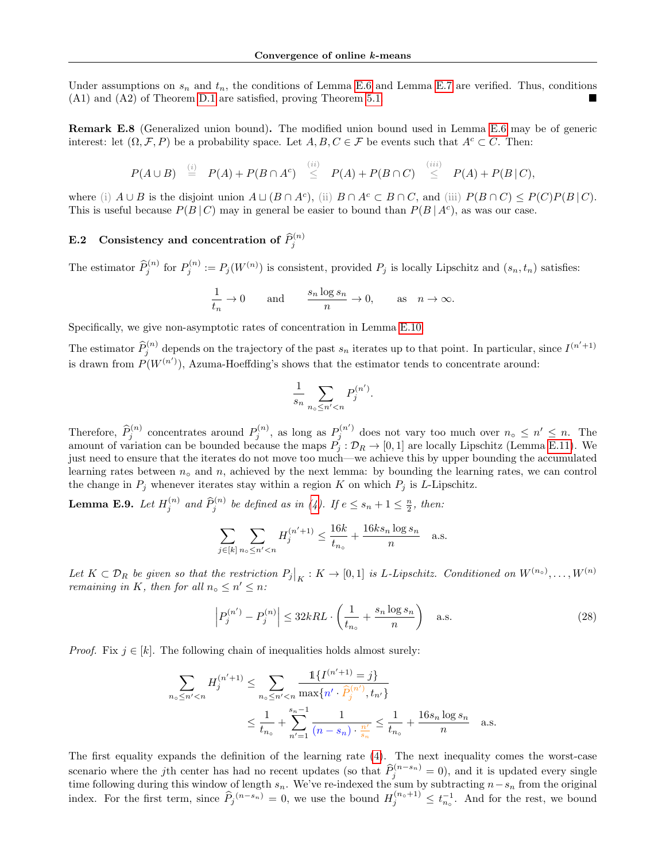Under assumptions on  $s_n$  and  $t_n$ , the conditions of Lemma [E.6](#page-28-0) and Lemma [E.7](#page-30-0) are verified. Thus, conditions (A1) and (A2) of Theorem [D.1](#page-20-0) are satisfied, proving Theorem [5.1.](#page-7-0)

Remark E.8 (Generalized union bound). The modified union bound used in Lemma [E.6](#page-28-0) may be of generic interest: let  $(\Omega, \mathcal{F}, P)$  be a probability space. Let  $A, B, C \in \mathcal{F}$  be events such that  $A^c \subset C$ . Then:

$$
P(A\cup B) \stackrel{(i)}{=} P(A) + P(B\cap A^c) \stackrel{(ii)}{\leq} P(A) + P(B\cap C) \stackrel{(iii)}{\leq} P(A) + P(B|C),
$$

where (i)  $A \cup B$  is the disjoint union  $A \sqcup (B \cap A^c)$ , (ii)  $B \cap A^c \subset B \cap C$ , and (iii)  $P(B \cap C) \leq P(C)P(B|C)$ . This is useful because  $P(B | C)$  may in general be easier to bound than  $P(B | A<sup>c</sup>)$ , as was our case.

# E.2 Consistency and concentration of  $\widehat{P}_j^{(n)}$

The estimator  $\widehat{P}_j^{(n)}$  for  $P_j^{(n)} := P_j(W^{(n)})$  is consistent, provided  $P_j$  is locally Lipschitz and  $(s_n, t_n)$  satisfies:

$$
\frac{1}{t_n} \to 0 \quad \text{and} \quad \frac{s_n \log s_n}{n} \to 0, \quad \text{as} \quad n \to \infty.
$$

Specifically, we give non-asymptotic rates of concentration in Lemma [E.10.](#page-32-0)

The estimator  $\widehat{P}_j^{(n)}$  depends on the trajectory of the past  $s_n$  iterates up to that point. In particular, since  $I^{(n'+1)}$ is drawn from  $P(W^{(n')})$ , Azuma-Hoeffding's shows that the estimator tends to concentrate around:

$$
\frac{1}{s_n} \sum_{n_\circ \le n' < n} P_j^{(n')}.
$$

Therefore,  $\hat{P}_j^{(n)}$  concentrates around  $P_j^{(n)}$ , as long as  $P_j^{(n')}$  does not vary too much over  $n_0 \leq n' \leq n$ . The amount of variation can be bounded because the maps  $P_j: \mathcal{D}_R \to [0,1]$  are locally Lipschitz (Lemma [E.11\)](#page-33-0). We just need to ensure that the iterates do not move too much—we achieve this by upper bounding the accumulated learning rates between  $n<sub>°</sub>$  and n, achieved by the next lemma: by bounding the learning rates, we can control the change in  $P_j$  whenever iterates stay within a region K on which  $P_j$  is L-Lipschitz.

<span id="page-31-0"></span>**Lemma E.9.** Let  $H_j^{(n)}$  and  $\widehat{P}_j^{(n)}$  be defined as in [\(4\)](#page-7-1). If  $e \leq s_n + 1 \leq \frac{n}{2}$ , then:

$$
\sum_{j \in [k]} \sum_{n_{\circ} \le n' < n} H_j^{(n'+1)} \le \frac{16k}{t_{n_{\circ}}} + \frac{16ks_n \log s_n}{n} \quad \text{a.s.}
$$

Let  $K \subset \mathcal{D}_R$  be given so that the restriction  $P_j|_K : K \to [0,1]$  is L-Lipschitz. Conditioned on  $W^{(n_0)}, \ldots, W^{(n)}$ remaining in K, then for all  $n_{\circ} \leq n' \leq n$ :

<span id="page-31-1"></span>
$$
\left| P_j^{(n')} - P_j^{(n)} \right| \le 32kRL \cdot \left( \frac{1}{t_{n_o}} + \frac{s_n \log s_n}{n} \right) \quad \text{a.s.} \tag{28}
$$

*Proof.* Fix  $j \in [k]$ . The following chain of inequalities holds almost surely:

$$
\sum_{n_{\circ} \leq n' < n} H_j^{(n'+1)} \leq \sum_{n_{\circ} \leq n' < n} \frac{\mathbb{1}\{I^{(n'+1)} = j\}}{\max\{n' \cdot \widehat{P}_j^{(n')}, t_{n'}\}} \leq \frac{1}{t_{n_{\circ}}} + \sum_{n'=1}^{s_n - 1} \frac{1}{(n - s_n) \cdot \frac{n'}{s_n}} \leq \frac{1}{t_{n_{\circ}}} + \frac{16s_n \log s_n}{n} \quad \text{a.s.}
$$

The first equality expands the definition of the learning rate [\(4\)](#page-7-1). The next inequality comes the worst-case scenario where the jth center has had no recent updates (so that  $\hat{P}_j^{(n-s_n)} = 0$ ), and it is updated every single time following during this window of length  $s_n$ . We've re-indexed the sum by subtracting  $n-s_n$  from the original index. For the first term, since  $\hat{P}_j^{(n-s_n)} = 0$ , we use the bound  $H_j^{(n_0+1)} \leq t_{n_0}^{-1}$ . And for the rest, we bound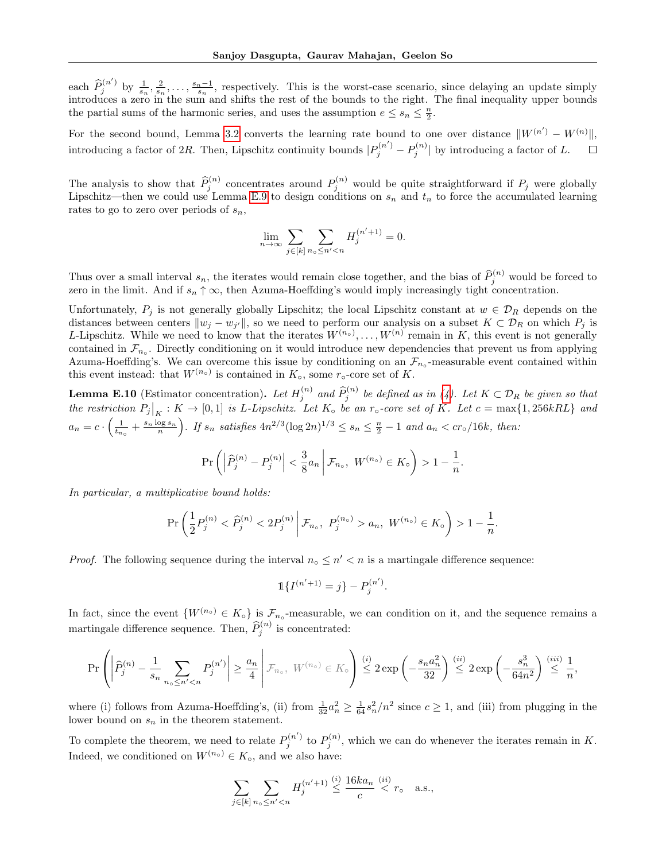each  $\hat{P}_{j}^{(n')}$  by  $\frac{1}{s_n}, \frac{2}{s_n}, \ldots, \frac{s_n-1}{s_n}$ , respectively. This is the worst-case scenario, since delaying an update simply introduces a zero in the sum and shifts the rest of the bounds to the right. The final inequality upper bounds the partial sums of the harmonic series, and uses the assumption  $e \leq s_n \leq \frac{n}{2}$ .

For the second bound, Lemma [3.2](#page-4-2) converts the learning rate bound to one over distance  $||W^{(n')} - W^{(n)}||$ introducing a factor of 2R. Then, Lipschitz continuity bounds  $|P_j^{(n')} - P_j^{(n)}|$  by introducing a factor of L.  $\Box$ 

The analysis to show that  $\hat{P}_j^{(n)}$  concentrates around  $P_j^{(n)}$  would be quite straightforward if  $P_j$  were globally Lipschitz—then we could use Lemma [E.9](#page-31-0) to design conditions on  $s_n$  and  $t_n$  to force the accumulated learning rates to go to zero over periods of  $s_n$ ,

$$
\lim_{n \to \infty} \sum_{j \in [k]} \sum_{n \circ \le n' < n} H_j^{(n'+1)} = 0.
$$

Thus over a small interval  $s_n$ , the iterates would remain close together, and the bias of  $\widehat{P}_j^{(n)}$  would be forced to zero in the limit. And if  $s_n \uparrow \infty$ , then Azuma-Hoeffding's would imply increasingly tight concentration.

Unfortunately,  $P_j$  is not generally globally Lipschitz; the local Lipschitz constant at  $w \in \mathcal{D}_R$  depends on the distances between centers  $||w_j - w_{j'}||$ , so we need to perform our analysis on a subset  $K \subset \mathcal{D}_R$  on which  $P_j$  is L-Lipschitz. While we need to know that the iterates  $W^{(n_0)}, \ldots, W^{(n)}$  remain in K, this event is not generally contained in  $\mathcal{F}_{n_0}$ . Directly conditioning on it would introduce new dependencies that prevent us from applying Azuma-Hoeffding's. We can overcome this issue by conditioning on an  $\mathcal{F}_{n_{\circ}}$ -measurable event contained within this event instead: that  $W^{(n_0)}$  is contained in  $K_0$ , some  $r_0$ -core set of K.

<span id="page-32-0"></span>**Lemma E.10** (Estimator concentration). Let  $H_j^{(n)}$  and  $\widehat{P}_j^{(n)}$  be defined as in [\(4\)](#page-7-1). Let  $K \subset \mathcal{D}_R$  be given so that the restriction  $P_j|_K : K \to [0,1]$  is L-Lipschitz. Let  $K_{\circ}$  be an  $r_{\circ}$ -core set of K. Let  $c = \max\{1, 256kRL\}$  and  $a_n = c \cdot \left(\frac{1}{t_{n_0}} + \frac{s_n \log s_n}{n}\right)$ . If  $s_n$  satisfies  $4n^{2/3}(\log 2n)^{1/3} \leq s_n \leq \frac{n}{2} - 1$  and  $a_n < cr_\circ/16k$ , then:

$$
\Pr\left(\left|\widehat{P}_j^{(n)} - P_j^{(n)}\right| < \frac{3}{8}a_n \middle| \mathcal{F}_{n_o}, \ W^{(n_o)} \in K_o\right) > 1 - \frac{1}{n}.
$$

In particular, a multiplicative bound holds:

$$
\Pr\left(\frac{1}{2}P_j^{(n)} < \widehat{P}_j^{(n)} < 2P_j^{(n)} \,\middle|\, \mathcal{F}_{n_0},\ P_j^{(n_0)} > a_n,\ W^{(n_0)} \in K_{\mathbf{0}}\right) > 1 - \frac{1}{n}.
$$

*Proof.* The following sequence during the interval  $n_{\circ} \leq n' < n$  is a martingale difference sequence:

$$
\mathbb{1}\{I^{(n'+1)}=j\}-P_j^{(n')}.
$$

In fact, since the event  $\{W^{(n_0)} \in K_0\}$  is  $\mathcal{F}_{n_0}$ -measurable, we can condition on it, and the sequence remains a martingale difference sequence. Then,  $\widehat{P}_j^{(n)}$  is concentrated:

$$
\Pr\left(\left|\widehat{P}_j^{(n)} - \frac{1}{s_n}\sum_{n_o\leq n'
$$

where (i) follows from Azuma-Hoeffding's, (ii) from  $\frac{1}{32}a_n^2 \geq \frac{1}{64}s_n^2/n^2$  since  $c \geq 1$ , and (iii) from plugging in the lower bound on  $s_n$  in the theorem statement.

To complete the theorem, we need to relate  $P_j^{(n')}$  to  $P_j^{(n)}$ , which we can do whenever the iterates remain in K. Indeed, we conditioned on  $W^{(n_0)} \in K_o$ , and we also have:

$$
\sum_{j \in [k]} \sum_{n_{\circ} \le n' < n} H_j^{(n'+1)} \stackrel{(i)}{\le} \frac{16ka_n}{c} \stackrel{(ii)}{\lt} r_{\circ} \quad \text{a.s.},
$$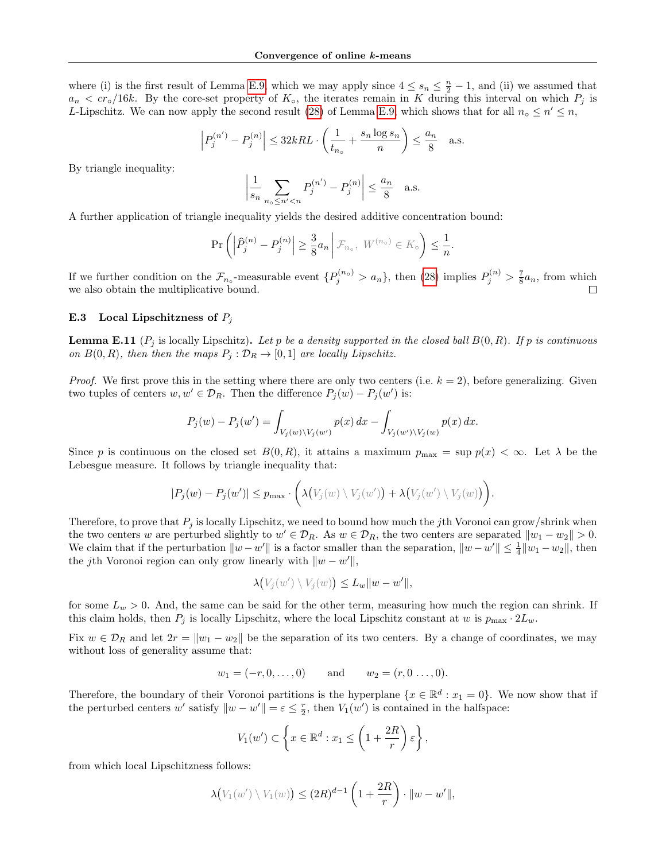where (i) is the first result of Lemma [E.9,](#page-31-0) which we may apply since  $4 \leq s_n \leq \frac{n}{2} - 1$ , and (ii) we assumed that  $a_n < cr_\circ/16k$ . By the core-set property of  $K_\circ$ , the iterates remain in K during this interval on which  $P_i$  is L-Lipschitz. We can now apply the second result [\(28\)](#page-31-1) of Lemma [E.9,](#page-31-0) which shows that for all  $n_0 \le n' \le n$ ,

$$
\left| P_j^{(n')} - P_j^{(n)} \right| \le 32kRL \cdot \left( \frac{1}{t_{n_o}} + \frac{s_n \log s_n}{n} \right) \le \frac{a_n}{8} \quad \text{a.s.}
$$

By triangle inequality:

$$
\left|\frac{1}{s_n}\sum_{n_0\leq n'
$$

A further application of triangle inequality yields the desired additive concentration bound:

$$
\Pr\left(\left|\widehat{P}_j^{(n)} - P_j^{(n)}\right| \ge \frac{3}{8}a_n\, \middle|\, \mathcal{F}_{n_\circ}, \ W^{(n_\circ)} \in K_\circ\right) \le \frac{1}{n}.
$$

If we further condition on the  $\mathcal{F}_{n_0}$ -measurable event  $\{P_j^{(n_0)} > a_n\}$ , then [\(28\)](#page-31-1) implies  $P_j^{(n)} > \frac{7}{8}a_n$ , from which we also obtain the multiplicative bound.

### **E.3** Local Lipschitzness of  $P_i$

<span id="page-33-0"></span>**Lemma E.11** ( $P_j$  is locally Lipschitz). Let p be a density supported in the closed ball  $B(0, R)$ . If p is continuous on  $B(0, R)$ , then then the maps  $P_j : \mathcal{D}_R \to [0, 1]$  are locally Lipschitz.

*Proof.* We first prove this in the setting where there are only two centers (i.e.  $k = 2$ ), before generalizing. Given two tuples of centers  $w, w' \in \mathcal{D}_R$ . Then the difference  $P_j(w) - P_j(w')$  is:

$$
P_j(w) - P_j(w') = \int_{V_j(w)\backslash V_j(w')} p(x) dx - \int_{V_j(w')\backslash V_j(w)} p(x) dx.
$$

Since p is continuous on the closed set  $B(0, R)$ , it attains a maximum  $p_{\text{max}} = \sup p(x) < \infty$ . Let  $\lambda$  be the Lebesgue measure. It follows by triangle inequality that:

$$
|P_j(w)-P_j(w')|\leq p_{\max}\cdot \bigg(\lambda\big(V_j(w)\setminus V_j(w')\big)+\lambda\big(V_j(w')\setminus V_j(w)\big)\bigg).
$$

Therefore, to prove that  $P_j$  is locally Lipschitz, we need to bound how much the jth Voronoi can grow/shrink when the two centers w are perturbed slightly to  $w' \in \mathcal{D}_R$ . As  $w \in \mathcal{D}_R$ , the two centers are separated  $||w_1 - w_2|| > 0$ . We claim that if the perturbation  $\|w - w'\|$  is a factor smaller than the separation,  $\|w - w'\| \leq \frac{1}{4} \|w_1 - w_2\|$ , then the jth Voronoi region can only grow linearly with  $||w - w'||$ ,

$$
\lambda\big(V_j(w')\setminus V_j(w)\big)\leq L_w\|w-w'\|,
$$

for some  $L_w > 0$ . And, the same can be said for the other term, measuring how much the region can shrink. If this claim holds, then  $P_j$  is locally Lipschitz, where the local Lipschitz constant at w is  $p_{\text{max}} \cdot 2L_w$ .

Fix  $w \in \mathcal{D}_R$  and let  $2r = ||w_1 - w_2||$  be the separation of its two centers. By a change of coordinates, we may without loss of generality assume that:

$$
w_1 = (-r, 0, \dots, 0)
$$
 and  $w_2 = (r, 0, \dots, 0).$ 

Therefore, the boundary of their Voronoi partitions is the hyperplane  $\{x \in \mathbb{R}^d : x_1 = 0\}$ . We now show that if the perturbed centers w' satisfy  $\|w - w'\| = \varepsilon \leq \frac{r}{2}$ , then  $V_1(w')$  is contained in the halfspace:

$$
V_1(w') \subset \left\{ x \in \mathbb{R}^d : x_1 \le \left(1 + \frac{2R}{r}\right) \varepsilon \right\},\
$$

from which local Lipschitzness follows:

$$
\lambda\big(V_1(w')\setminus V_1(w)\big)\leq (2R)^{d-1}\left(1+\frac{2R}{r}\right)\cdot \|w-w'\|,
$$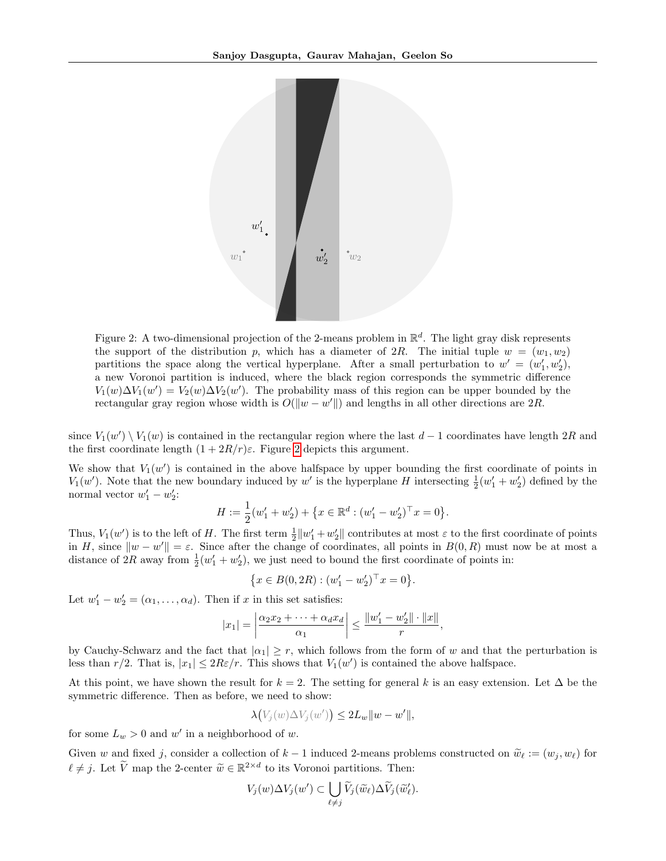<span id="page-34-0"></span>

Figure 2: A two-dimensional projection of the 2-means problem in  $\mathbb{R}^d$ . The light gray disk represents the support of the distribution p, which has a diameter of  $2R$ . The initial tuple  $w = (w_1, w_2)$ partitions the space along the vertical hyperplane. After a small perturbation to  $w' = (w'_1, w'_2)$ , a new Voronoi partition is induced, where the black region corresponds the symmetric difference  $V_1(w)\Delta V_1(w') = V_2(w)\Delta V_2(w')$ . The probability mass of this region can be upper bounded by the rectangular gray region whose width is  $O(||w - w'||)$  and lengths in all other directions are 2R.

since  $V_1(w') \setminus V_1(w)$  is contained in the rectangular region where the last  $d-1$  coordinates have length 2R and the first coordinate length  $(1 + 2R/r)\varepsilon$  $(1 + 2R/r)\varepsilon$  $(1 + 2R/r)\varepsilon$ . Figure 2 depicts this argument.

We show that  $V_1(w')$  is contained in the above halfspace by upper bounding the first coordinate of points in  $V_1(w')$ . Note that the new boundary induced by w' is the hyperplane H intersecting  $\frac{1}{2}(w'_1 + w'_2)$  defined by the normal vector  $w'_1 - w'_2$ :

$$
H:=\frac{1}{2}(w_1'+w_2')+\big\{x\in\mathbb{R}^d:(w_1'-w_2')^\top x=0\big\}.
$$

Thus,  $V_1(w')$  is to the left of H. The first term  $\frac{1}{2}||w'_1+w'_2||$  contributes at most  $\varepsilon$  to the first coordinate of points in H, since  $||w - w'|| = \varepsilon$ . Since after the change of coordinates, all points in  $B(0, R)$  must now be at most a distance of 2R away from  $\frac{1}{2}(w_1' + w_2')$ , we just need to bound the first coordinate of points in:

$$
\{x \in B(0, 2R) : (w'_1 - w'_2)^\top x = 0\}.
$$

Let  $w'_1 - w'_2 = (\alpha_1, \dots, \alpha_d)$ . Then if x in this set satisfies:

$$
|x_1| = \left| \frac{\alpha_2 x_2 + \dots + \alpha_d x_d}{\alpha_1} \right| \le \frac{\|w_1' - w_2'\| \cdot \|x\|}{r},
$$

by Cauchy-Schwarz and the fact that  $|\alpha_1| \geq r$ , which follows from the form of w and that the perturbation is less than  $r/2$ . That is,  $|x_1| \leq 2R\varepsilon/r$ . This shows that  $V_1(w')$  is contained the above halfspace.

At this point, we have shown the result for  $k = 2$ . The setting for general k is an easy extension. Let  $\Delta$  be the symmetric difference. Then as before, we need to show:

$$
\lambda\big(V_j(w)\Delta V_j(w')\big)\leq 2L_w\|w-w'\|,
$$

for some  $L_w > 0$  and w' in a neighborhood of w.

Given w and fixed j, consider a collection of  $k - 1$  induced 2-means problems constructed on  $\tilde{w}_{\ell} := (w_j, w_{\ell})$  for  $\ell \neq j$ . Let  $\widetilde{V}$  map the 2-center  $\widetilde{w} \in \mathbb{R}^{2 \times d}$  to its Voronoi partitions. Then:

$$
V_j(w)\Delta V_j(w')\subset \bigcup_{\ell\neq j}\widetilde{V}_j(\widetilde{w}_\ell)\Delta \widetilde{V}_j(\widetilde{w}_\ell').
$$